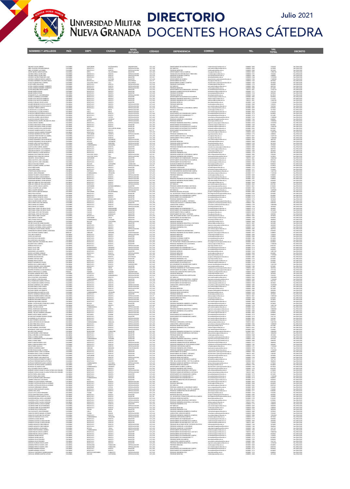

## UNIVERSIDAD MILITAR **DIRECTORIO JULIO 2021**<br>NUEVA GRANADA DOCENTES HORAS CÁTEDRA **Julio 2021**

|                                                                                                                                                                                            | COLOMBI                                                    | CANTANDR                                                              |                                                  | <b>INNERSTARD</b>                                                                    |                                                                |                                                                                                                                                                                                                                                        |                                                                                                                                                                                                                                                                                                                                                                                                                                                                                 |                                                                      |                                                     |                                                                                                     |
|--------------------------------------------------------------------------------------------------------------------------------------------------------------------------------------------|------------------------------------------------------------|-----------------------------------------------------------------------|--------------------------------------------------|--------------------------------------------------------------------------------------|----------------------------------------------------------------|--------------------------------------------------------------------------------------------------------------------------------------------------------------------------------------------------------------------------------------------------------|---------------------------------------------------------------------------------------------------------------------------------------------------------------------------------------------------------------------------------------------------------------------------------------------------------------------------------------------------------------------------------------------------------------------------------------------------------------------------------|----------------------------------------------------------------------|-----------------------------------------------------|-----------------------------------------------------------------------------------------------------|
| ABAUNZA GALVIS ANDREA<br>ABRIL GALEANO GIOVANNI ENRIQ<br>ABRIL GUTIERREZ LUIS DANIEL<br>ACERO OMAÑA ANGGIE MARICEL                                                                         | COLOMBIA<br>COLOMBIA<br>COLOMBIA<br>COLOMBIA               | BOGOTA D.C<br>BOGOTA D.C<br>META                                      | BUCARAMANA<br>BOGOTA<br>VILLAVICENCIO            | DIVERSITARIO<br>ESPECIALIZACION<br>MAGISTER                                          | CAT_AUX<br>CAT_ASO<br>CAT_ASO<br>CAT_ASO                       | DEPARTAMENTO DE MATEMATICAS (CAMPUS)<br>DEPARTAMENTO DE MATEMATICAS (CAMPUS)<br>ESP. MEDICAS<br>PREGRADO MEDICINA<br>DEPARTAMENTO PISCA (CAMPUS)<br>TECNOLOGIA EN CONTABILIDAD Y TREUTARIA<br>PREGRADO ECONOMIA (CAMPUS)<br>PREGRADO ECONOMIA (CAMPUS) | matematicas@unimilitar.edu.co<br>post.medicina@unimilitar.edu.co<br>medicina@unimilitar.edu.co<br>fisica@unimilitar.edu.co                                                                                                                                                                                                                                                                                                                                                      | 6500000 - 3055<br>6500000 - 2042<br>6500000 - 2048<br>6500000 - 3053 | 7234240<br>2414880<br>2012400<br>1398618<br>7234240 | Res 2986/2020<br>Res 2986/2020<br>Res 2986/2020<br>Res 2986/2020                                    |
| ACEVEDO ARDILA GLORIA INES<br>ACEVEDO ARDILA GLORIA INES<br>ACEVEDO CAICEDO FRANCISCO JOSI                                                                                                 | COLOMBI<br>COLOMBU<br>COLOMBIA                             | BOGOTA D.C<br>BOGOTA D.C<br>BOGOTA D.C.                               | BOGOT/<br>BOGOT/<br>BOGOT/                       | ESPECIALIZACION<br>ESPECIALIZACION<br>MAGISTER                                       | CAT_AUX<br>CAT_AUX<br>CAT_ASI                                  | PREGRADO DERECHO                                                                                                                                                                                                                                       | contaduria@unimilitar.edu.co<br>conomia@unimilitar.edu.co<br>erecho@unimilitar.edu.co                                                                                                                                                                                                                                                                                                                                                                                           | 6500000 - 319<br>6500000 - 1300<br>6500000 - 1244                    | 2306800<br>13725520                                 | Res 2986/202<br>Res 2986/2020<br>Res 2986/2020                                                      |
| ACEVEDO CORREDOR SERGIO ALBERTO<br>ACEVEDO SARMIENTO ORLANDO EMILIO<br>ACOSTA GUZMAN PAOLA ANDREA                                                                                          | COLOMBIA<br>COLOMBIA<br>COLOMBIA                           | BOYACA<br>BOGOTA D.C.<br>VALLE DEL CAUCA                              | <b>DUITAMA</b><br>BOGOTA<br>CALI                 | MAGISTER<br>DOCTORADO<br>DOCTORADO                                                   | CAT_ASO<br>CAT_TIT<br>CAT_ASO                                  | DEPARTAMENTO DE QUIMICA<br>DEPARTAMENTO DE FISICA<br>DEPARTAMENTO QUIMICA (CAMPUS)                                                                                                                                                                     | departamento.quimica@unimilitar.edu.co<br>sica@unimilitar.edu.co                                                                                                                                                                                                                                                                                                                                                                                                                | 6500000 - 1526<br>6500000 - 1523<br>6500000 - 1526                   | 17608500<br>6876660<br>3018600                      | Res 2986/2020<br>Res 2986/2020<br>Res 2986/2020                                                     |
| ACOSTA NIÑO LIBIA ELENA<br>ACUÑA CORDERO RANNIERY HUMBERTO<br>4CLISA CORDERO RANNEEIY HUMBERTO                                                                                             | COLOMBIA<br>COLOMBIA<br>COLOMBIA                           | BOGOTA D.C.<br>BOGOTA D.C<br><b>SOGOTA D.C.</b>                       | BOGOTA<br>BOGOTA<br>BOGOTA                       | ESPECIALIZACION<br>ESPECIALIZACION<br>ESPECIALIZACION                                | CAT_AUX<br>CAT_ASO<br>CAT_ASO                                  | PREGRADO CONTADURIA<br><b>ESP. MEDICAS</b><br>REGRADO MEDICINA                                                                                                                                                                                         | departamento.quimica@unimilitar.edu.co<br>contaduria@unimilitar.edu.co<br>ost.medicina@unimilitar.edu.co<br>redicina@unimilitar.edu.co                                                                                                                                                                                                                                                                                                                                          | 6500000 - 1313<br>6500000 - 2042<br>6500000 - 2045                   | 445580<br>4829760<br>2012400                        | Res 2986/2020<br>Res 2986/2020<br>Res 2986/2020                                                     |
| ACUÑA MONTAÑEZ NIEVES MARIA<br>ADAMS DUEÑAS EFRAIN                                                                                                                                         | COLOMBIA<br>COLOMBIA<br>OLOMBI                             | SANTANDER<br>BOGOTA D.C<br><b>BOGOTA D.C</b><br>BOGOTA D.C            | MALAGA<br>BOGOTA                                 | MAGISTER<br>MAGISTER                                                                 | CAT ASO<br>CAT ASO                                             | DERMITAMENTO DE HUMANIDADES - DISTANCIA<br>PREGRADO ADMINISTRACION DE EMPRESAS<br><b>REGRADO ECONOMIA</b><br>REGRADO DERECHO                                                                                                                           | humanidades@unimilitar.edu.co                                                                                                                                                                                                                                                                                                                                                                                                                                                   | 7480333 - 6841<br>6500000 - 1317                                     | 12678120<br>7647120                                 | Res 2986/2020<br>Res 2986/2021                                                                      |
| ADAMS DUENAS EPRAIN<br>AFANADOR PLATA JOSÉ BERNARDO<br>AFANADOR PLATA JOSÉ BERNARDO<br>AGUDELO CARDENAS ALEXANDER<br>AGUDELO DIAZ NESTOR HUMBERTO<br>AGUDELO DIAZ NESTOR HUMBERTO          | LOMB<br>OLOMBI<br>COLOMBIA<br>COLOMBIA                     | 1000TA D.0<br>80GOTA D.C                                              | uouor<br>BOGOT/<br>BOGOT/<br>BOGOT/<br>BOGOT.    | MAGISTER<br>ESPECIALIZACION<br>MAGISTER<br>MAGISTER                                  | CAT_ASO<br>CAT_ASO<br>CAT_ASO<br>CAT_ASO<br>CAT_ASO<br>CAT_ASO | PREGRADO DERECHO<br>DEPARTAMENTO DE MATEMATICAS (CAMPUS)<br>PREGRADO INGENIERIA INDUSTRIAL A DISTANCIA<br>PREGRADO INGENIERIA CIVIL A DISTANCIA                                                                                                        | humanistates@unimikar.edu.co<br>administracion@unimikar.edu.co<br>economia@unimikar.edu.co<br>derecho@unimikar.edu.co<br>maternaticas@unimikar.edu.co<br>icdatar.cia@unimikar.edu.co<br>icdatar.cia@unimikar.edu.co<br>icdatar.cia@unimikar.edu.co                                                                                                                                                                                                                              |                                                                      | 5835960<br>8619520<br>5835960<br>2716740            | Pars 2985/2020<br>Res 2985/2020<br>Res 2985/2020<br>Res 2985/2020<br>Res 2985/2020<br>Res 2985/2020 |
| AGUDELO GIRALDO OSCAR ALEXIS<br>AGUIRRE BERMUDEZ GUSTAVO ADOLFO                                                                                                                            | COLOMBIA<br>COLOMBIA                                       | BOGOTA D.C<br>BOGOTA D.C<br>BOGOTA D.C                                | BOGOTA<br>BOGOTA                                 | MAGISTER<br>MAGISTER<br>ESPECIALIZACION                                              | CAT_ASO                                                        | PREGRADO DERECHO<br>PREGRADO MEDICINA                                                                                                                                                                                                                  | derecho@unimilitar.edu.co                                                                                                                                                                                                                                                                                                                                                                                                                                                       | 7480333 - 6841<br>7480333 - 6841<br>6500000-1244<br>6500000-2048     | 13583700<br>11269440<br>1539200                     | Res 2986/2020                                                                                       |
| AGUIRRE BERMUDEZ GUSTAVO ADOLFO<br>AHUMADA TORRES ALBERTO                                                                                                                                  | COLOMBIA<br>COLOMBIA                                       | BOGOTA D.C<br>BOGOTA D.C<br>HULA                                      | BOGOTA<br>BOGOTA<br>BOGOT/                       | ESPECIALIZACION<br>ESPECIALIZACION<br>ESPECIALIZACION                                | CAT_AUX<br>CAT_AUX<br>CAT_TIT<br>CAT_TIT                       | ESP. MEDICAS<br>REGRADO ADMON DE LA SEGURIDAD CAMPUS<br>PREGRADO MEDICINA                                                                                                                                                                              | .<br>nedicina@unimilitar.edu.co<br>post.medicina@unimilitar.edu.co<br>asso.campus@unimatedu.co<br>medicina@unimilitar.edu.co<br>post.medicina@unimilitar.edu.co                                                                                                                                                                                                                                                                                                                 | 6500000-2042<br>6500000-3093                                         | 1847040<br>3078400<br>7017000                       | Res 2986/2020<br>Res 2986/2020<br>Res 2986/2020                                                     |
| ALARCON AVILA CLAUDIA PATRICIA<br>ALARCON AVILA CLAUDIA PATRICIA<br>ALARCON CORREDOR MESIAS AUGUSTO<br>ALARCON CORREDOR MESSAS AUGUSTO                                                     | COLOMBIA<br>COLOMBIA<br><b>COLOMBIA</b>                    | HULA<br>BOGOTA D.C<br>BOGOTA D.C.                                     | NÉIVA<br>NÉIVA<br>BOGOTA<br>BOGOTA               | ESPECIALIZACION<br>ESPECIALIZACION<br>ESPECIALIZACION                                | CAT_ASO                                                        | ESP. MEDICAS<br>DEPARTAMENTO DE HUMANIDADES CAMPUS<br>DEPARTAMENTO DE HUMANIDADES ****                                                                                                                                                                 | co.uba.tetiminu@asidebinamur<br>humanidades@unimilitar.edu.co                                                                                                                                                                                                                                                                                                                                                                                                                   | 6500000 - 2048<br>6500000 - 2042<br>6500000 - 3179<br>6500000 - 3179 | 6736320<br>4024800<br>2012400                       | Res 2986/2020<br>Res 2986/2020<br>Res 2986/2020<br>Res 2986/2020                                    |
| ALARCON LAVERDE CARLOS EMILIO<br>ALARCON VASQUEZ PIEDAD ROCIO                                                                                                                              | <b>COLOMBIA</b><br>COLOMBIA                                | BOYACA<br>UNDINAMARCA                                                 | <b>CUITIVA</b><br>GRARDO                         | <b>ESPECIALIZACION</b><br>ESPECIALIZACION                                            | CAT_ASO<br>CAT_ASO<br>CAT_AUX<br>CAT_ASO<br>CAT_ASO            | CONSULTORIO JURIDICO<br><b>UNIGRADO ADMON DE LA SEGURIDAD<br/>PREGRADO DERECHO<br/>PREGRADO INGENIERIA INDUSTRIAL (CAMPUS)</b>                                                                                                                         | onsultorio juridico@unimilitar.edu.co<br>eguridad integral@unimilitar.edu.co                                                                                                                                                                                                                                                                                                                                                                                                    | 6500000 - 1239<br>6500000 - 1346<br>6500000 - 1244                   | 17608500<br>5848960                                 | Res 2986/2020<br>Res 2986/2020                                                                      |
| ALBARRACIN BALAGUERA ORLANDO DE JESUS<br>ALDANA OROZCO ANDREA<br>ALFONSO CRISTANCHO AMED ALFONSO<br>ALFONSO CRISTANCHO AMED ALFONSO                                                        | CCLOMBIA<br>CCLOMBIA<br>COLOMBIA<br><b>COLOMBIA</b>        | BOYACA<br>BOGOTA D.C.<br>BOGOTA D.C<br>BOGOTA D.C                     | BELEN<br>BOGOTA<br>BOGOTA<br>BOGOTA              | ESPECIALIZACION<br>ESPECIALIZACION<br>MAGISTER<br>MAGISTER                           | CAT_ASO<br>CAT ASO                                             | DEPARTAMENTO DE MATEMATICAS<br>DEPARTAMENTO DE MATEMATICAS (CAMPUS)                                                                                                                                                                                    | derecho@unimilitar.edu.co<br>ingenieria.campua@unimilitar.edu.co<br>matematicas@unimilitar.edu.co<br>matematicas@unimilitar.edu.co                                                                                                                                                                                                                                                                                                                                              | 6500000 - 3245<br>6500000 - 1520<br>6500000 - 3055                   | 13080600<br>16702920<br>3018600<br>13986180         | Res 2986/2020<br>Res 2986/2020<br>Res 2986/2020<br>Res 2986/2020                                    |
| ALFONSO VALENCIA WILLIAM EDUARDO<br>ALVARADO GAMBOA MARTHA YAJAIRA<br>ALVARADO GARZON ANDRES FERNANDO                                                                                      | COLOMBIA<br>COLOMBIA                                       | MÉTA<br>BOGOTA D.C.<br>BOGOTA D.C                                     | SAN JUAN DE ARAMA<br>BOGOTA<br><b>BOGOTA</b>     | MACKTER<br>MAGISTER                                                                  | CAT_ASO<br>CAT_TIT<br>CAT_ASO                                  | DEPARTAMENTO DE MATEMATICAS (CAMPUS<br>DEPARTAMENTO DE MATEMATICAS<br>ESP. MEDICAS                                                                                                                                                                     | matematicas@unimilitar.edu.c<br>matematicas@unimilitar.edu.c                                                                                                                                                                                                                                                                                                                                                                                                                    | 6500000 - 3055<br>6500000 - 1520<br>6500000 - 2042                   | 5835960<br>4210200<br>14489280                      | Nes 2986/2020<br>Res 2986/2020<br>Res 2986/2020                                                     |
| ALVARADO MORÉNO HECTOR JAVIER<br>ALVARADO PUENTES KEIDY ALEJANDRA<br>ALVARADO REYES ANA CRISTINA                                                                                           | COLOMBIA<br>COLOMBIA<br>COLOMBIA                           | SANTANDER<br>BOGOTA D.C<br>BOGOTA D.C.                                | CERRITO<br>BOGOTA<br>BOGOTA                      | ESPECIALIZACION<br>MAGISTER<br>MAGISTER                                              | CAT_ALD<br>CAT_ASD<br>CAT ASO                                  | PRECRADO INGENIERIA CIVIL<br>DEPARTAMENTO DE FISICA - DISTANCIA<br>DEPARTAMENTO FISICA (CAMPUS)                                                                                                                                                        | post.medicina@unimilitar.edu.co<br>co.uba.satilminut@liviopr<br>isica@unimilitar.edu.co<br>faica@unimilitar.edu.co                                                                                                                                                                                                                                                                                                                                                              | 6500000 - 1276<br>7480333 - 6841<br>6500000 - 3053                   | 2308800<br>12678120<br>17608500                     | Res 2986/2020<br>Res 2986/2020<br>Res 2986/2020                                                     |
| ALVAREZ FERNANDEZ OSCAR MAURICIO<br>ALVAREZ FERNANDEZ OSCAR MAURICIO<br>ALVAREZ LOPEZ GUSTAVO ERNESTO                                                                                      | COLOMBIA<br>COLOMBIA<br>COLOMBIA                           | BOYACA<br>BOYACA<br>CORDOBA                                           | SOGAMOS<br>MONTERIA                              | ESPECIALIZACION<br>ESPECIALIZACION<br>ESPECIALIZACION                                | CAT_ASD<br>CAT_ASD<br>CAT_AUX                                  | ESP. MEDICAS<br>PREGRADO MEDICINA<br>PREGRADO DERECHO(CAMPUS)                                                                                                                                                                                          | post.medicina@unimilitar.edu.co<br>medicina@unimilitar.edu.co<br>derecho@unimilitar.edu.co                                                                                                                                                                                                                                                                                                                                                                                      | 6500000 - 2042<br>650000 - 2048<br>6500000 - 3199                    | 4829760<br>4024800<br>8619520                       | Res 2986/2020<br>Res 2986/2020<br>Res 2986/2020                                                     |
| ALVAREZ RODRIGUEZ JOSÉ CAMILO<br>ALZATE ACUÑA GABRIEL ANDRES<br>AMADOR PATARROYO JULIO ROBERTO                                                                                             | COLOMBIA<br>COLOMBIA<br>COLOMBIA                           | CUNDINAMARCA<br>BOGOTA D.C.<br>BOGOTA D.C.                            | MOSQUERA<br>BOGOTA<br>BOGOTA                     | ESPECIALIZACION<br>MAGISTER<br>MAGISTER                                              | CAT_AUX<br>CAT_ASI<br>CAT ASO                                  | PREGRADO MEDICINA<br>PREGRADO INGENIERIA MECATRONICA (CAMPUS)<br>ESP. MEDICAS                                                                                                                                                                          | medicina@unimilitar.edu.co<br>mecatronica.campus@unimilitar.edu.co<br>post.medicina@unimilitar.edu.co                                                                                                                                                                                                                                                                                                                                                                           | 6500000 - 2048<br>6500000 - 3009<br>6500000-2042                     | 3078400<br>3709600<br>4829760                       | Res 2986/2020<br>Res 2986/2020<br>Res 2986/2020                                                     |
| AMADOR PATARROYO JULIO ROBERTO<br>AMAYA PEDRAZA CLAUDIA MARCELA                                                                                                                            | COLOMBIA<br>COLOMBIA<br>COLOMBIA                           | BOGOTA D.C<br>CCOTA D.                                                | BOGOTA<br>BOGOTA<br>CALI                         | MAGISTER                                                                             | CAT_ASO<br>CAT_ASO<br>CAT_ASI                                  | LAT: MILIONA<br>PREGRADO INGENERIA CIVIL<br>PREGRADO ADMON DE LA SEGURIDAD CAMPUS                                                                                                                                                                      | medicina@unimilitar.edu.co<br>ingcivi@unimilitar.edu.co                                                                                                                                                                                                                                                                                                                                                                                                                         | 6500000 - 2048<br>650000 - 1276                                      | 4024800                                             | Res 2986/2020<br>Res 2986/2020<br>Res 2986/2020                                                     |
| ANDRADE CRUZ FRANCISCO MIGUEL<br>ANDRADE CRUZ FRANCISCO MIGUEL<br>ANGARITA OSCAR GONZALO                                                                                                   | COLOMBIA<br>COLOMBIA                                       | VALLE DEL CAUCA<br>VALLE DEL CAUCA<br>SANTANDER                       | CALI<br>CAPITANEJO                               | ESPECIALIZACION<br>ESPECIALIZACION<br>MAGISTER                                       | CAT_ASI<br>CAT_ASO                                             | PREGRADO INGENIERIA MECATRONICA<br>DEPARTAMENTO DE HUMANIDADES - DISTANCIA                                                                                                                                                                             | asso.campus@unimilitar.edu.co<br>ingmecatronica@unimilitar.edu.co<br>umanidades@unimilitar.edu.co                                                                                                                                                                                                                                                                                                                                                                               | 6500000 - 3093<br>6500000 - 1279<br>7480333 - 6841                   | 2782200<br>5378920<br>10866960                      | Res 2986/2020<br>Res 2986/2020                                                                      |
| ANGEL BAUTISTA JOSE LEONARDO<br>ANGEL BAUTISTA JOSÉ LEONARDO<br>ANGULO DIAZ ENA FARIDES<br>ANZOLA ALVAREZ GABRIEL ALFONSO                                                                  | COLOMBIA<br>COLOMBIA<br>COLOMBIA                           | BOGOTA D.C.<br>BOGOTA D.C.<br>BOLIVAR<br>BOGOTA D.C.                  | BOGOTA<br>BOGOTA<br>CARTAGENA                    | MAGISTER<br>MAGISTER<br>LICENCIADO                                                   | CAT ASO<br>CAT_ASO<br>CAT_AUX<br>CAT_ASI                       | DEPARTAMENTO DE MATEMATICAS (CAMPUS)<br>DEPARTAMENTO DE INFIDIATIONS<br>DIVISION DE BIENESTAR UNIVERSITARIO                                                                                                                                            | matematicas@unimilitar.edu.co<br>maternaticas@unimilitar.edu.co<br>bienestar@unimilitar.edu.co<br>ingcivi@unimilitar.edu.co                                                                                                                                                                                                                                                                                                                                                     | 6500000-3055<br>6500000 - 1520<br>6500000 - 1060                     | 8552700<br>018600<br>9696960<br>5378920             | Res 2986/2020<br>Res 2986/2020<br>Res 2986/2020<br>Res 2986/2020                                    |
| APAZA NIÑO DANEL<br>APAZA NIÑO DANEL                                                                                                                                                       | COLOMBIA<br>COLOMBIA                                       | BOGOTA D.C<br>BOGOTA D.C                                              | <b>BOGOTA</b><br>BOGOTA<br><b>BOGOTA</b>         | ESPECIALIZACION<br>MAGISTER<br>MAGISTER                                              | CAT_AUX<br>CAT_AUX                                             | PREGRADO INGENIERIA CIVIL<br>PREGRADO CONTADURIA<br>PREGRADO ADMINISTRACION DE EMPRÉSAS                                                                                                                                                                | contaduria@unimilitar.edu.co<br>administracion@unimilitar.edu.co<br>seccion.bienestar@unimilitar.edu.co                                                                                                                                                                                                                                                                                                                                                                         | 6500000 - 1276<br>6500000 - 1313<br>6500000-1317                     | 3078400<br>7234240                                  | Res 2986/2020<br>Res 2986/2020<br>Res 2986/2020                                                     |
| APONTE ISAZA MARIA CECILIA<br>ARANGO JUNCA FERNANDO                                                                                                                                        | COLOMBIA<br>COLOMBIA<br>COLOMBIA                           | <b>ANTIQOUIA</b><br>BOGOTA D.C.                                       | MEDELLIN<br>ZIPAQUIRA<br><b>BOGOTA</b>           | MAGISTER<br>MAGISTER<br>ESPECIALIZACION                                              | CAT_ASO<br>CAT_AUX<br>CAT_AUX                                  | SECCION BIENESTAR UNIVERSITARIO CAMPUS<br>PREGRADO ADMON DE EMPRESAS (CAMPUS<br>PREGRADO MEDICINA<br>ESP. MEDICAS                                                                                                                                      | seccion.txenestargunmenta.eou<br>administracion@unimilitar.edu.co<br>medicina@unimilitar.edu.co                                                                                                                                                                                                                                                                                                                                                                                 | 6500000-3310<br>6500000 - 1317<br>6500000 - 2048<br>6500000 - 2042   | 12467520<br>11260440<br>2308800<br>3694080          | Res 2986/2020<br>Res 2986/2020<br>Res 2986/2020                                                     |
| ARANGUREN MORENO JAVIER HERNAN<br>ARANGUREN MORENO JAVIER HERNAN                                                                                                                           | COLOMBIA<br>COLOMBIA                                       | BOGOTA D.C<br>BOGOTA D.C<br>BOGOTA D.C                                | BOGOTA<br>BOGOTA<br>BOGOTA                       | ESPECIALIZACION<br>ESPECIALIZACION<br>ESPECIALIZACION                                | CAT_AUX<br>CAT AUX                                             | PREGRADO INGENIERIA DE MULTIMEDIA (CAMPUS)<br>PREGRADO INGENIERIA EN MULTIMEDIA                                                                                                                                                                        | post.medicina@unimilitar.edu.co<br>ingenieria.campus@unimilitar.edu.co<br><b>igmultimedia@unimilitar.edu.co</b>                                                                                                                                                                                                                                                                                                                                                                 | 6500000-3247<br>6500000 - 1293                                       | 2308800<br>4463680                                  | Res 2986/2020<br>Res 2986/2020                                                                      |
| ARBELAEZ ARBELAEZ WILLIAM RAFAEL<br>ARBELAEZ ARBELAEZ WILLIAM RAFAEL<br>ARDILA CASTRO CARLOS ALBERTO<br>ARDILA CASTRO CARLOS ALBERTO                                                       | COLOMBIA<br><b>COLOMBIA</b><br>COLOMBIA<br>COLOMBIA        | BOGOTA D.C<br>OCOTA D.C<br>SANTANDER                                  | BOGOTA<br>BOGOT/<br>BARRANCABERMEJA              | ESPECIALIZACION<br>ESPECIALIZACION                                                   | CAT ASO<br>CAT_ASO<br>CAT_ASO<br>CAT_AUX                       | PREGRADO MEDICINA<br>FRAMENCO MEDICINA<br>PREGRADO ADMON SEGURIDAD A DISTANCIA<br>TECNOLOGIA EN ELECTY COMUNICACIONES                                                                                                                                  | edicina@unimilitar.edu.co<br>post.medicina@unimita.edu.co<br>asso.distancia@unimilitar.edu.co<br>ingtelecomunicaciones@unimilitar.edu.co                                                                                                                                                                                                                                                                                                                                        | 6500000 - 2048<br>6500000 - 2042<br>7480333 - 6841                   | 3018600<br>6037200<br>8150220                       | Res 2986/2020<br>Res 2986/2020                                                                      |
| ARDILA DUARTE GERARDO<br>ARDILA ESPITIA NESTOR ENRIQUE                                                                                                                                     | COLOMBIA<br><b>COLOMBIA</b>                                | BOGOTA D.C<br>BOYACA<br>SANTANDER                                     | BOGOTA<br><b>DUITAMA</b><br>BUCARAMANGA          | MAGISTER<br>ESPECIALIZACION<br>ESPECIALIZACION<br>DOCTORADO                          | CAT_ASO<br>CAT ASO                                             | ESP. MEDICAS<br>PREGRADO BIOLOGIA APLICADA                                                                                                                                                                                                             | post.medicina@unimilitar.edu.co                                                                                                                                                                                                                                                                                                                                                                                                                                                 | 6500000 - 1282<br>6500000-2042<br>6500000 - 3085                     | 8619520<br>14489280<br>0038100                      | Res 2986/2020<br>Res 2986/2020<br>Res 2986/2020<br>Res 2986/2020                                    |
| ARDILA ROA GUSTAVO<br>ARDILA ROA GUSTAVO<br>AREIZA ARENAS CESAR DE JESUS<br>AREIZA ARENAS CESAR DE JESUS                                                                                   | COLOMBIA<br>COLOMBIA<br>COLOMBIA                           | .<br>BOGOTA D.C<br>BOGOTA D.C<br>BOGOTA D.C                           | BOGOTA<br>BOGOT/                                 | MACHTER<br>MAGISTER                                                                  | CAT_AUX<br>CAT_ASO<br>CAT_ASO                                  | FREE EN GESTION Y PRODUCCION HORTICOLA CAMPUS<br>DEPARTAMENTO DE HUMANIDADES CAMPUS<br>DEPARTAMENTO DE HUMANIDADES ****                                                                                                                                | programa biologia@usimilitar.edu.co<br>tecnologia.horticultura@urimilitar.edu.co<br>humanidades@urimilitar.edu.co<br>humanidades@urimilitar.edu.co                                                                                                                                                                                                                                                                                                                              | 6500000 - 3183<br>6500000 - 3179                                     | 1078400<br>4024800                                  | Nes 2986/2020<br>Res 2986/2020                                                                      |
| AREVALO TAMARA ANDREA STEFANNIA<br>ARIAS CAICEDO DANIEL ARTURO<br>ARIAS CEPEDA WILLIAM GERMAN                                                                                              | COLOMBIA<br>COLOMBIA<br>COLOMBIA                           | NORTE DE SANTANDER<br>BOGOTA D.C<br>BOGOTA D.C.                       | GRAMALOTE<br>BOGOTA<br>BOGOTA                    | MAGISTER<br>ESPECIALIZACION<br>MAGISTER                                              | CAT_ASD<br>CAT_ASI<br>CAT ASD                                  | PREGRADO INGENIERIA CIVIL<br>DEPARTAMENTO DE QUIMICA - DISTANCIA<br>TECNOLOGIA EN ELECTY COMUNICACIONES                                                                                                                                                | ingcivil@unimilitar.edu.co<br>lepartamento quimica@unimilitar.edu.co                                                                                                                                                                                                                                                                                                                                                                                                            | 6500000 - 3179<br>6500000 - 1276<br>7480333 - 6841<br>6500000 - 1282 | 5835960<br>3018600<br>2503980<br>9458280            | Res 2986/2020<br>Res 2986/2020<br>Res 2986/2020<br>Res 2986/2020                                    |
| ARAS OSPINA ALEJANDRO<br>ARAS OSPINA ALEJANDRO<br>ARISTIZABAL CEBALLOS DIEGO FELIPE                                                                                                        | COLOMBIA<br>COLOMBIA                                       | BOGOTA D.C<br>BOGOTA D.C<br>CALDAS                                    | BOGOTA<br>BOGOTA<br>MANZANARES                   | ESPECIALIZACION<br>ESPECIALIZACION<br>MAGISTER                                       | CAT_ALIX<br>CAT_ALIX<br>CAT_ASO                                | CONSULTORIO JURIDICO<br>PREGRADO DERECHO<br>DEPARTAMENTO DE HUMANIDADES ***                                                                                                                                                                            | osparramento quencaguremente esta co<br>inglescomunicaciones (funciones da co<br>consultorio, jurídico (funèmitat educo<br>derecho (funimilitar educo<br>harramidades (funimilitar educo<br>harramidades (funimilitar educo                                                                                                                                                                                                                                                     | 6500000 - 1239<br>650000 - 1244<br>6500000 - 3179                    | 10004801<br>3078400<br>4024800                      | Res 2986/2020<br>Res 2986/2020<br>Res 2986/2020                                                     |
| ARISTIZABAL CEBALLOS DIEGO FELIPE<br>ARISTIZABAL SOTO HECTOR DARIO<br>ARISTIZABAL SOTO HECTOR DARIO                                                                                        | COLOMBIA<br>COLOMBIA<br>COLOMBIA                           | CALDAS<br>CALDAS<br>CALDAS                                            | MANZANARES<br><b>MANZALES</b><br>MANZALES        | MAGISTER<br>MAGISTER<br>MAGISTER                                                     | CAT_ASD<br>CAT_ASI<br>CAT ASI                                  | DEPARTAMENTO DE HUMANIDADES CAMPUS<br>DEPARTAMENTO FISICA (CAMPUS)<br>DEPARTAMENTO DE FISICA - DISTANCIA                                                                                                                                               | faica@unimilitar.edu.co<br>faica@unimilitar.edu.co                                                                                                                                                                                                                                                                                                                                                                                                                              | 6500000 - 3179<br>6500000 - 3053<br>7480333 - 6841                   | 2012400<br>13725520<br>2503980                      | Res 2986/2020<br>Res 2986/2020<br>Res 2986/2020                                                     |
| ARIZA GIRON JAIME JOAQUIN<br>ARIZA NIEVES LUZ MARY<br>ARIZA TRIANA HUGO LIZARDO                                                                                                            | COLOMBIA<br>COLOMBIA<br>COLOMBIA                           | BOGOTA D.C<br>SANTANDER<br>CUNDINAMARCA                               | BOGOTA<br>VELEZ<br>LA PALMA                      | MAGISTER<br>MAGISTER                                                                 | CAT_ASD<br>CAT_ASD<br>CAT_AUX                                  | USPNELANDING IN THILAR- US IN POL.<br>PREG. RELACIONES INTERN. Y EST. POL. (CAMPUS)<br>DEPARTAMENTO DE MATEMATICAS<br>PREGRADO DERECHO (CAMPUS)                                                                                                        | isicagianimie essui<br>elisterral@unimilitar.edu.co<br>matematicas@unimilitar.edu.co<br>derecho@unimilitar.edu.co                                                                                                                                                                                                                                                                                                                                                               | 6500000 - 3199                                                       | 3018600<br>5848960                                  | Pass 2986/2020<br>Res 2986/2020<br>Res 2986/2020                                                    |
| ARRETA ORTIZ MARIBEL<br>ARTURO CALVACHE JAIME EDUARDO<br>ASCENCIO CASTAÑEDA JORGE ALBERTO                                                                                                  | COLOMBIA<br>COLOMBIA<br>COLOMBIA                           | BOLIVAR<br>NARINO<br>BOGOTA D.C.                                      | CARTAGENA<br>PASTO<br>BOGOTA                     | ESPECIALIZACION<br>MAGISTER<br>MAGISTER                                              | CAT_ASO<br>CAT_ASO<br>CAT AUX                                  | PREGRADO MEDICINA<br>PREGRADO INGENIERIA INDUSTRIAL A DISTANCIA<br>PREGRADO INGENIERIA CIVIL (CAMPUS)                                                                                                                                                  | medicina (bunimilitar.edu.co<br>idistancia@unimilitar.edu.co<br>ingenieria.campus@unimilitar.edu.co                                                                                                                                                                                                                                                                                                                                                                             | 6500000 - 2048<br>7480333 - 6841<br>6500000 - 3008                   | 5031000<br>5433480<br>4453680                       | Res 2986/2020<br>Res 2986/2020<br>Res 2986/2020                                                     |
| ASASKO CASTAÑEDA JORGE ALBERTO<br>ASCENCIO CASTAÑEDA JORGE ALBERTO<br>ASTORQUIZA CHAVEZ MARIA HELENA<br>AVENDAÑO BOCANEGRA NORMA CONSTANZA                                                 | COLOMBIA<br>COLOMBIA<br>COLOMBIA                           | BOGOTA D.C<br>BOGOTA D.C<br>BOGOTA D.C.                               | BOGOTA<br>BOGOTA<br>BOGOTA                       | MAGISTER<br>ESPECIALIZACION<br>MAGISTER                                              | CAT_AUX<br>CAT_AUX<br>CAT_AUX                                  | PREGRADO INGENIERIA CIVIL<br>ESP. MEDICAS<br>DIVISION DE BIENESTAR UNIVERSITARIO                                                                                                                                                                       | ingelvi@unimilitar.edu.co<br>post.medicina@unimilitar.edu.co<br>bienestar@unimilitar.edu.co                                                                                                                                                                                                                                                                                                                                                                                     | 6500000 - 1276<br>6500000 - 2042<br>6500000 - 1060                   | 1539200<br>4829760<br>6926400                       | Para 2986/2020<br>Res 2986/2020<br>Res 2986/2020                                                    |
| AVILA BUITRAGO SANDRA YAMILE<br>AVILA NIETO MARITZA<br>AVILES LEE SANTIAGO                                                                                                                 | NINGUNO<br>COLOMBIA<br>COLOMBIA                            | NINGUNO<br>BOGOTA D.C<br>BOGOTA D.C                                   | NINGUNO<br><b>BOGOTA</b><br>BOGOTA               | POR ESTABLECER<br>ESPECIALIZACION<br>MAGISTER                                        | CAT_AUX<br>CAT_AUX<br>CAT_AUX                                  | PREGRADO INGENIERIA DE MULTIMEDIA (CAMPUS)<br>PREGRADO MEDICINA<br>PREGRADO MEDICINA                                                                                                                                                                   | ingenieria.campus@unimilitar.edu.co<br>medicina@unimilitar.edu.co<br>medicina@unimilitar.edu.co                                                                                                                                                                                                                                                                                                                                                                                 | 6500000-3247<br>6500000-2048<br>6500000-2048                         | 2308800<br>1539200<br>2308800                       | Res 2986/2020<br>Res 2986/2020<br>Res 2986/2020                                                     |
| BALCAZAR DAZA ANA MARIA<br>BALCAZAR DAZA ANA MARIA<br>BANDA SANCHEZ LAGUANDIO DEL CRISTO                                                                                                   | COLOMBIA<br>COLOMBIA                                       | BOGOTA D.C<br>BOGOTA D.C<br>BOGOTA D.C                                | <b>BOCOTA</b><br>BOGOTA<br>BOGOTA                | MAGISTER<br>MAGISTER<br>MAGISTER                                                     | CAT_ASO<br>CAT_ASO<br>CAT_ASO                                  | REGRADO ECONOMIA (CAMPUS)<br>PREGRADO DERECHO(CAMPUS)<br>TEC. EN GESTION Y PRODUCCION HORTICOLA CAMPUS                                                                                                                                                 | .<br>Ia@unimilitar.edu.c<br>derecho@unimilitar.edu.co<br>tecnologia.horticultura@unim<br>tar.edu.co                                                                                                                                                                                                                                                                                                                                                                             | 6500000-3199<br>6500000-3183                                         | 2012400<br>4024800<br>4024800                       | Res 2986/2020<br>Res 2986/2020<br>Res 2986/2020                                                     |
| <b>BAQUERO VEGA ALBERTO</b><br>BARBOSA ROCHA ELSY<br>BARCO CALVO YIMY                                                                                                                      | COLOMBIA<br>COLOMBIA<br>COLOMBIA                           | BOGOTA D.C.<br>BOGOTA D.C<br>CUNDINAMARCA                             | <b>BOGOTA</b><br><b>BOGOTA</b><br><b>GIRARDO</b> | MAGISTER<br>ESPECIALIZACION<br>ESPECIALIZACION                                       | CAT_ASO<br>CAT ASO<br>CAT AUX                                  | PREGRADO INGENIERIA CIVIL A DISTANCIA<br>PREGRADO INGENIERIA CIVIL<br>DEPARTAMENTO DE HUMANIDADES ****                                                                                                                                                 | icdistancia@unimilitar.edu.co<br>.<br>repoliti@unimilitatedu.co<br>turnanidades@unimilitatedu.co                                                                                                                                                                                                                                                                                                                                                                                | 7480333 - 6841<br>6500000-1276<br>6500000-3179                       | 17206020<br>8552700<br>1539200                      | Res 2986/2020<br>Res 2986/2020<br>Res 2986/2020                                                     |
| BARCO CALVO YIM<br>BARON BAEZ LUIS ALBERTO<br>BARON CASTAÑEDA GERMAN                                                                                                                       | OLOMBIA<br>COLOMBIA<br>COLOMBIA                            | <b>UNDINAMARCA</b><br>BOGOTA D.C<br>BOGOTA D.C.                       | CRARDO<br>BOGOT/<br>BOGOTA                       | ESPECIALIZACION<br>MAGISTER<br>ESPECIALIZACION                                       | CAT_AUX<br>CAT_ASO<br>CAT_ASO                                  | DEPARTAMENTO DE HUMANDADES CAMPUS<br>PREGRADO DERECHO<br>PREGRADO MEDICINA                                                                                                                                                                             | humanidades@unimilitar.edu.co<br>derecho@unimiltar.edu.co<br>medicina@unimiltar.edu.co                                                                                                                                                                                                                                                                                                                                                                                          | 6500000-317<br>6500000 - 1244<br>6500000 - 2048                      | 463680<br>14891760<br>4024800                       | Res 2986/202<br>Res 2986/2020<br>Res 2986/2020                                                      |
| BARONA GARCIA ERIKA VANESSA<br>BARRERA BAILON BIVIANA<br>BARRERA HURTADO ABEL                                                                                                              | COLOMBIA<br><b>COLOMBIA</b><br><b>COLOMBIA</b>             | CAUCA<br>BOGOTA D.C.<br><b>HUILA</b>                                  | POPAYAN<br>BOGOTA<br>PITALITO                    | MAGISTER<br>DOCTORADO<br><b>MAGISTER</b>                                             | CAT_ASO<br>CAT_ASO<br>CAT_TIT                                  | PREGRADO DERECHO<br>PREGRADO BIOLOGIA APLICADA<br>PREGRADO INGENIERIA CIVIL                                                                                                                                                                            | derecho@unimilitar.edu.co<br>.<br>programa.biologia@unimilitar.edu.co<br>ingcivil@unimilitar.edu.co                                                                                                                                                                                                                                                                                                                                                                             | 6500000 - 1244<br>6500000 - 3085<br>6500000 - 1276                   | 11269440<br>5835960<br>4210200                      | Res 2986/2020<br>Res 2986/2020<br>Res 2986/2020                                                     |
| MARERA PRIETO FABIA<br>BARRETO ARCINIEGAS LILIANA<br>BARRIGA SILVA JAIME ALBERTO                                                                                                           | COLOMBIA<br><b>COLOMBIA</b><br><b>COLOMBIA</b>             | OGOTA D.C<br>BOGOTA D.C<br>BOGOTA D.C                                 | BOGOTA<br>BOGOTA<br>BOGOTA                       | MAGISTER<br>MAGISTER<br>UNIVERSITARIO                                                | CAT_AUX<br>CAT_AUX<br>CAT_AUX                                  | PREGRADO INGENIERIA MECATRONICA<br>DEPARTAMENTO DE MATEMATICAS<br>SECCION BIENESTAR UNIVERSITARIO CAMPUS                                                                                                                                               | ingmecatronica@unimilitar.edu.co<br>matematicas@unimilitar.edu.co<br>seccion bienestar@unimilitar.edu.co                                                                                                                                                                                                                                                                                                                                                                        | 6500000 - 1520<br>6500000 - 3310                                     | 078400<br>3018600<br>12467520                       | Res 2986/202<br>Res 2986/2020<br>Res 2986/2020                                                      |
| BARRIOS ORDOÑEZ JESUS FERNANDO<br>BASTIDAS MORA HENRY ARTURO<br>BECERRA FIGUERDA LILIANA MARCELA                                                                                           | COLOMBIA<br>COLOMBIA<br>COLOMBIA                           | BOGOTA D.C<br>NARINO<br>NARINO                                        | BOGOTA<br>IMUES<br><b>IPIALES</b>                | <b>MAGISTER</b><br>MAGISTER<br>MAGISTER                                              | CAT_ASO<br>CAT ASO<br>CAT ASO                                  | PREGRADO ECONOMIA (CAMPUS)<br>PREGRADO INGENIERIA DE TELECOMUNICACIONES<br>DEPARTAMENTO DE OUIMICA - DISTANCIA                                                                                                                                         | conomia@unimilitar.edu.co<br>ingtelecomunicaciones@unimilitar.edu.co<br>departamento.quimica@unimilitar.edu.co<br>medicina.social@unimilitar.edu.co                                                                                                                                                                                                                                                                                                                             | 6500000 - 1300<br>6500000 - 1282<br>7480333 - 6841                   | 3018600<br>5835960<br>2716740                       | Res 2986/2020<br>Res 2986/2020<br>Res 2986/2020                                                     |
| BEDOYA YEPES PAOLA CLARENA<br>BEJARANO HERRERA ERICK YESID<br>BELEÑO GUTIERREZ LUIS ENRIQUE                                                                                                | <b>ANAMA</b><br>COLOMBIA<br>COLOMBIA                       | ANAM<br>BOGOTA D.C<br>ATLANTICO                                       | BOGOTA<br><b>BARRANQUILLA</b>                    | UNIVERSITARIO<br>ESPECIALIZACION<br>ESPECIALIZACION                                  | CAT_ALIX<br>CAT_AUX                                            | <b>FECNOLOGIA ATENCION PRE HOSPITALARM</b><br>PREGRADO MEDICINA<br>TECNOLOGIA ATENCION PRE HOSPITALARIA                                                                                                                                                | nedicina@unimilitar.edu.co<br>medicina.social@unimilitar.edu.co                                                                                                                                                                                                                                                                                                                                                                                                                 | 6500000-3197<br>6500000 - 2048<br>6500000 - 3197                     | 2308800<br>3078400<br>5156320                       | bes 2986/2020<br>Res 2986/2020<br>Res 2986/2020                                                     |
| BELLO GUALTERO JUAN MANUEL<br>BELLO MURCIA JOSE BENJAMIN                                                                                                                                   | COLOMBIA<br>COLOMBIA                                       | BOGOTA D.C<br>CUNDINAMARCA<br>CUNDINAMA<br>BOGOTA D.C.<br>BOGOTA D.C. | BOGOTA<br>COGUA<br>BOGOTA<br>BOGOTA              | ESPECIALIZACION<br>MAGISTER<br>MAGISTER<br>MAGISTER                                  | CAT_TIT<br>CAT ASD                                             | ESP. MEDICAS<br>PRECRADO INCENTRIA INDUSTRIAL (CAMPUS)                                                                                                                                                                                                 | post medicina@unimilitar.edu.co<br>ingenieria.campus@unimilitar.edu.co<br>matematicas@unimilitar.edu.co<br>matematicas@unimilitar.edu.co                                                                                                                                                                                                                                                                                                                                        | 6500000 - 2042<br>6500000 - 3245<br>6500000 - 3055<br>6500000 - 1520 | 18524880<br>11269440                                | Res 2986/2020<br>Res 2986/2020<br>Pes 2986/2020<br>Res 2986/2020                                    |
| BELLO RODRIGUEZ SANDRA PATRICIA<br>BELLO RODRIGUEZ SANDRA PATRICIA<br>BELTRAN CARDENAS LADY ANDREA<br>BELTRAN DIMAS CAMILA MARIA                                                           | COLOMBIA<br>COLOMBIA<br>COLOMBIA<br>COLOMBIA               | BOGOTA D.C<br>BOGOTA D.C.                                             | BOGOT/<br>BOGOTA                                 | ESPECIALIZACION<br>ESPECIALIZACION                                                   | CAT_ASD<br>CAT_ASD<br>CAT_ASI<br>CAT_ASO                       | PRESINADO INGENIERIA INDUSTRIAL (CAMPUS)<br>DEPARTAMENTO DE MATEMATICAS<br>CONSULTORIO JURIDICO (CAMPUS)<br>CONSULTORIO JURIDICO (CAMPUS)<br>ESP. MEDICAS<br>PREGRADO MEDICINA                                                                         | consultorio juridico@unimilitar.edu.co<br>post.medicina@unimilitar.edu.co<br>medicina@unimilitar.edu.co                                                                                                                                                                                                                                                                                                                                                                         | 6500000 - 3206<br>6500000 - 2042                                     | 8552700<br>8552700<br>16229500<br>2414880           | Res 2986/2020<br>Res 2986/2020                                                                      |
| BELTRAN DIMAS CAMILA MARIA<br>BELTRAN FORERO LUIS ERNESTO                                                                                                                                  | COLOMBIA<br>COLOMBIA                                       | BOGOTA D.C.<br>BOGOTA D.C.<br><b>UNDINAMARC</b><br>GOTA D.C.          | BOGOTA<br>BOGOTA<br>ZIPAQUIRI<br>BOGOTA          | ESPECIALIZACION<br>MAGISTER<br>ESPECIALIZACION                                       | CAT_ASO<br>CAT ASO<br>CAT_AUX<br>CAT_AUX<br>CAT_TIT            | PRECRADO RIOLOGIA APLICADA                                                                                                                                                                                                                             | programa biologia@unimilitar.edu.co                                                                                                                                                                                                                                                                                                                                                                                                                                             | 6500000 - 2048<br>6500000 - 3085                                     | 2012400<br>4930380<br>5848960<br>3078400            | Res 2986/2020<br>Res 2986/2020                                                                      |
| BELTRAN MONCADA MARTHA LUCIA<br>BENTEZ CARDENAS GERMAN DARIO<br>BERDUGO ROMERO EDWING OSWALDO<br>BERMUDEZ CORTES RODRIGO ALONSO<br>BERMUDEZ MELENDEZ RODRIGO                               | COLOMBIA<br>COLOMBIA<br>COLOMBIA<br>COLOMBIA<br>COLOMBIA   | BOGOTA D.C<br>BOGOTA D.C<br>BOGOTA D.C                                | BOGOT/<br>BOGOT/<br>BOGOT/                       | ESPECIALIZACION<br>MAGISTER<br>ESPECIALIZACION<br>ESPECIALIZACION<br>ESPECIALIZACION | CAT_AUX<br>CAT_ASO                                             | FREGRADO DERECHO(CAMPUS)<br>PREGRADO MEDICINA<br>PREGRADO INGENIERIA INDUSTRIAL A DISTANCIA<br>DEPARTAMENTO DE FISICA<br>PREGRADO MEDICINA                                                                                                             | distancia@unimilitar.edu.co<br>faica@unimilitar.edu.co<br>medicina@unimilitar.edu.co                                                                                                                                                                                                                                                                                                                                                                                            | 7480333 - 6841<br>6500000 - 1523<br>6500000-2048                     | 1389366<br>4463680<br>3018600                       | Pas 2986/2020<br>Res 2986/2020<br>Res 2986/2020<br>Res 2986/2020<br>Res 2986/2020                   |
| BERMUDEZ MELENDEZ RODRIGO<br>BERNAL CASTELBLANCO FRANCISCO JAVIER                                                                                                                          | COLOMBIA<br>COLOMBIA                                       | BOGOTA D.C.<br>SOYACA                                                 | BOGOTA<br>TUNJA                                  | ESPECIALIZACION<br>MAGISTER                                                          | CAT ASO<br>CAT_ASO                                             | ESP. MEDICAS                                                                                                                                                                                                                                           | post.medicina@unimilitar.edu.co<br>ng ambiental@unimilitar.edu.co                                                                                                                                                                                                                                                                                                                                                                                                               | 6500000-2042                                                         | 4829760                                             | Res 2986/2020<br>Res 2986/202                                                                       |
| BERNAL CASTILLO FREDY DAVID<br>BERNAL PACHECO OSCAR<br>BERNAL RODRIGUEZ OMAR REN<br>BERNAL RODRIGUEZ OMAR RENE                                                                             | COLOMBIA<br>COLOMBIA<br>COLOMBIA                           | BOGOTA D.C<br>CUNDINAMARCA<br>BOGOTA D.C<br>BOGOTA D.C                | BOGOTA<br>CHIA<br>BOGOT/<br>BOGOTA               | MAGISTER<br>ESPECIALIZACION<br><b>ESPECIALIZACION</b><br>FREEDALIZACIÓN              | CAT_ASD<br>CAT_ASI<br>CAT AUD<br>CAT AUX                       | PREGRADO INGENIERIA MECATRONICA<br>ESP. MEDICAS<br>ADO INGEN<br>PREGRADO INGENIERIA CIVIL/CAMPUS)                                                                                                                                                      | ingmecatronica@unimilitar.edu.co<br>post.medicina@unimilitar.edu.co<br>enjerja.campus@unimilitar.ed<br>mieria.campus@unimilitar.edu.co                                                                                                                                                                                                                                                                                                                                          | 6500000 - 1279<br>6500000-2042<br>00-3245<br>6500000-3008            | 14891760<br>4451520<br>2308800                      | Res 2986/2020<br>Res 2986/2020<br>Res 2986/2020                                                     |
| BERNAL TRUJILLO GERMAN LEONARDO<br>BERRIO ZAPATA HENRY ALBERTO                                                                                                                             | COLOMBIA<br>COLOMBIA                                       | BOGOTA D.C<br><b>NTIDQUIA</b>                                         | BOGOTA                                           | ESPECIALIZACION<br>ESPECIALIZACION                                                   | CAT AUX<br>CAT_AUX                                             | ESP. MEDICAS<br>EPARTAMENTO DE HUMANDADES ****<br>DEPARTAMENTO DE HUMANIDADES CAMPUS                                                                                                                                                                   | of medicina@unimilitar.edu.co<br>manidades@unimilitar.edu.co                                                                                                                                                                                                                                                                                                                                                                                                                    | 6500000-2042                                                         | 3694080<br>84896                                    | Res 2986/2020<br>les 2986/202                                                                       |
| BETANCOURT RAMIREZ MARISOL EDILMA<br>BLACKBURN VILLOTA NATALIA<br>BLANCO FERREIRA KAROLYNA<br>BLANCO ORTEGON OSCAR OSWALDO                                                                 | COLOMBIA<br>COLOMBIA<br>COLOMBIA<br><b>COLOMBIA</b>        | BOGOTA D.C<br>BOGOTA D.C<br>BOGOTA D.C.<br>CUNDINAMARCA               | BOGOT/<br>BOGOTA<br>BOGOTA<br>SIMUACA            | MAGISTER<br>ESPECIALIZACION<br>ESPECIALIZACION<br>ESPECIALIZACION                    | CAT_ASO<br>CAT_AUX<br>CAT_ASO<br>CAT AUX                       | ESP. MEDICAS<br>ESP. MEDICAS<br>PREGRADO CONTADURIA A DISTANCIA                                                                                                                                                                                        | humanidades@unimilitar.edu.co<br>post.medicina@unimilitar.edu.co<br>post.medicina@unimilitar.edu.co<br>mistancia@unimilitar.edu.co                                                                                                                                                                                                                                                                                                                                              | 6500000 - 3179<br>6500000 - 2042<br>6500000 - 2042<br>7480333 - 6841 | 7647120<br>1847040<br>4829760<br>12467520           | Res 2986/2020<br>Res 2986/2020<br>Res 2986/2020                                                     |
| BLANCO PEÑA ROSA CECILIA<br><b>ILANCO PEÑA ROSA CECILIA</b>                                                                                                                                | <b>COLOMBIA</b><br>COLOMBIA                                | BOGOTA D.C.<br>OGOTA D.C                                              | BOGOTA<br>BOGOTA<br>BOGOTA                       | ESPECIALIZACION<br>ESPECIALIZACION                                                   | CAT ASO<br>CAT_ASO<br>CAT_AUX<br>CAT_ASO                       | CONSULTORIO JURIDICO/CAMPUS)<br>PREGRADO DERECHO (CAMPUS)<br>PREGRADO INGENERIA CIVIL A DISTANCIA<br>ESP. MEDICAS                                                                                                                                      | onsultorio juridico@unimilitar.edu.co<br>echo@unimilitar.edu.co                                                                                                                                                                                                                                                                                                                                                                                                                 | 6500000 - 3206                                                       | 13080600<br>2012400                                 | Res 2986/2020<br>Res 2986/2020<br>Res 2986/2020                                                     |
| BLANCO ROMERO JOSE PEDRO<br>BOHORQUEZ YUNIS CARLOS EDUARDO<br>BOLAÑO LOPEZ FABRIZIO<br>BOLIVAR RAMIREZ JORGE ENROUE                                                                        | CCLOMBIA<br>CCLOMBIA<br><b>COLOMBIA</b><br><b>COLOMBIA</b> | BOGOTA D.C.<br>BOGOTA D.C.<br>MAGDALENA<br>BOGOTA D.C.                | <b>BOGOTA</b><br><b>FUNDACION</b><br>BOGOTA      | ESPECIALIZACION<br>ESPECIALIZACION<br>MAGISTER<br>MAGISTER                           | CAT_ASO<br>CAT ASO                                             | PREGRADO INGENIERIA INFORMATICA A DISTANCIA<br>PREGRADO ADMON DE EMPRESAS A DISTANCIA                                                                                                                                                                  | icdstancia@unimilitar.edu.co<br>post.medicina@unimilitar.edu.co<br>post.meg<br>informatica.distancia@unimilitar.edu.co                                                                                                                                                                                                                                                                                                                                                          | 7480333 - 6841<br>6500000 - 2042<br>6500000 - 8001<br>7480333 - 6841 | 8311680<br>7244640<br>10866960<br>10866960          | Res 2986/2020<br>Res 2986/2020<br>Res 2986/2020<br>Res 2986/2020                                    |
| BONLLA BRICEÑO JAVIER FERNANDO<br>BONLLA CORREA MABEL<br>BONLLA HERNANDEZ CESAR ALEXANDER                                                                                                  | COLOMBIA<br>COLOMBIA<br>COLOMBIA                           | OGOTA D.C<br>COTADO<br>CUNDINAMARCA                                   | BOGOTA<br>BOGOTA<br>FUQUENE                      | MAGISTER<br>MAGISTEI<br>MAGISTER                                                     | CAT ASO<br>CAT_ASD<br>CAT_ASD<br>CAT_ALIX                      | PRECRADO MEDICINA<br>CONSULTORIO JURIDICO<br>PREGRADO INGENIERIA INDUSTRIAL (CAMPUS)                                                                                                                                                                   | admon distancia@unimilitar.edu.co<br>medicina@unimilitar.edu.co<br>meacinagunimirat.eau.co<br>consultorio.juridico@unimilitar.edu.co<br>ingenieria.campus@unimilitar.edu.co                                                                                                                                                                                                                                                                                                     | 6500000 - 2048<br>s500000 - 1239<br>6500000 - 3245                   | 2012400<br>16702920<br>16702920                     | Res 2986/2020<br>bes 2986/2020<br>Res 2986/2020                                                     |
| BONILLA PEREZ AMED<br>BONILLA RINCON PEDRO LUCIO<br>BONILLA RINCON PEDRO LUCIO                                                                                                             | COLOMBIA<br>COLOMBIA<br>COLOMBIA                           | BOGOTA D.C.<br>BOGOTA D.C.<br>BOGOTA D.C.                             | BOGOTA<br>BOGOTA<br>BOGOTA                       | MAGISTER<br>ESPECIALIZACION<br>ESPECIALIZACION                                       | CAT_ASD<br>CAT_ALD<br>CAT AUX                                  | PREGRADO INGENIERIA CIVIL(CAMPUS)<br>PREGRADO ADMINISTRACION DE EMPRESAS<br>PREGRADO INGENIERIA DE TELECOMUNICACIONES                                                                                                                                  | ingenieria.campus@unimilitar.edu.co<br>administracion@unimilitar.edu.co<br>ingtelecomunicaciones@unimilitar.edu.co                                                                                                                                                                                                                                                                                                                                                              | 6500000 - 3008<br>6500000 - 1317<br>6500000 - 1282                   | 9458280<br>5848960<br>4453680                       | Res 2986/2020<br>Res 2986/2020<br>Res 2986/2020                                                     |
| <b>BORJA PARRA ANA ELSA</b><br>BORRERO GUERRERO HER<br>BOTERO ROSAS DANIEL ALFONS!                                                                                                         | COLOMBIA<br>NINGUNO<br>NINGUNO                             | <b>BOGOTA D.C.</b><br>Marsi Inin<br>BOGOTA D.C.                       | BOGOTA<br>NINGUNO<br>BOGOTA                      | ESPECIALIZACION<br>POR ESTABLECER<br>MAGISTER                                        | CAT_ASD<br>CAT_ASD<br>CAT_ASD                                  | PRESPADO CONTADURAÇÃO NO ELECCIONAMICAL                                                                                                                                                                                                                | contaduria@urimittar.edu.co<br>ingmecatronica@urimittar.edu.co<br>ing.biomedica@unimilitar.edu.co                                                                                                                                                                                                                                                                                                                                                                               | 6500000 - 3008                                                       | 11269440<br>7647120<br>11269440                     | Res 2986/2020<br>Res 2986/2020<br>Res 2986/2020                                                     |
| BOURDON GARCIA JOSE ALEJANDRO<br>BOURDON GARCIA JOSE ALEJANDRO<br>BRAVO HIGUERA DIEGO FERNANDO                                                                                             | COLOMBIA<br>COLOMBIA<br>COLOMBIA                           | BOGOTA D.C.<br>BOGOTA D.C.<br>SANTANDER                               | BOGOTA<br>BOGOTA<br>MALAGA                       | MAGISTER<br>MAGISTER<br>MAGISTER                                                     | CAT_AUX<br>CAT_AUX<br>CAT AUX                                  | DEPARTAMENTO DE OUMICA<br>DEPARTAMENTO DE QUIMICA - DISTANCIA<br>PREGRADO INGENIERIA MECATRONICA                                                                                                                                                       | departamento.quimica@unimilitar.edu.co<br>departamento.quimica@unimilitar.edu.co<br>gmecatronica@unimilitar.edu.co                                                                                                                                                                                                                                                                                                                                                              | 6500000 - 1526<br>7480333 - 6841<br>6500000 - 1279                   | 5848960<br>1385280<br>3078400                       | Res 2986/2020<br>Res 2086/2020<br>Res 2986/2020                                                     |
| BRICEÑO TORRES JUAN SEBASTIAN<br>BUITRAGO MORALES ERNESTO CAMILO<br>BUITRAGO PERDOMO MARTHA PATRICIA                                                                                       | COLOMBIA<br>COLOMBIA<br>COLOMBIA                           | MALLA<br>JOGOTA D.C<br>JOGOTA D.C<br>BOGOTA D.C                       | BOGOTA<br>BOGOTA<br>BOGOTA                       | ESPECIALIZACION<br>MAGISTER<br>UNIVERSITARIO                                         | CAT_AUX<br>CAT_AUX<br>CAT_AUX                                  | FREGIALD DERECHO(CAMPUS)<br>PREGIALD DERECHO(CAMPUS)<br>PREGIALD ADMONES INTERN. Y EST. POL.(CAMPUS)                                                                                                                                                   | derecho@unimilitar.edu.co<br>administracion@unimilitar.edu.co<br>aelintemal@unimilitar.edu.co                                                                                                                                                                                                                                                                                                                                                                                   | 6500000 - 3033                                                       | 2308800<br>7647120<br>5848960                       | Pass 2444/2020<br>Res 2586/2020<br>Res 2586/2020                                                    |
| BUITRAGO RODRIGUEZ BLANCA AURORA<br>BUITRAGO VALENCIA MARIA CLEMENCIA<br>BUITRAGO VILLANUEVA IVON                                                                                          | COLOMBIA<br>COLOMBIA<br>COLOMBIA                           | CUNDINAMARCA<br>CALDAS<br>CUNDINAMARCA                                | <b>GUAYABAL</b><br>MANIZALES<br>GIRARDOT         | ESPECIALIZACION<br>MAGISTER<br>MAGISTER                                              | CAT_AUX<br>CAT_ASO<br>CAT AUX                                  | PREGRADO ADMON DE EMPRESAS A DISTANCIA<br>PREGRADO DERECHO(CAMPUS)<br>DEPARTAMENTO QUIMICA (CAMPUS)                                                                                                                                                    | admon.distancia@unimilitar.edu.co<br>derecho@unimilitar.edu.co                                                                                                                                                                                                                                                                                                                                                                                                                  | 7480333 - 6841<br>6500000-3199<br>6500000 - 1526                     | 2770560<br>4024800<br>8619520                       | Res 2986/2020<br>Res 2986/2020<br>Res 2986/2020                                                     |
| BULA GAZABON CARLOS ALBERTO<br>BURBANO VARGAS HALMA CLAUDIA PATRICIA DEL ROSARIO<br>BURBANO VARGAS HALMA CLAUDIA PATRICIA DEL ROSARIO<br>BURBANO VARGAS HALMA CLAUDIA PATRICIA DEL ROSARIO | OLOMBIA<br>COLOMBIA<br>COLOMBIA                            | OCOTA D.C<br>BOGOTA D.C<br>BOGOTA D.C                                 | BOGOTA<br>BOGOTA<br>BOGOTA                       | MAGISTER<br>ESPECIALIZACION<br>ESPECIALIZACION                                       | CAT_ASO<br>CAT_AUX<br>CAT_AUX                                  | DEPRETAMENTO QUIMILIA (LIVIMPUS)<br>PREGRADO INGENIERIA MECATRONICA<br>PREGRADO ADMON SEGURIDAD A DISTANCIA<br>PREGRADO ADMON DE EMPRESAS A DISTANCIA                                                                                                  | $\label{def:optimal} \begin{minipage}{0.9\textwidth} \begin{minipage}{0.9\textwidth} \begin{tabular}{l} \textbf{degree} \textbf{of} & \textbf{prime} \textbf{of} & \textbf{in} \textbf{in} \textbf{in} \textbf{in} \textbf{in} \textbf{in} \textbf{in} \textbf{in} \textbf{in} \textbf{in} \textbf{in} \textbf{in} \textbf{in} \textbf{in} \textbf{in} \textbf{in} \textbf{in} \textbf{in} \textbf{in} \textbf{in} \textbf{in} \textbf{in} \textbf{in} \textbf{in} \textbf{in}$ | 7480333 - 6841<br>7480333 - 6841                                     | 1552700<br>4155840<br>2077920                       | Res 2986/202<br>Res 2986/2020<br>Res 2986/2020                                                      |
| BUSTOS PARRA LINDA DIANA<br>BUSTOS PARRA LINDA DIANA<br>BUSTOS OUINTERO MARIA MERCEDES                                                                                                     | COLOMBIA<br>COLOMBIA<br>COLOMBIA                           | BOGOTA D.C.<br>BOGOTA D.C.<br>CUNDINAMARCA                            | <b>BOGOTA</b><br><b>BOGOTA</b><br>SUPATA         | MAGISTER<br>MAGISTER<br>MAGISTER                                                     | CAT_ASO<br>CAT ASO<br>CAT AUX                                  | DEPARTAMENTO DE HUMANIDADES CAMPUS<br>DEPARTAMENTO DE HUMANIDADES ****<br>DEPARTAMENTO DE HUMANIDADES ***                                                                                                                                              | humanidades@unimilitar.edu.co<br>humanidades@seáni@aradu.nr<br>manidades@unimilitar.edu.cx                                                                                                                                                                                                                                                                                                                                                                                      | 6500000-3179<br>6500000-3179<br>6500000-3179                         | 2012400<br>11269440<br>5848960                      | Res 2986/2020<br>Res 2986/2020<br>Res 2986/2020                                                     |
| <b>CABRERA GONZALEZ LUIS MIGUEL</b><br>CABRERA VILLEGAS MANUEL FERNANDO<br>CACERES CASTRILLON DOUGLAS ALDEMA                                                                               | COLOMBIA<br>COLOMBIA<br>COLOMBIA                           | <b>SILA</b><br><b>BOGOTA D.C.</b><br>BOGOTA D.C.                      | NEIVA<br>BOGOTA<br>BOGOTA                        | MAGISTER<br>ESPECIALIZACION<br>ESPECIALIZACION                                       | CAT_ASO<br>CAT_ASD<br>CAT_ASD                                  | REGRADO ADMINISTRACION DE EMPRESAS<br>ESP. MEDICAS<br>PREGRADO MEDICINA                                                                                                                                                                                | Iministracion@unimilitar.edu.co<br>post.medicina@unimilitar.edu.co<br>medicina@unimilitar.edu.co                                                                                                                                                                                                                                                                                                                                                                                | 6500000-1317<br>6500000-2042<br>6500000-2048                         | 5835060<br>6037200<br>4024800                       | les 2086/202<br>Res 2986/2020<br>Res 2986/2020                                                      |
| CACERES CASTRILLON DOUGLAS ALDEMAR<br>CACHIOUE HERNANDEZ GERMAN<br>CADAVID OTERO MARGARITA MARIA                                                                                           | COLOMBIA<br><b>COLOMBIA</b><br><b>COLOMBIA</b>             | BOGOTA D.C.<br>AMAZONAS<br>BOGOTA D.C                                 | BOGOTA<br>LETICIA<br>BOGOTA                      | ESPECIALIZACION<br>ESPECIALIZACION<br>ESPECIALIZACION                                | CAT_ASO<br>CAT_AUX<br>CAT_AUX                                  | ESP. MEDICAS<br>PREGRADO ADMON DE LA SEGURIDAD CAMPUS<br>PREG. RELACIONES INTERN. Y EST. POL.(CAMPUS)                                                                                                                                                  | post.medicina@unimilitar.edu.co<br>asso.campus@unimilitar.edu.co<br>relinternal@unimilitar.edu.co                                                                                                                                                                                                                                                                                                                                                                               | 6500000 - 2042<br>6500000 - 3093<br>6500000 - 3033                   | 4829760<br>7234240<br>7234240                       | Res 2986/2020<br>Res 2986/2020<br>Res 2986/2020                                                     |
| ADENA VIDAL RAUL<br>.<br>CALDAS LEYVA JESUS HERNANDO<br>CALDAS MARTINEZ MARIA LEONOR                                                                                                       | COLOMBIA<br>COLOMBIA<br>COLOMBIA                           | 1000TA D.C<br>TOLIMA<br>BOGOTA D.C                                    | BOGOTA<br>HONDA<br>BOGOTA                        | ESPECIALIZACIÓN<br>ESPECIALIZACIÓN<br>MAGISTER                                       | CAT_ASO<br>CAT_AUX<br>CAT_ASO                                  | PROFADO ADMINISTRACIÓN DE EMPRESAS<br>PREGRADO DERECHO<br>PREGRADO BIOLOGIA APLICADA                                                                                                                                                                   | derecho@unimilitar.edu.co<br>programa.biologia@unimilitar.edu.co                                                                                                                                                                                                                                                                                                                                                                                                                | 6500000 - 1244<br>6500000 - 3085                                     | 9458280<br>7234240<br>5835960                       | Res 2986/202<br>Res 2986/2020<br>Res 2986/2020                                                      |
| CALDERON ALVARADO MARTHA LUCIA<br>CALDERON BERNAL DIEGO ALEXANDER                                                                                                                          | COLOMBIA<br><b>COLOMBIA</b>                                | BOGOTA D.C.<br>BOGOTA D.C                                             | BOGOTA<br>BOGOTA                                 | MAGISTER<br>ESPECIALIZACION                                                          | CAT_ASI<br>CAT AUX                                             | TEC. EN GESTION Y PRODUCCION HORTICOLA CAMPUS<br>PREGRADO DERECHO/CAMPUS)                                                                                                                                                                              | enologia horticultura@unimilitar.edu.co<br>derecho@unimilitar.edu.co                                                                                                                                                                                                                                                                                                                                                                                                            | 6500000-3183<br>6500000-3199                                         | 1854800<br>5156320                                  | Res 2986/2020<br>Res 2986/2020                                                                      |
| CALDERON LOPEZ CLAUDIA CAROLINA<br>CALDERON LOPEZ CLAUDIA CAROLINA<br>CALDERON ORTEGA CARLOS GABRIEL<br>CALDERON URBE OSCAR HERNANDO                                                       | COLOMBIA<br>COLOMBIA<br>COLOMBIA                           | <b>BOGOTA D.C.<br/>BOGOTA D.C.<br/>BOGOTA D.C.</b><br>BOGOTA D.C      | BOGOTA<br>BOGOTA<br>BOGOTA<br>BOGOTA             | ESPECIALIZACION<br>ESPECIALIZACION<br>MAGISTER<br>ESPECIALIZACION                    | CAT_ASD<br>CAT_ASD<br>CAT_ALIX<br>CAT_ALIX                     | FREGINADO ADMAN SEGUINDAD<br>PREGINADO INGENIERIA INDUSTRIAL A DISTANCIA<br>PREGINADO INGENIERIA INDUSTRIAL A DISTANCIA<br>PREGINADO INGENIERIA CIVIL<br>ESP. MEDICAS                                                                                  | asso.distancia@unimilitar.edu.co<br>idistancia@unimilitar.edu.co<br>ingcivi@unimilitar.edu.co<br>post.medicina@unimilitar.edu.co                                                                                                                                                                                                                                                                                                                                                | 180333-6841<br>1883-22284<br>6500000 - 1276<br>6500000 - 2042        | 6339060<br>7244640<br>2308800<br>3694080            | Nes 2906/2020<br>Res 2986/2020<br>Res 2986/2020<br>Res 2986/2020                                    |
| CALDERON URIBE OSCAR HERNANDO<br>CALDERON VEGA SCHERAZADA                                                                                                                                  | COLOMBIA<br>COLOMBIA                                       | BOGOTA D.C.<br><b>AMIJOT</b>                                          | BOGOTA<br><b>IBAGUE</b>                          | ESPECIALIZACION<br>MAGISTER                                                          | CAT_ALDO<br>CAT ASO                                            | PRECRADO MEDICINA<br>PREGRADO INGENIERIA CIVIL                                                                                                                                                                                                         | medicina@unimilitar.edu.co<br>nocivil@unimilitar.edu.co                                                                                                                                                                                                                                                                                                                                                                                                                         | 6500000 - 2048<br>6500000 - 1276                                     | 2308800<br>5835960                                  | Res 2986/2020<br>Res 2986/2020                                                                      |
| .<br>CALLEJAS BASTO JOSE FERNANDO<br>CAMACHO ARROYO MANUEL ESTEBAN<br>CAMACHO CHAVES MILTON ANTONIO<br>CAMACHO GONZALEZ OLGA LUCIA                                                         | COLOMBIA<br>COLOMBIA<br>COLOMBIA<br>COLOMBIA               | HULA<br>TOLIMA<br>BOGOTA D.C.<br>CUNDINAMARCA                         | NEIVA<br>IBAGUE<br>BOGOTA<br>ZIPAQUIRA           | MAGISTER<br>ESPECIALIZACION<br>ESPECIALIZACION<br>ESPECIALIZACION                    | CAT_ASI<br>CAT_AUX<br>CAT_ASO<br>CAT_AUX                       | .<br>MEGRADO INGENERIA BIOMEDICA (CAMPUS)<br>CONSULTORIO JURIDICO(CAMPUS)<br>PREGRADO INGENERIA AMBIENTAL (CAMPUS)<br>PREGRADO CONTADURIA(CAMPUS)                                                                                                      | ing.biomedica@unimilitar.edu.co<br>consultorio.juridico@unimilitar.edu.co<br>ing.ambiental@unimilitar.edu.co<br>contaduria (dunimilitar.edu.co                                                                                                                                                                                                                                                                                                                                  | 6500000 - 3008<br>6500000 - 3191                                     | 5378920<br>7234240<br>1036386<br>8619520            | Res 2986/2020<br>Res 2986/2020<br>Res 2986/2020<br>Res 2986/2020                                    |
| CAMARGO ALDANA MIGUEL<br>CAMARGO CASTRO CLAUDIA HELENA                                                                                                                                     | COLOMBIA<br>COLOMBIA                                       | BOGOTA D.C.<br>BOGOTA D.C.                                            | BOGOTA<br>BOGOTA                                 | MAGISTER<br>MAGISTER                                                                 | CAT_ASO<br>CAT_ASO                                             | DEPARTAMENTO DE HUMANIDADES ****<br>DEPARTAMENTO DE MATEMATICAS (CAMPUS)                                                                                                                                                                               | humanidades@unimilitar.edu.co<br>natematicas@unimilitar.edu.co                                                                                                                                                                                                                                                                                                                                                                                                                  | 6500000 - 3179<br>6500000 - 3055                                     | 9458280<br>4930380                                  | Res 2986/2020<br>Res 2986/2020                                                                      |
| .<br>CAMARGO CASTRO CLAUDIA HELENA<br>CAMERO ANGARITA FABIO ENRIQUE<br>CAMERO ANGARITA FABIO ENRIQUE<br>CANARIA BURGOS LUIS EDUARDO                                                        | COLOMBIA<br>COLOMBIA<br>COLOMBIA<br>COLOMBIA               | <b>IOGOTA</b> D.C<br>IOGOTA D.C<br>BOGOTA D.C.<br>BOYACA              | BOGOTA<br>BOGOTA<br>BOGOTA<br>TUNJA              | MAGISTER<br>ESPECIALIZACION<br>ESPECIALIZACION<br>ESPECIALIZACION                    | CAT_ASO<br>CAT_AUX<br>CAT_AUX<br>CAT_ASO                       | DEPARTAMENTO DE MATEMATICAS - DIST 2013<br>PREGRADO RELACIONES INTER Y ESTUDIOS POLITICOS<br>PREGRADO ADMON DE LA SEGURIDAD<br>PREGRADO ADMON DE LA SEGURIDAD                                                                                          | utematicas@unimilitar.edu.co<br>ilntemal@unimilitar.edu.co<br>seguridad integral@unimilitar.edu.co<br>seguridad integral@unimilitar.edu.co<br>matematicas@unimilitar.edu.co                                                                                                                                                                                                                                                                                                     | 480333 - 6841<br>500000 - 1344<br>6500000 - 1346<br>6500000 - 1346   | --------<br>7244640<br>5848960<br>7647120           | Pass 2986/2020<br>Res 2986/2020<br>Res 2986/2020<br>Res 2986/2020                                   |
| CAÑON PUENTES MONICA ANDREA<br>CAÑON RINCON CARLOS ALBERTO<br>.<br>CAÑON RINCON CARLOS ALBERTO<br>CAÑDENAS SIERRA MATEO                                                                    | COLOMBIA<br>COLOMBIA<br>COLOMBIA<br>COLOMBIA               | CUNDINAMARCA<br>BOGOTA D.C.<br><b>BOGOTA D.C.</b><br>BOGOTA D.C.      | SOACHA<br>BOGOTA<br>BOGOTA<br>BOGOTA             | ESPECIALIZACION<br>MAGISTER<br>MAGISTER<br>MAGISTER                                  | CAT_AUX<br>CAT ASO                                             | DEPARTAMENTO DE MATEMATICAS<br>DEPARTAMENTO DE MATEMATICAS - DIST 2013<br>DEPARTAMENTO DE MATEMATICAS<br>DEPARTAMENTO DE HUMANIDADES CAMPUS                                                                                                            | matematicas@unimilitar.edu.cr                                                                                                                                                                                                                                                                                                                                                                                                                                                   | 6500000 - 1520<br>7480333-6841                                       | 6541600<br>10866960                                 | Res 2986/2020<br>Res 2986/2020                                                                      |
| CARDENAS SIERRA MATEO<br>CARDENAS VELEZ EDUARDO                                                                                                                                            | COLOMBIA<br>COLOMBIA                                       | BOGOTA D.C<br>BOGOTA D.C.                                             | BOGOTA<br>BOGOTA                                 | MAGISTER<br>MAGISTER                                                                 | CAT_ASO<br>CAT_AUX<br>CAT_AUX<br>CAT_ASO                       | DEPARTAMENTO DE HUMANIDADES <sup>+</sup><br>PREGRADO DERECHO (CAMPUS)                                                                                                                                                                                  | les@unimilitar.edu.co<br>derecho@unimilitar.edu.co                                                                                                                                                                                                                                                                                                                                                                                                                              | 6500000-3179<br>6500000-3199                                         | 5835960<br>1539200<br>3078400<br>9458280            | No. 2006/2020<br>Res 2086/2020<br>Res 2086/2020<br>Res 2986/2020                                    |
| CARDENAS VELEZ EDUARDO<br>CARDOZO GUZMAN OSCAR JAVIER<br>ARMONA PERTUZ VICENTE JOSE                                                                                                        | COLOMBIA<br>COLOMBIA<br>COLOMBIA                           | BOGOTA D.C<br>BOGOTA D.C<br>MAGDALENA                                 | <b>BOGOTA</b><br><b>BOGOTA</b>                   | MAGISTER<br>MAGISTER<br>ESPECIALIZACION                                              | CAT_ASO<br>CAT ASO                                             | CONSULTORIO JURIDICO/CAMPUS)<br>REGRADO INGENIERIA INDUSTRIAL (CAMPUS)<br>REGRADO MEDICINA                                                                                                                                                             | consultorio, juridico (funimilitar edu co<br>repnieria, campua (funimilitar edu co<br>medicina (funimilitar edu co                                                                                                                                                                                                                                                                                                                                                              | 6500000 - 3206<br>6500000 - 3245                                     | 7647120<br>16702920<br>4024800                      | Res 2986/2020<br>Res 2986/202<br>Res 2986/202                                                       |
| CARMONA PERTUZ VICENTE JOSI<br><b>CARREÑO MORENO PATRICIA</b><br>CARREÑO MORENO PATRICIA                                                                                                   | COLOMBIA<br>COLOMBIA                                       | MAGDALENA<br>BOGOTA D.C<br>BOGOTA D.C.                                | FUNDACION<br>FUNDACION<br>BOGOTA<br>BOGOTA       | ESPECIALIZACION<br>MAGISTER<br>MAGISTER                                              | CAT_ASO<br>CAT_ASO<br>CAT_ASO<br>CAT_ASO                       | ESP. MEDICAS<br>DEPARTAMENTO DE HUMANDADES CAMPUS<br>DEPARTAMENTO DE HUMANIDADES ****                                                                                                                                                                  | post.medicina@unimilitar.edu.co<br>humanidades@unimilitar.edu.co<br>humanidades@unimilitar.edu.co                                                                                                                                                                                                                                                                                                                                                                               | 6500000-2042<br>6500000-3179<br>6500000-3179                         | 4829760<br>5835960<br>4024800                       | Res 2986/2020<br>Res 2986/2020<br>Res 2986/2020                                                     |
| CARVAJAL CONTRERAS CARMEN MARISOL<br>CARVAJAL HERRERA MARTIN ULPIANO                                                                                                                       | COLOMBIA<br>COLOMBIA                                       | NORTE DE SANTANDER<br><b>BOLIVAR</b>                                  | CHINACOTA<br>CARTAGENA                           | ESPECIALIZACION<br>REPORT 12 ACTOR                                                   | CAT AUX                                                        | PREGRADO INGENIERIA CIVIL<br>PREGRADO MEDICINA                                                                                                                                                                                                         | ingcivil@unimilitar.edu.co                                                                                                                                                                                                                                                                                                                                                                                                                                                      | 6500000-1276<br>innnn, nur                                           | 5848960<br>012400                                   | Res 2986/2020<br>Bas 2086/202                                                                       |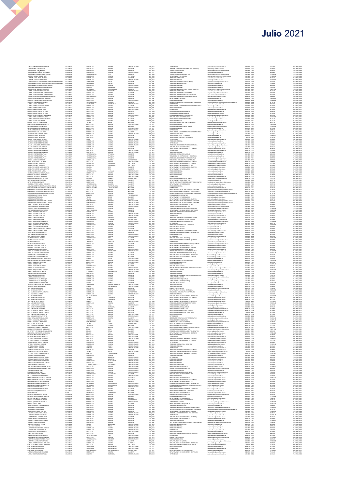| CARVAJAL PEREZ IVON ESTEPHANIE<br>CASAS RAMOS YUDY NATALIA                                                                                           | COLOMBIA<br>COLOMBIA                    | BOGOTA D.C<br>BOGOTA D.C                      | BOGOTA<br>BOGOTA                    | ESPECIALIZACION<br>MAGISTER                               | CAT_AUX<br>CAT_AUX                       | ESP. MEDICAS<br>PREG. RELACIONES INTERN. Y EST. POL.(CAMPUS)                                                       | post.medicina@unimilitar.edu.co<br>elinternal@unimilitar.edu.co                                                                                      | 6500000 - 2042<br>6500000 - 3033                   | 1847040<br>3078400               | Res 2986/2020<br>Res 2986/2020                   |
|------------------------------------------------------------------------------------------------------------------------------------------------------|-----------------------------------------|-----------------------------------------------|-------------------------------------|-----------------------------------------------------------|------------------------------------------|--------------------------------------------------------------------------------------------------------------------|------------------------------------------------------------------------------------------------------------------------------------------------------|----------------------------------------------------|----------------------------------|--------------------------------------------------|
| CASAS RAMOS YUDY NATALIA<br>CASTAÑEDA CASTAÑEDA MIKE JIMMY                                                                                           | COLOMBIA<br>COLOMBIA                    | BOGOTA D.C<br>BOGOTA D.C.                     | BOGOTA<br>BOGOTA                    | MAGISTER<br>ESPECIALIZACION                               | CAT_AUX<br>CAT TIT                       | CONSULTORIO JURIDICO<br>PREGRADO MEDICINA                                                                          | consultorio juridico@unimilitar.edu.co<br>medicina@unimilitar.edu.co                                                                                 | 6500000 - 1239<br>6500000-2048                     | 5848960<br>8420400               | Res 2986/2020<br>Para 2986/202                   |
| CASTAÑEDA TORRES GERMAN ALONSO<br>CASTAÑO ROBAYO MARIA HAIDY                                                                                         | COLOMBIA<br>COLOMBIA                    | CUNDINAMA<br>BOGOTA D.C.                      | COTA<br>BOGOTA                      | MAGISTER<br>DOCTORAL                                      |                                          | CONSULTORIO JURIDICO(CAMPUS)<br>DEPARTAMENTO DE QUIMICA                                                            | itarah <i>o</i>                                                                                                                                      | 6500000 - 3206<br>6500000 - 1526                   | 12986180<br>17608500             | Res 2986/202<br>Res 2986/202                     |
| CASTELBLANCO OMAR EDUARDO                                                                                                                            | COLOMBIA                                | BOGOTA D.C                                    | BOGOTA                              | MAGISTER                                                  | CAT_ASD<br>CAT_ASD<br>CAT_ASD            | PREGRADO CONTADURIA                                                                                                | contaduria@unimilitar.edu.co                                                                                                                         | 6500000 - 1313                                     | 7647120                          | Res 2986/202                                     |
| CASTELBLANCO GOMEZ WILSON<br>CASTELLANOS BALLESTEROS FRANCETH JUSTINE EDUARD                                                                         | COLOMBIA<br>COLOMBIA                    | BOGOTA D.C<br>SANTANDER                       | <b>BOGOTA</b><br>SAN GE             | ESPECIALIZACION<br><b>MAGISTER</b>                        | CAT_AUX<br>CAT_ASI<br>CAT_ASI            | PREGRADO DERECHO<br><b>PRECRADO INCENIERIA CIVI (CAMPUC)</b>                                                       | derecho@unimilitar.edu.co                                                                                                                            | 6500000 - 1244<br>6500000 - 3008                   | 12775360<br>2782200              | Res 2986/2020<br>Res 2986/202                    |
| CASTELLANOS BALLESTEROS FRANCETH, LISTINE FILIARDO<br>CASTELLANOS CORREDOR JORGE ELIECER                                                             | COLOMBIA<br>COLOMBIA                    | SANTANDEI<br>BOGOTA D.C                       | SAN GE<br>COOTA                     | MAGISTER<br>ESPECIALIZACION                               |                                          | PREGRADO INGENIERIA CIVIL                                                                                          | rgenieria.campus@unimilitar.edu.cc<br>rgcivil@unimilitar.edu.co<br>edicina@unimilitar.edu.co                                                         | 6500000-1276<br>6500000-204                        | 1854800<br>402480                | Res 2986/202<br>Res 2986/202                     |
| CASTELLAR ARBELAEZ GERARDO ENRIQUE                                                                                                                   | COLOMBIA                                | BOLIVAR<br>SANTANDER                          | CARTAGENA<br>BUCARAMANG             | ESPECIALIZACION<br>MAGISTER                               | CAT_ASO<br>CAT_AUX<br>CAT_ASO            | FREGRADO MEDICINA<br>PREGRADO MEDICINA<br>PREGRADO INGENIERIA MECATRONICA (CAMPUS)                                 | medicina@unimilitar.edu.co<br>mecatronica.campus@unimilitar.edu.co                                                                                   | 6500000 - 2048<br>6500000 - 3009                   | 1539200<br>14891760              | Res 2986/2020<br>Res 2986/2020                   |
| CASTIBLANCO CONTRERAS RICARDO<br>CASTIBLANCO GONZALEZ LAURA CAROLINA                                                                                 | COLOMBIA<br>COLOMBIA                    | CUNDINAMARCA<br>BOGOTA D.C                    | CHOCONTA<br>BOGOTA                  | ESPECIALIZACION<br>MAGISTER                               | CAT_ASO                                  | PREGRADO CONTADURIA<br>PREGRADO ADMON DE LA SEGURIDAD                                                              | contaduria@unimilitar.edu.co                                                                                                                         | 6500000 - 1313<br>6500000 - 1346                   | 7647120<br>4024800               | Res 2986/202                                     |
| CASTIBLANCO GONZALEZ LAURA CAROLINA                                                                                                                  | COLOMBIA                                | BOGOTA D.C                                    | BOGOTA                              | MAGISTER                                                  | CAT_ASO<br>CAT_ASO                       | PRECRADO ADMON SECURIDAD A DISTANCIA                                                                               | seguridad.integral@unimilitar.edu.co<br>asso.distancia@unimilitar.edu.co                                                                             | 7480333 - 6841                                     | 3622320                          | Res 2986/2020<br>Res 2986/2020                   |
| CASTIBLANCO BOORIGUEZ CATHERINE LISVETH<br>CASTIBLANCO SUAREZ RAUL EDGARDO<br>CASTIBLANCO SUAREZ RAUL EDGARDO<br>CASTILLA STIPCIANOS ALFRÉDO IGNACIO | COLOMBIA<br>COLOMBIA<br>COLOMBIA        | BOGOTA D.C.<br>BOGOTA D.C.                    | ZIPAQUIBA<br>BOGOTA<br>BOGOTA       | MAGISTEI                                                  | CAT_AUD<br>CAT_ASI<br>CAT_ASI            | PREGRADO ADMON DE LA SEGURIDAD CAMPUS<br>DEPARTAMENTO DE FISICA<br>PREGRADO MEDICINA                               | sso.campus@u<br>fisica@unimilitar.edu.co                                                                                                             | 6500000 - 3093<br>6500000 - 1523<br>6500000 - 2048 | 2308800<br>12056200              | Res 2986/202<br>Res 2986/2020<br>Res 2986/2020   |
| CASTILLO RAMIREZ JULIO ALBERTO                                                                                                                       | <b>COLOMBIA</b>                         | CUNDINAMARCA                                  | NEMOCON                             | ESPECIALIZACION<br>MAGISTER                               | CAT_ASO                                  | DPTO TECNOLIGIAS DEL CONOCIMIENTO (DISTANCIA)                                                                      | medicina@unimilitar.edu.co<br>tecnologias.conocimientocam<br>similitar.edu.co                                                                        | 6500000 - 3042                                     | 17620600<br>2716740              | Res 2986/2020                                    |
| CASTRO AYARZA JUAN RAUL<br>CASTRO CARDENAS CLAUDIA ASTRID                                                                                            | <b>COLOMBIA</b><br><b>COLOMBIA</b>      | SANTANDER<br>BOGOTA D.C                       | BUCARAMANGA<br>BOGOTA               | <b>ESPECIALIZACION</b><br>MAGISTER                        | CAT ASO<br>CAT_ASI                       | <b>ESP. MEDICAS</b><br>PREGRADO RELACIONES INTER Y ESTUDIOS POLITICOS                                              | post.medicina@unimilitar.edu.co<br>demail@un<br>militar.edu.cc                                                                                       | 6500000 - 2042<br>6500000 - 1344                   | 2414880<br>7048240               | Res 2986/202<br>Res 2986/202                     |
| CASTRO COMEZ LUIS ANTONIO<br>CASTRO COMEZ LUIS ANTONIO                                                                                               | COLOMBIA<br>COLOMBIA                    | BOGOTA D.C<br>BOGOTA D.C                      | BOGOTA<br>BOGOTA                    | ESPECIALIZACION<br>ESPECIALIZACION                        | CAT_TIT<br>CAT_TIT                       | PREGRADO MEDICINA<br>ESP. MEDICAS                                                                                  | nedicina@unimiltar.edu.co<br>post.medicina@unimilitar.edu.co                                                                                         | 6500000 - 2042                                     | 4210200<br>6736320               | Res 2986/202<br>Res 2986/202                     |
| CASTRO LOSADA CARLOS ARTURO<br>CASTRO LOSADA CARLOS ARTURO                                                                                           | COLOMBIA<br>COLOMBIA                    | BOGOTA D.C<br>BOGOTA D.C                      | BOGOTA<br>BOGOTA                    | MAGISTER<br>MAGISTER                                      | CAT_ASO<br>CAT_ASO                       | PREGRADO CONTADURIA(CAMPUS)<br>PREGRADO ECONOMIA (CAMPUS)                                                          | contaduria@unimiltar.edu.co<br>economia@unimiltar.edu.co                                                                                             | 6500000-3191<br>6500000-1300                       | 9458280<br>3018600               | Res 2986/202<br>Res 2986/202                     |
| CASTRO MEJIA FRANCISCO ALEXANDER                                                                                                                     | COLOMBIA                                | BOGOTA D.C.                                   | BOGOTA                              | ESPECIALIZACION                                           | CAT_AUX<br>CAT_TIT<br>CAT_ASO<br>CAT_ASO | PREGRADO INGENIERIA CIVILICAMPUS)                                                                                  | ingenieria.campus@unimilitar.edu.co<br>matematicas@unimilitar.edu.co<br>ingmecatronica@unimilitar.edu.co                                             | 6500000 - 3008                                     | 6541600                          | Res 2986/2020                                    |
| CASTRO PARRA NESTOR EDUARDO<br>CASTRO PESCADOR ANDRES MAURICIO<br>CASTRO RINCON JHON EDWIN                                                           | COLOMBIA<br>COLOMBIA<br>COLOMBIA        | BOGOTA D.C.<br>BOGOTA D.C.<br>BOGOTA D.C.     | BOGOTA<br>BOGOTA<br>BOGOTA          | MAGISTE                                                   |                                          | DEPARTAMENTO DE MATEMATICAS<br>PREGRADO INGENIERIA MECATRONICA<br>PREGRADO DERECHO                                 |                                                                                                                                                      | 6500000 - 3500<br>6500000 - 1520<br>6500000 - 1279 | 11928900<br>7647120<br>7647120   | Res 2006/2020<br>Res 2006/2020<br>Res 2006/2020  |
| CASTRO TRUJILLO JUAN HARVEY                                                                                                                          | COLOMBIA                                | TOLIMA                                        | <b>IBAGLE</b>                       | MAGISTER<br>MAGISTER<br>ESPECIALIZACION                   | CAT_ASO<br>CAT_TIT                       | PREGRADO ADMINISTRACION DE EMPRESAS                                                                                | derecho@unimilitar.edu.co<br>administracion@unimilitar.edu.co                                                                                        | 6500000 - 1244<br>6500000-1317                     | 8552700                          | Res 2086/2020                                    |
| CAYCEDO BELTRAN RUBEN ERNESTO<br>CENDALES LADINO EDWIN DARIO                                                                                         | COLOMBIA<br>COLOMBIA                    | BOGOTA D.C<br>BOGOTA D.C                      | BOGOTA<br>BOGOTA                    | <b>MAGISTER</b>                                           | CAT ASO                                  | PREGRADO MEDICINA<br>PRECRADO INCENIERIA MECATRONICA                                                               | medicina@unimilitar.edu.co<br>romecatronica@unimilitar.edu.co                                                                                        | 6500000-2046<br>6500000-1279                       | 14034000<br>11269440             | Res 2086/2021<br>Res 2986/2021                   |
| CENTRALES ENGINE EDWIN DRAW<br>CENTRALERO MEZA GABRIEL ADOLFO<br>CERON RINCON LUZ ALEJANDRA                                                          | COLOMBIA<br>COLOMBIA<br>COLOMBIA        | BOGOTA D.C.<br>BOGOTA D.C.<br>BOGOTA D.C.     | ncoti<br>BUGUIA<br>BOGOTA           | ESPECIALIZACION<br>ESPECIALIZACION<br>MAGISTER            | CAT_TIT<br>CAT_TIT<br>CAT_ASO            | FREGRADO MEDICINA<br>ESP. MEDICAS<br>PREGRADO RELACIONES INTER Y ESTUDIOS POLITICOS                                | medicina@unimilitar.edu.co<br>post.medicina@unimilitar.edu.co<br>relinternal@unimilitar.edu.co                                                       | 6500000 - 2048<br>6500000 - 2042<br>6500000 - 1344 | 5613600<br>5613600<br>7647120    | Nes 2086/2020<br>Res 2086/2020<br>Res 2086/2020  |
| CHACON ZAPATA JORGE ALBERTO                                                                                                                          | COLOMBIA                                | BOGOTA D.C                                    | BOGOTA                              | ESPECIALIZACION                                           | CAT_AUX                                  | PREGRADO ECONOMIA                                                                                                  | conomia@unimilitar.edu.co                                                                                                                            | 6500000 - 1318                                     | 5848060                          |                                                  |
| CHAPARRO PARRA MAURICIO<br>CHAPARRO PARRA MAURICIO                                                                                                   | COLOMBIA<br>COLOMBIA                    | BOGOTA D.C<br>BOGOTA D.C                      | BOGOTA<br>BOGOTA                    | MAGISTER<br>MAGISTER                                      | CAT_ASO<br>CAT ASO                       | DEPARTAMENTO FISICA (CAMPUS)<br>DEPARTAMENTO DE FISICA - DISTANCIA                                                 | faica@unimilitar.edu.co                                                                                                                              | 6500000 - 3053<br>7480333 - 6841                   | 13986180<br>2716740              | Res 2986/2020<br>Res 2986/2020<br>Para 2986/2021 |
| CHARRY LOPEZ MARCO LUCIANO<br>CHASKEL HEILBRONNER ROBERT                                                                                             | COLOMBIA<br>COLOMBIA                    | HUILA<br>BOGOTA D.C.                          | NÉIVA<br>BOGOTA                     | ESPECIALIZACION<br>ESPECIALIZACION                        | CAT_AUX<br>CAT_AUX<br>CAT_ASO            | ESP. MEDICAS<br>PREGRADO MEDICINA                                                                                  | faica@unimilitat.edu.co<br>post.medicina@unimilitat.ed<br>medicina@unimilitat.edu.co                                                                 | 6500000 - 2042<br>6500000 - 2048                   | 3694080                          | Res 2086/202<br>Res 2086/202                     |
| CHASKEL HEILBRONNER ROBERTO                                                                                                                          | COLOMBIA                                | BOGOTA D.C                                    | BOGOTA                              | ESPECIALIZACION                                           |                                          | ESP. MEDICAS                                                                                                       | post.medicina@unimilitar.edu.co                                                                                                                      | 6500000-2042                                       | 4829760                          | Res 2986/202                                     |
| CHAVES ALVARADO DIANA FERNANDA<br>CHAVES FSCORAR RASAFL EFLIDE                                                                                       | COLOMBIA<br>COLOMBIA                    | BOGOTA D.C<br>BOGOTA D.C                      | BOGOTA<br>BOGOTA                    | ESPECIALIZACION<br>MAGISTER                               | CAT_AUX<br>CAT_ASO<br>CAT_ASO            | PREGRADO ADMON DE EMPRESAS A DISTANCIA<br>DEBARTAMENTO DE MATEMATICAS                                              | admon.distancia@unimilitar.edu.co<br>natematicas@unimilitar.edu.co                                                                                   | 7480333 - 6841<br>6500000 - 1520                   | 6926400<br>3018600               | Res 2986/2020<br>Res 2986/202                    |
| CHAVES ESCOBAR RAFAEL FELIPE                                                                                                                         | COLOMBIA<br>COLOMBU                     | BOGOTA D.C<br>BOGOTA D.C                      | BOGOTA<br><b>BOGOTA</b>             | MAGISTER<br>ESPECIALIZACION                               |                                          | DEPARTAMENTO DE MATEMATICAS (CAMPUS)                                                                               | unimilitar.edu.c<br>cost.medicina@unimilitar.edu.co                                                                                                  | 6500000-3055<br>6500000-2042                       | 1458280<br>1847040               | Res 2986/202<br>Res 2986/202                     |
| CHIQUILLO ESPITIA ANGELA MARIA<br>CHIQUILLO ESPITIA ANGELA MARIA<br>CHIQUIZA PRETO MAGDA PILAR                                                       | COLOMBIA<br>COLOMBIA                    | BOGOTA D.C.<br>CUNDINAMARCA                   | BOGOTA<br>ZIPAQUIRA                 | ESPECIALIZACION<br>MAGISTER                               | CAT_AUX<br>CAT_AUX<br>CAT_ASO            | ESP. MEDICAS<br>PREGRADO MEDICINA<br>PREGRADO CONTADURIA (CAMPUS)                                                  | medicina@unimilitar.edu.co<br>contaduria@unimilitar.edu.co                                                                                           | 6500000 - 2048<br>6500000 - 3191                   | 3078400<br>4024800               | Res 2986/2020<br>Res 2986/2020                   |
| CHIQUIZA PRIETO MAGDA PILAR<br>CHIQUIZA PRIETO MAGDA PILAR                                                                                           | COLOMBIA<br>COLOMBIA                    | CUNDINAMARCA<br>CUNDINAMARCA                  | ZIPAQUIRA<br><b>ZIPAOURA</b>        | MAGISTER<br>MAGISTER                                      | CAT_ASO                                  | TECNOLOGIA EN CONTABILIDAD Y TRIBUTARIA<br>PREGRADO ADMON DE EMPRESAS (CAMPUS)                                     | contaduria@unimilitar.edu.co<br>miturimilitar.edu.co<br>dministrar                                                                                   | 6500000-3191<br>6500000-1317                       | 2012400<br>5835960               | Res 2986/202                                     |
| CHISICA MAHECHA MARCELA                                                                                                                              | COLOMBIA                                | BOGOTA D.C                                    | <b>BOGOTA</b><br>BOGOTA             | <b>UNIVERSITARIO</b>                                      | CAT_ASO<br>CAT_AUX                       | TECNOLOGIA ATENCION PRE HOSPITALARIA                                                                               | redicina social@unimilitar.edu.cr                                                                                                                    | 6500000-3197                                       | 3078400                          | Res 2986/2020<br>Res 2986/2020                   |
| CHOACHI DIAZ PAOLA LIZZETH<br>CIFUENTES BONETT ROSMERY<br>CIFUENTES BONETT ROSMERY                                                                   | COLOMBIA<br>COLOMBIA<br>COLOMBIA        | BOGOTA D.C                                    | SANTA MARTA<br>SANTA MARTA          | ESPECIALIZACION<br>DOCTORADO                              | CAT_AUX<br>CAT_ASO<br>CAT_ASO            | PREGRADO INGENIERIA BIOMEDICA (CAMPUS<br>DEPARTAMENTO DE HUMANIDADES CAMPUS<br>DEPARTAMENTO DE HUMANIDADES ****    | ing biomedica@unimilitar.edu.co<br>humanidades@unimilitar.edu.co<br>humanidades@unimilitar.edu.co                                                    | 6500000 - 3008<br>6500000 - 3179<br>6500000 - 3179 | 2308800<br>2012400               | Res 2986/202                                     |
| CIFUENTES GARZON JAIRO ALBERTO                                                                                                                       | <b>COLOMBIA</b>                         | MAGDALENA<br>MAGDALENA<br>BOYACA              | TUTA                                | DOCTORADO<br>MAGISTER                                     | CAT_ASO                                  | DEPARTAMENTO DE MATEMATICAS (CAMPUS)                                                                               | matematicas@unimilitar.edu.co                                                                                                                        | 6500000 - 3055                                     | 5835960<br>3018600               | Res 2986/2020<br>Res 2986/2020<br>Res 2986/2020  |
| CIFUENTES GARZON JAIRO ALBERTO<br>CIFUENTES ZEA JUDITH KARINA                                                                                        | <b>COLOMBIA</b><br><b>COLOMBIA</b>      | BOYACA<br>CUNDINAMARCA                        | TUTA<br>LA PALMA                    | MAGISTER<br>ESPECIALIZACION                               | CAT ASO<br>CAT AUX                       | DEPARTAMENTO DE MATEMATICAS<br>PREGRADO MEDICINA                                                                   | natematicas@unimilitar.edu.co<br>edicina@unimilitar.edu.co                                                                                           | 6500000 - 1520<br>6500000 - 2048                   | 3018600<br>2308800               | Res 2986/202<br>Res 2986/202                     |
| CENTRE AN SUMMONS<br>CLANUO CRIZ EDGAR ORLANDO<br>CLANUO CRIZ EDGAR ORLANDO                                                                          | COLOMBIA                                | BOGOTA D.C                                    | BOGOTA<br>BOGOTA<br>BOGOTA          | ESPECIALIZACION<br>ESPECIALIZACION                        | CAT_AUX<br>CAT_ASO<br>CAT_ASO            | PREGRADO MEDICINA<br>PREGRADO MEDICINA<br>ESP MEDICAS                                                              | edicina@unimiltar.edu.co                                                                                                                             |                                                    | 07840                            | Res 2986/202                                     |
|                                                                                                                                                      | COLOMBIA<br>COLOMBIA                    | BOGOTA D.C.<br>BOGOTA D.C.                    |                                     | ESPECIALIZACION                                           |                                          |                                                                                                                    | medicira@unimiltar.edu.co<br>post.medicira@unimilitar.edu.co                                                                                         | 6500000 - 2048<br>6500000 - 2042                   | 3018600<br>4829760               | Res 2986/2020<br>Res 2986/2020                   |
| CLAVUO MENDOZA JUAN RICARDO<br>CLAN ID VARGAS NINA STRILA                                                                                            | <b>COLOMBIA</b><br>COLOMBIA             | QUINDIO<br>BOGOTA D.C                         | ARMENU<br>BOGOTA                    | UNIVERSITARIO<br>MAGISTER                                 | CAT_ASO<br>CAT_TIT                       | PREGRADO INGENERIA MECATRONICA<br>DEPARTAMENTO FISICA (CAMPUS)                                                     | ingmecatronica@unimilitar.edu.co                                                                                                                     | 6500000-1279<br>6500000 - 3053                     | 7647120<br>8139720               | Res 2986/202                                     |
| CLIVIO HERNANDEZ CAMILA<br>CLIVIO HERNANDEZ CAMILA<br>COHECHA TORRES CAMILO HUMBERTO<br>COLMENARES BETANCOURT ALEJANDRO EMILIO                       | COLOMBIA<br>COLOMBIA<br>VENEZUELA       | <b>BOGOTA D.C.</b><br>CUNDINAMA               | <b>ROCOTA</b><br>CAQUEZA            | <b>MAGISTER</b>                                           | CAT_AUX<br>CAT_AUX<br>CAT_ASO            | TEC. EN GESTION Y PRODUCCION HORTICOLA CAMPUS<br>DEPARTAMENTO DE MATEMATICAS                                       | mprenommagomman<br>fisica@urimilitar.edu.co<br>tecnologia.horticultura@urimilitar.edu.co<br>medicina@urimilitar.edu.co<br>medicina@urimilitar.edu.co | 6500000 - 3183<br>6500000 - 3183<br>6500000 - 1520 | 3078400<br>5835960<br>4024800    | Res 2986/2020<br>Res 2986/2020<br>Res 2986/2020  |
| COLMENARES BETANCOURT ALEJANDRO EMILIO                                                                                                               | VENEZUELA                               | ESTADO TACHIRA<br>ESTADO TACHIRA              | CAPITAL TACHIRI<br>CAPITAL TACHIRA  | MAGISTER<br>MAGISTER                                      | CAT_ASO                                  | DEPARTAMENTO DE 111<br>PREGRADO MEDICINA<br>ESP. MEDICAS                                                           | post.medicina@unimilitar.edu.co                                                                                                                      | 6500000-2048<br>6500000-2042                       | 4829760                          | Res 2986/2021<br>Res 2086/2021                   |
| CONTRERAS CALLEJAS LILIANA CONSTANZA                                                                                                                 | COLOMBIA                                | BOGOTA D.C                                    | BOGOTA                              | MAGISTER                                                  | CAT_ASO                                  | DEPARTAMENTO DE TECNOLOGIAS DEL CONOCIMI                                                                           | iecnologias conocimiento@unimilitar.edu.co<br>informatica.distancia@unimilitar.edu.co                                                                | 6500000-1220                                       | 3018600                          | Res 2086/2021                                    |
| CONTRERAS CALLEJAS LILIANA CONSTANZA                                                                                                                 | COLOMBIA                                | BOGOTA D.C<br><b>BOGOTA D.C.</b><br>NINCI INO | BOGOTA<br><b>IOGOTA</b><br>ENGLINI  | MAGISTER<br>MAGISTER<br>MAGISTER<br>POR ESTABLECER        | CAT ASO                                  | PRECRADO INCENIERIA INFORMATICA A DISTANCIA                                                                        |                                                                                                                                                      | 6500000 - 8001                                     | 5433480                          | Res 2986/2021                                    |
| CONTRERAS CHALLENS LILIANA CONSTANZA<br>CONTRERAS CALLEJAS LILIANA CONSTANZA<br>CONTRERAS LEON DIANA MILENA<br>CONTRERAS NIÑO DANIEL                 | COLOMBIA<br>NINGUNO<br>COLOMBIA         | TOLIMA                                        | <b>IBAGLE</b>                       | MAGISTER                                                  | CAT_ASO<br>CAT_AUX<br>CAT_AUX            | PREGRADO DERECHO(CAMPUS)<br>PREGRADO DERECHO(CAMPUS)<br>DEPARTAMENTO DE MATEMATICAS                                | tecnologias, conocimiento campus@uni<br>derecho@unimilitar.edu.co<br>matematicas@unimilitar.edu.co                                                   | 6500000-1520                                       | 2716740<br>3078400<br>3018600    | Nes 2986/2020<br>Res 2986/2020<br>Res 2986/2020  |
| CONTRERAS NIÑO DANIEL                                                                                                                                | COLOMBIA                                | TOLIMA                                        | <b>IBAGUE</b>                       | <b>MAGISTER</b><br>ESPECIALIZACION                        | CAT_ASO                                  | DEPARTAMENTO DE MATEMATICAS (CAMPUS)                                                                               | matematicas@unimilitar.edu.co                                                                                                                        | 6500000 - 3055                                     | 8552700                          | Res 2086/2021                                    |
| CONTRERAS SUAREZ YEIMMY ALEJANDRA<br>CONTRERAS SUAREZ YEIMMY ALEJANDRA                                                                               | COLOMBIA<br>COLOMBIA                    | CUNDINAMARCA<br>CUNDINAMARCA                  | <b>ZIPAQUIRA</b><br>ZIPAQUIRA       | ESPECIALIZACION                                           | CAT_AUX<br>CAT_AUX                       | DEPARTAMENTO DE TECNOLOGIAS DEL CONOCIM<br>DEPARTAMENTO DE TECNOLOGIAS DEL CONOCIM                                 | tecnologias conocimiento@unimilitar.edu.co<br>ecnologias.conocimiento@unimilitar.edu.co                                                              | 6500000 - 1220<br>6500000 - 1220                   | 4453680<br>2308800               | Res 2986/2020<br>Res 2986/2021                   |
| LOT US SUMEZ TOMMY ALEJA<br>CORAL CARDENAS MARIA DEL PILAR<br>CORAL CARDENAS MARIA DEL PILAR                                                         | COLOMBIA<br>COLOMBIA<br>COLOMBIA        | BOGOTA D.C.<br>BOGOTA D.C.                    | BOGOTA<br>BOGOTA                    | ESPECIALIZACION                                           | CAT_AUX<br>CAT_AUX<br>CAT_AUX            | DEPARTAMENTO DE HUMANIDADES ***<br>CONSULTORIO JURIDICO(CAMPUS)                                                    | humanidades@unimilitar.edu.co<br>consultorio.juridico@unimilitar.edu.co<br>ingenieria.campus@unimilitar.edu.co                                       | 6500000 - 3179<br>6500000 - 3206                   | --------<br>5848960<br>5848960   | Res 2986/202<br>Res 2986/202                     |
| CORDERO SAENZ NESTOR ORLANDO<br>CORRALES MEJIA MARIA CRISTINA                                                                                        | COLOMBIA                                | BOGOTA D.C<br>VALLE DEL CAUCA                 | BOGOTA<br>CALL                      | MAGISTER<br>MAGISTER                                      | CAT_ASO                                  | PREGRADO INGENIERIA INDUSTRIAL (CAMPUS)<br>DEPARTAMENTO DE HUMANIDADES - DISTANCIA                                 | humanidades@unimilitar.edu.co                                                                                                                        | 6500000 - 3245<br>7480333 - 6841                   | 17608500<br>14489280             | Res 2986/202<br>Res 2986/2020                    |
| CORREA BECERRA LUIS ENRIQUE<br>CORREA MAZUERA CATALINA                                                                                               | COLOMBIA<br>COLOMBIA                    | BOGOTA D.C<br>BOGOTA D.C                      | BOGOTA<br><b>BOGOTA</b>             | MAGISTER<br><b>FORDIAL PACION</b>                         | CAT_ASO<br>CAT ASO                       | PREGRADO ADMINISTRACION DE EMPRÉSAS<br>PREGRADO MEDICINA                                                           | administracion (bunimilitar.edu.co<br>edicina@unimilitar.edu.co                                                                                      | 6500000 - 1317<br>6500000-2048                     | 4024800<br>4024800               | Res 2986/202<br>Res 2986/202                     |
| CORREA MAZUERA CATALINA                                                                                                                              | COLOMAN                                 | BOGOTA D.C                                    | COCOTA                              | ESPECIALIZACION                                           | CAT_ASO<br>CAT_AUX<br>CAT_AUX            | FISIANNO MINIMUM<br>PREGRADO ADMON DE LA SEGURIDAD CAMPUS<br>TECNOLOGIA ATENCION PRE HOSPITALARIA                  | nvocasjoamma.voc.co<br>asso.campus@unimilitar.edu.co<br>medicina.social@unimilitar.edu.co                                                            | 6500000-2042                                       | 4829760                          | Res 2986/202                                     |
| CORTES CABEZAS EDINSON<br>CORTES CABEZAS EDINSON                                                                                                     | COLOMBIA<br>COLOMBIA                    | CUNDINAMARCA<br>CUNDINAMARCA                  | ZIPAQUIRA<br>ZIPAQUIRA              | UNIVERSITARIO<br>UNIVERSITARIO                            |                                          |                                                                                                                    |                                                                                                                                                      | 6500000-3093<br>6500000-3197                       | 3078400<br>3078400               | Res 2986/2020<br>Res 2986/2020                   |
| CORTES GUACANEME JUAN DAVID<br>CORTES JARAMILLO ELSA JIMENA                                                                                          | COLOMBIA<br>COLOMBIA                    | BOGOTA D.C.<br>BOGOTA D.C                     | <b>BOGOTA</b><br><b>BOGOTA</b>      | <b>ESPECIALIZACION</b><br><b>ESPECIALIZACION</b>          | CAT_ASO<br>CAT_ASO<br>CAT_ASO            | PREGRADO INGENIERIA CIVIL(CAMPUS)<br>ESP. MEDICAS<br>PREGRADO INGENIERIA CIVIL A DISTANCIA                         | ingenieria.campus@unimilitar.edu.cc<br>.<br>Iost.medicina@unimilitar.edu.co<br>cdistancia@unimilitar.edu.co                                          | 6500000-3008<br>6500000 - 2042<br>7480333 - 6841   | 13986180<br>4829760              | Res 2986/202<br>Res 2986/2020<br>Res 2986/2020   |
| CORTES OUNTERO CULLERMO LEON<br>CORTES SALAZAR HECTOR MANUEL                                                                                         | COLOMBIA                                | CUNDINAMARCA<br>BOGOTA D.C.                   | GRARDO<br>BOGOTA                    | MACKTER<br>MAGISTER                                       |                                          | DEPARTAMENTO DE FISICA                                                                                             | isica@unimiltar.edu.co                                                                                                                               | 6500000 - 1523                                     | 13583700                         | Res 2986/202                                     |
| CORTES SANCHEZ FRANCISCO ERNESTO                                                                                                                     | COLOMBIA<br>COLOMBIA                    | BOGOTA D.                                     | BOGOTA<br>BOGOTA                    | MAGISTEI<br>ESPECIALIZACION                               | CAT_ASO<br>CAT_ASO<br>CAT_AUX            | DEPARTAMENTO DE FISICA                                                                                             | fisica@unimilitat edu.co<br>asso.campus@unimilitat edu.co                                                                                            | 6500000 - 1523                                     | 5835960<br>5835960<br>3078400    | Res 2986/2020<br>Res 2986/2020                   |
| CORTES SANCHEZ HARRYS YESID<br>COTE PABON SEBASTIAN FELIPE                                                                                           | <b>COLOMBIA</b>                         | BOGOTA D.C<br>BOGOTA D.C                      | BOGOTA                              | MAGISTER                                                  | CAT_AUX                                  | PREGRADO ADMON DE LA SEGURIDAD CAMPUS<br>PREG. RELACIONES INTERN. Y EST. POL.(CAMPUS)                              | relinternal@unimilitar.edu.co                                                                                                                        | 6500000 - 3093<br>6500000 - 3033                   | 5848060                          | Res 2986/2020                                    |
| CRISTANCHO HOYOS LEONARDO<br>CRISTO COLMENARES JAVIER                                                                                                | <b>COLOMBIA</b><br><b>COLOMBIA</b>      | BOGOTA D.C<br>BOGOTA D.C                      | BOGOTA<br>BOGOTA                    | ESPECIALIZACION<br>ESPECIALIZACION                        | CAT AUX<br>CAT ASO                       | PREGRADO DERECHO<br><b>ESP. MEDICAS</b>                                                                            | .<br>Jerecho@unimilitar.edu.co<br>post.medicina@unimilitar.edu.co                                                                                    | 6500000 - 1244<br>6500000-2042                     | 8619520<br>6037200               | Res 2986/202<br>Res 2986/202                     |
| CRUZ GARZON RAJL EDUARD<br>CRUZ GARZON RAJL EDUARD<br>CRUZ PEREZ NATALY                                                                              | COLOMBIA                                | <b>CUNDINAMARCA</b><br>BOGOTA D.C             | BOGOTA                              | MAGISTER<br>MAGISTER                                      | CAT_ASI<br>CAT_ASI<br>CAT_ASO            | LIFINATION FISICA (CAMPUS)<br>PREGRADO INGENERIA INDUSTRIAL (CAMPUS)<br>ESP. MÉDICAS                               | ica@unimilitar.edu.co                                                                                                                                |                                                    | 1205620                          | Res 2986/202                                     |
| CRUZ VELASQUEZ LEONARDO                                                                                                                              | CCLOMBIA<br>CCLOMBIA<br><b>COLOMBIA</b> | ANTIDQULA<br>BOGOTA D.C.                      | MEDELLIN<br>BOGOTA                  | ESPECIALIZACION<br>MAGISTER                               | CAT_ASO                                  | PREGRADO INGENIERIA DE MULTIMEDIA (CAMPUS)                                                                         | ingenieria.campus@unimilitar.edu.co<br>post.medicina@unimilitar.edu.co<br>ngenieria.campus@unimilitar.edu.cc                                         | 6500000 - 3245<br>6500000 - 2042<br>6500000 - 3247 | 8552700<br>2414880<br>5835060    | Res 2986/2020<br>Res 2986/2020<br>Res 2986/202   |
| CUADROS VIVAS JOSE VICENTE                                                                                                                           | <b>COLOMBIA</b>                         | BOYACA                                        | DUITAMA                             | MAGISTER<br>MACKTER                                       | CAT_ASO                                  | DEPARTAMENTO DE HUMANIDADES ****                                                                                   | umanidades@unimilitar.edu.co                                                                                                                         | 6500000-3179                                       | 5835960                          |                                                  |
| CUADROS VIVAS JOSE VICENTE<br>CUBIDES MENDOZA JUAN DANI                                                                                              | COLOMBIA<br>COLOMBIA<br>COLOMBIA        |                                               | DUITAMA<br>BOGOTA<br>FUSAGASUGA     | ESPECIALIZACIO                                            | CAT_ASO<br>CAT_AUX<br>CAT_AUX            | DEPARTAMENTO DE HUMANIDADES CAMPUS<br>PREGRADO INGENIERIA EN MULTIMEDIA<br>SECCION BIENESTAR UNIVERSITARIO CAMPUS  | humanidades@unimilitar.edu.co<br>ingmultimedia@unimilitar.edu.co                                                                                     | 6500000-3179<br>6500000-1293                       | 4024800<br>2308800<br>12467520   | Res 2986/2020<br>Res 2986/2020<br>Res 2986/2020  |
| CUBILLOS CAICEDO MONICA LILIANA<br>CUBILLOS GUZMAN LUIS FRANCISCO                                                                                    | COLOMBIA                                | <b>CUNDINAMARCA</b><br>BOGOTA D.C.            | BOGOTA                              | ESPECIALIZACION<br>MAGISTER                               | CAT_ASO                                  | PREGRADO ADMON DE EMPRESAS (CAMPUS)                                                                                | seccion bienestar@unimilitar.edu.cr<br>administracion@unimilitar.edu.co                                                                              | 6500000-3310<br>6500000-1317                       | 11269440                         | Res 2986/202<br>Res 2086/2021                    |
| CUCAITA MELO OSCAR FERNANDO<br>CUCAITA MELO OSCAR FERNANDO                                                                                           | COLOMBIA<br>COLOMBIA                    | BOGOTA D.C<br>BOGOTA D.C.                     | BOGOTA<br><b>BOGOTA</b>             | MAGISTER<br>MAGISTER                                      | CAT_ASO<br>CAT ASO                       | DEPARTAMENTO DE HUMANIDADES - DISTANCIA<br>DEPARTAMENTO DE HUMANIDADES CAMPUS                                      | humanidades@unimilitar.edu.co<br>humanidades@unimilitar.edu.co                                                                                       | 7480333 - 6841<br>6500000-3179                     | 3622320<br>4024800               | Res 2086/2021<br>Res 2986/2021                   |
| CUELLAR ENRIQUEZ MARIO FRANCISCO<br>CUELLO QUINTERO JELVER ALEXANDER<br>CUERVO BENAVIDES CAROLINA                                                    | COLOMBIA<br>COLOMBIA<br>COLOMBIA        | NARINO<br>BOGOTA D.C.                         | PASTO<br>BOGOTA                     | ESPECIALIZACION<br>ESPECIALIZACION<br>ESPECIALIZACION     | CAT_AUX<br>CAT_AUX<br>CAT_AUX            | PREGRADO MEDICINA<br>DIVISION DE BIENESTAR UNIVERSITARIO<br>PREGRADO INGENIERIA CIVIL                              | medicina@unimilitar.edu.co<br>bienestar@unimilitar.edu.co<br>ingcivil@unimilitar.edu.co                                                              | 6500000 - 2048<br>6500000 - 1060<br>6500000 - 1276 | 3848000<br>12678120<br>6541600   | Nes 2986/2020<br>Res 2986/2020<br>Res 2986/2020  |
|                                                                                                                                                      |                                         | BOGOTA D.C                                    | BOGOTA                              |                                                           |                                          |                                                                                                                    |                                                                                                                                                      |                                                    |                                  |                                                  |
| CUERVO ORDOÑEZ RUTH<br>CUERVO OSSES RUBY MARGOTH                                                                                                     | COLOMBIA<br>COLOMBIA                    | BOYACA<br>CUNDINAMARCA                        | TUNJA<br>TOCAIM                     | MAGISTER<br>MAGISTER                                      | CAT_AUX<br>CAT_ASO                       | PREGRADO DERECHO<br>DEPARTAMENTO DE FISICA                                                                         | erecho@unimilitar.edu.co<br>fisica@unimilitar.edu.co                                                                                                 | 6500000-1244<br>6500000-1523                       | 10697440<br>9458280              | Res 2086/2021<br>Res 2086/2021                   |
| CUERVO ROJAS CARLOS JULIO                                                                                                                            | COLOMBIA                                | BOGOTA D.C.                                   | BOGOTA                              | ESPECIALIZACION                                           | CAT_AUX                                  | TEC. EN GESTION Y PRODUCCION HORTICOLA CAMPUS                                                                      | tecnologia horticultura@unimilitar.edu.co                                                                                                            | 6500000-3183                                       | 3078400                          | Res 2086/2021                                    |
| CUERVO VASQUEZ CESAR AUGUSTO<br>CUESTA HUERTAS BLAS MARTIN<br>CURE VERGARA HELNA SADIME                                                              | COLOMBIA<br>COLOMBIA                    | BOGOTA D.C.<br>ATLANTICO<br>BOGOTA D.C.       | BOGOTA<br>BARRAN<br>BOGOTA          | ESPECIALIZACION<br>ESPECIALIZACION<br>MAGISTER            | CAT_ASI<br>CAT_ASI<br>CAT_ASO            | CONSULTORIO JURIDICO<br>PREGRADO MEDICINA<br>PREGRADO MEDICINA                                                     | consultorio,juridico@unimilitar.edu.co<br>medicina@unimilitar.edu.co<br>medicina@unimilitar.edu.co                                                   | 6500000 - 1239<br>6500000 - 2048<br>6500000 - 2048 | 1038688<br>5031000               | Res 2986/202<br>Res 2986/202<br>Res 2986/202     |
| DANGON MOISES DARIO LUIS                                                                                                                             | COLOMBIA                                | BOGOTA D.C                                    | BOGOTA                              | MAGISTER                                                  | CAT_ASO                                  | PREGRADO RELACIONES INTER Y ESTUDIOS POLITICOS                                                                     | reinternal@unimilitar.edu.co                                                                                                                         | 6500000-1344                                       | 7647120                          | Res 2986/2020                                    |
| DANGON MOISES DARIO LUIS<br>DAZA BARRIOS WILLIAM ENRICUE                                                                                             | COLOMBIA<br>COLOMBIA                    | BOGOTA D.C<br>BOGOTA D.C                      | BOGOTA<br><b>BOGOTA</b>             | MAGISTER<br>MAGISTER                                      | CAT_ASO<br>CAT ASO                       | CONSULTORIO JURIDICO<br>PREGRADO DERECHO(CAMPUS)                                                                   | consultorio juridico@unimilitar.edu.co<br>derecho@unimilitar.edu.co                                                                                  | 6500000 - 1239<br>6500000-3199                     | 9458280<br>8552700               | Res 2986/2020<br>Res 2986/202                    |
| DAZA BARRIOS WILLIAM ENRIQUE<br>DAZA FIGUEREDO JESUS ARNOLDO<br>DELGADO BARRAZA ANDRES MAURICIO                                                      | COLOMBIA<br>COLOMBIA<br>COLOMBIA        | BOGOTA D.C.<br>BOYACA<br>SANTANDER            | BOGOTA<br>BOGOTA<br>BARRANCABERMEJA | MAGISTER<br>MAGISTER                                      | CAL AGO<br>CAT ASO<br>CAT ASO<br>CAT ASI | CONSULTORIO JURIDICO (CAMPUS)<br>DEPARTAMENTO DE FISICA<br>PREGRADO MEDICINA                                       | consultorio jurídico (Junin<br>lisica(Junimilitar edu co                                                                                             | 6500000 - 3206<br>6500000 - 1523                   | 9458280<br>13986180<br>3709600   | Nes 2006/2020<br>Res 2086/2020<br>Res 2086/2020  |
| DELGADO LASSO RENE ARTURO                                                                                                                            | COLOMBIA                                | NARINO                                        | SAN BERNARDO                        | ESPECIALIZACION<br>ESPECIALIZACION                        | CAT_AUX                                  | PREGRADO MEDICINA                                                                                                  | nedicina@unimilitar.edu.co<br>medicina@unimilitar.edu.co                                                                                             | 6500000-2048<br>6500000-2048                       | 1848000                          | Res 2986/202                                     |
| <b>DIAZ EORERO GULLERMO</b><br>DIAZ GONZALEZ CRISTINA                                                                                                | COLOMBIA<br>COLOMBIA                    | BOGOTA D.C<br>BOGOTA D.C                      | <b>BOGOTA</b><br>BOGOTA             | MAGISTER<br>LICENCIADO                                    | CAT_AUX<br>CAT_ASO                       | CONSULTORIO JURIDICO<br>DEPARTAMENTO DE FISICA - DISTANCIA                                                         | consultorio juridico@unim<br>fisica@unimilitar.edu.co<br>liter educa                                                                                 | 6500000 - 1239<br>7480333 - 6841                   | 7234240<br>10866960              | Res 2986/2020<br>Res 2986/2020                   |
| DIAZ GRANADOS HENRY LEON                                                                                                                             | COLOMBIA<br>COLOMBIA                    | BOGOTA D.C                                    | <b>SOGOTA</b>                       | UNIVERSITARI                                              | CAT_AUX<br>CAT_ASI<br>CAT_ASO            | ECNOLOGIA ATENCION PRE HOSPITALARIA                                                                                | nedicina.social@unimilitar.edu.co                                                                                                                    | 6500000-3197                                       | 5848960<br>1854800               | Res 2986/202                                     |
|                                                                                                                                                      |                                         | BOGOTA D.C.<br>VALLE DEL CAUCA                | BOGOTA<br>CALI                      | ESPECIALIZACION<br>MAGISTER                               |                                          | PREGRADO MEDICINA<br>DEPARTAMENTO DE HUMANIDADES - DISTANCIA                                                       | medicina@unimilitar.edu.co<br>humanidades@unimilitar.edu.co                                                                                          | 6500000 - 2048<br>7480333 - 6841                   | 12678120                         | Res 2986/2020<br>Res 2986/2020                   |
| DIAZ OSORIO MIGUEL ANDRÉS<br>DIAZ OSOBIO MICHEL ANDRES                                                                                               | COLOMBIA<br><b>COLOMBIA</b>             | TOLIMA<br>TOLIMA                              | CHAPARRAL<br>CHAPARRAL              | MAGISTER<br>MAGISTER                                      | CAT_TIT<br>CAT TIT                       | DEPARTAMENTO DE MATEMATICAS (CAMPUS)<br>DEBARTAMENTO DE MATEMATICAS                                                | matematicas@unimilitar.edu.co<br>natematicas@unimilitar.edu.co                                                                                       | 6500000 - 3055<br>6500000 - 1520                   | 9402780<br>4210200               | Res 2986/2020<br>Res 2986/202                    |
| DIAZ PINZON YETZA XMENA<br>DIAZ RAMIREZ NESTOR RAU                                                                                                   | <b>COLOMBIA</b><br>COLOMBIA             | <b>BOYACA</b><br>BOGOTA D.C.                  | TUNJA<br><b>SOGOTA</b>              | FSPECIALIZACION<br>MAGISTER                               | CAT ASO                                  | DEPARTAMENTO DE MATEMATICAS - DIST 2013                                                                            | atematicas@unimilitar.edu.cr                                                                                                                         | 7480333 - 6841<br>6500000 - 1317                   | 16300440<br>11269440             | Res 2986/202<br>Res 2986/202                     |
| DIAZ SOLANO SILVIA ANDREA<br>DIAZ SUAZA FELIPE AUGUSTO                                                                                               | CCLOMBIA<br>CCLOMBIA                    | HUILA<br>BOLIVAR                              | NÉIVA<br>CARTAGENA                  | ESPECIALIZACION                                           | CAT_ASD<br>CAT_ASD<br>CAT_ASD            | PREGRADO ADMINISTRACION DE EMPRESAS<br>PREGRADO DERECHO (CAMPUS)<br>PREGRADO ECONOMIA (CAMPUS)                     | derecho@unimilitar.edu.co<br>economia@unimilitar.edu.co                                                                                              | 6500000-3199                                       | 5848960<br>3018600               | Res 2986/2020<br>Res 2986/2020                   |
| DIAZ TAPIAS MARCO ANTONIO                                                                                                                            | <b>COLOMBIA</b>                         | BOGOTA D.C                                    | BOGOTA                              | MAGISTER<br>MAGISTER                                      | CAT_ASO                                  | PREGRADO BIOLOGIA APLICADA                                                                                         | programa.biologia@unimilitar.edu.co                                                                                                                  | 6500000 - 1300<br>6500000 - 3085                   | 5835060                          | Res 2986/2020                                    |
| DIAZ VILLARRAGA JAIRO ALEXANDER<br>DIAZ VILLARRACA, IAIRO ALEXANDER                                                                                  | <b>COLOMBIA</b><br><b>COLOMBIA</b>      | BOGOTA D.C<br>BOGOTA D.C                      | BOGOTA<br>BOGOTA                    | MAGISTER<br>MACKTER                                       | CAT_ASO<br>CAT_ASO                       | PREGRADO INGENIERIA CIVILICAMPUS!<br><b>PRECRADO INCENERIA CIVIL A DISTANCIA</b>                                   | .<br>ngenieria.campus@unimilitar.edu.cr<br>cdistancia@unimilitar.edu.co                                                                              | 6500000 - 3008<br>7480333 - 6841                   | 4024800<br>5433480               | Res 2986/2020<br>Res 2986/2020                   |
| DIAZ YAMAL IVONNE JEANNETTE<br>DIAZ YAMAL IVONNE JEANNETTE                                                                                           | COLOMBIA<br>COLOMBIA                    | BOGOTA D.C<br>BOGOTA D.C                      | BOGOTA<br>BOGOTA                    | ESPECIALIZACION<br><b>ESPECIALIZACION</b>                 | CAT_TIT<br>CAT_TIT                       | PREGRADO MEDICINA<br>ESP. MEDICAS                                                                                  | edicina@unimiltar.edu.co<br>post.medicina@unimilitar.edu.cr                                                                                          | 500000-204<br>6500000-2042                         | 5613600<br>8420400               | Res 2986/202<br>Res 2986/202                     |
| DINAS BERMUDEZ FREDDY ALONSO<br>DUARTE AGUILAR CLARA VIVIANA                                                                                         | COLOMBIA<br>COLOMBIA                    | BOGOTA D.C<br><b>CUNDINAMARCA</b>             | BOGOTA<br>CHIA                      | MAGISTER<br>ESPECIALIZACION                               | CAT_ASI<br>CAT_AUX                       | SECCION BIENESTAR UNIVERSITARIO CAMPUS<br>PREGRADO DERECHO(CAMPUS)                                                 | eccion bienestar@unimilitar.edu.co<br>derecho@unimilitar.edu.co                                                                                      | 6500000 - 3310<br>6500000-3199                     | 11685240<br>10697440             | Res 2986/2020<br>Res 2086/2020                   |
|                                                                                                                                                      |                                         |                                               |                                     |                                                           |                                          | NASE TORIO - EIRODOOCAAREK                                                                                         |                                                                                                                                                      |                                                    |                                  |                                                  |
| DUQUE CRUZ JULIO CESAR<br>DUQUE PIEDRAHITA MAXIMO ALBERTO<br>DURAN VIVAS ANDRES LEONARDO                                                             | COLOMBIA<br>COLOMBIA                    | TOLIMA<br>ANTIOQUIA<br>BOGOTA D.C.            | LIBANO<br>ITUANGO                   | <b>UNIVERSITARIO</b><br>MAGISTER<br>ESPECIALIZACION       | CAT_AUX<br>CAT_ASO<br>CAT_AUX            | DIVISION DE BIENESTAR UNIVERSITARIO<br>PREGRADO DERECHO(CAMPUS)<br>PREGRADO INGÉNIERA DE MULTIMEDIA (CAMPUS)       | bienestar@unimilitar.edu.co<br>derecho@unimilitar.edu.co<br>ingenieria.campus@unimilitar.edu.co                                                      | 6500000 - 1060<br>6500000 - 3199<br>6500000 - 3247 | 13160160<br>2012400<br>4463680   | Res 2086/2020<br>Res 2086/2020<br>Res 2086/2020  |
| DUSSAN ESPINOSA JOHN ALEXANDER                                                                                                                       | COLOMBIA                                | HULA                                          | NEIVA                               | MAGISTER                                                  | CAT_ASO                                  | CONSULTORIO JURIDICO/CAMPUS)                                                                                       | onsultorio juridico@unimilitar.edu.co                                                                                                                | 6500000 - 3206                                     | 14891760                         | Res 2086/2021                                    |
| ECHEVERRY HERNANDEZ ARIEL AUGUSTO<br>ELORREAGA RODRIGUEZ LUZ MARICEL                                                                                 | COLOMBIA<br>COLOMBIA                    | BOYACA<br>BOYACA                              | TUNJA<br>PAIPA                      | <b>MAGISTER</b><br><b>MAGISTER</b>                        | CAT_ASO<br>CAT ASO                       | PREG. RELACIONES INTERN. Y EST. POL.(CAMPUS)<br>DEPARTAMENTO DE MATEMATICAS - DIST 2013                            | elinternal@unimilitar.edu.co<br>matematicas@unimilitar.edu.co                                                                                        | 6500000-3033<br>7480333 - 6841                     | 4024800<br>17206020              | Res 2086/2021<br>Res 2086/2021                   |
| ESCOBAR ARALLIO HUGO ENRIQUE<br>ESCOBAR ARALLIO HUGO ENRIQUE                                                                                         | COLOMBIA<br>COLOMBIA                    | BOGOTA D.C<br>BOGOTA D.C                      | BOGOTA<br>BOGOTA                    | ESPECIALIZACION<br>ESPECIALIZACION                        | CAT_ASO<br>CAT_ASO<br>CAT_ASO            | PREGRADO MEDICINA.<br>ESP. MEDICAS                                                                                 | medicina@unimilitar.edu.co<br>post.medicina@unimilitar.edu.co<br>ing.ambiental@unimilitar.edu.co                                                     | 5500000 - 2048<br>6500000 - 2042                   | ----------<br>4024800<br>4829760 | Res 2086/202<br>Res 2086/202                     |
| ESCOBAR OCHOA MARIO ALBERTO<br>ESCOBAR RODRIGUEZ LUIS GABRIEL                                                                                        | COLOMBIA<br>COLOMBIA                    | BOGOTA D.C<br>BOGOTA D.C                      | BOGOTA<br>BOGOTA                    | ESPECIALIZACION<br>MAGISTER                               |                                          | PREGRADO INGENIERIA AMBIENTAL (CAMPUS)<br>DEPARTAMENTO DE HUMANIDADES CAMPUS                                       | humanidades@unimilitar.edu.co                                                                                                                        | 6500000 - 3008<br>6500000 - 3179                   | 13986180<br>7647120              | Res 2986/202<br>Res 2986/2020                    |
| ESLAVA JACOME CAMLO ALBERTO<br>ESPINEL PARRA FABIO ENRIQUE                                                                                           | COLOMBIA<br>COLOMBIA                    | BOGOTA D.C<br>BOGOTA D.C                      | BOGOTA<br>BOGOTA                    | ESPECIALIZACION<br>ESPECIALIZACION                        | CAT_ASO<br>CAT_TIT<br>CAT AUX            | ESP. MEDICAS<br>REFORADO CONTADURIA A DISTANCIA                                                                    | post.medicina@unimilitar.edu.co<br>pdistancia@unimilitar.edu.co                                                                                      | 6500000 - 2042<br>7480333 - 6841                   | 8420400<br>11082240              | Res 2986/202<br>Para 2986/202                    |
|                                                                                                                                                      | COLOMBIA                                |                                               | CERETE                              | ESPECIALIZACIO                                            |                                          | PREGRADO MEDICINA                                                                                                  |                                                                                                                                                      |                                                    |                                  |                                                  |
| La INGLETINA CARDA EUGENIA<br>ESPINOSA GARCIA EUGENIA<br>ESPINOSA MEDINA RICARDO ALONSO                                                              | COLOMBI<br>COLOMBIA                     | CORDOBA<br>CORDOBA<br>BOGOTA D.C.             | CERETE<br>BOGOTA                    | ESPECIALIZACION<br>ESPECIALIZACION<br>MAGISTER            | CAT_TIT<br>CAT_TIT<br>CAT_AUX            | PREGINADO MEDICINA<br>ESP. MEDICAS<br>PREGRADO INGENIERIA BIOMEDICA (CAMPUS)                                       | medicina@unimite.edu.co<br>post.medicina@unimilitar.edu.co<br>ing.biomedica@unimilitar.edu.co                                                        | 6500000-3008                                       | 5613600<br>8420400<br>5848960    | Pes 2006/2020<br>Res 2006/2020<br>Res 2006/2020  |
| ESPINOSA VILLANUEVA PEDRO NEL<br>ESQUIVEL ACOSTA ALFREDO CARLOS                                                                                      | COLOMBIA<br>COLOMBIA                    | TOLIMA<br>CORDOBA                             | <b>BAGUE</b><br>CIENAGA DE ORO      | <b>ESPECIALIZACION</b><br>MAGISTER                        | CAT_ASI<br>CAT_ASO                       | PREGRADO ADMON DE EMPRESAS A DISTANCIA<br>PREGRADO INGENIERIA AMBIENTAL (CAMPUS)                                   | admon.distancia@unimilitar.edu.co<br>ing ambiental@unimilitar.edu.co                                                                                 | 7480333 - 6841<br>6500000-3008                     | 3338640<br>14891760              | Res 2986/202<br>Res 2986/202                     |
| <b>ESOUNEL CAMPO DECO LUS</b><br>ESQUIVIA PAJARO CARMEN TERESA                                                                                       | COLOMBIA<br>COLOMBIA                    | BOGOTA D.C.<br>CORDOBA                        | <b>BOGOTA</b><br>MONTERIA           | MAGISTER<br>ESPECIALIZACION                               | CAT TIT                                  | PREGRADO MEDICINA<br>ESP. MEDICAS                                                                                  | adicinativnimilitar adu.co.<br>post.medicina@unimilitar.edu.c                                                                                        | 6500000-2048<br>6500000-2042                       | 1403400<br>6037200               | Res 2986/202<br>Res 2986/202                     |
| ESQUIVIA PAJARO CARMEN TERESA<br>ESTRADA MONTERROZA JOSE MARL                                                                                        | COLOMBIA<br>EL SALVADO                  | CORDOBA<br>EL SALVADOR                        | MONTERIA<br>EL SALVADOR             | ESPECIALIZACION<br>ESPECIALIZACION                        | CAT_ASO<br>CAT_ASO<br>CAT_AUX            | PREGRADO MEDICINA<br>PREGRADO MEDICINA                                                                             | medicina@unimilitar.edu.co<br>medicina@unimilitar.edu.co                                                                                             | 6500000 - 2048<br>6500000 - 2048                   | 4024800<br>1539200               | Res 2986/2020<br>Res 2986/2020                   |
| ESTRADA VILLARRAGA JUAN CARLOS                                                                                                                       | COLOMBIA                                | BOGOTA D.C.                                   | BOGOTA                              | ESPECIALIZACION                                           | CAT_ASO                                  | PREGRADO MEDICINA                                                                                                  | medicina@unimilitar.edu.co<br>waterbalan diumimilitar ada er                                                                                         | 6500000-2048                                       | 2012400                          | Res 2986/2020                                    |
| EVANS BERNARD CLEVELAND<br>FAJARDO ANDRADE LORENA DEL PILAR                                                                                          | COLOMBIA<br>COLOMBIA                    | S ANDRES PROV Y S C<br>BOGOTA D.C             | SAN ANDRES<br>BOGOTA                | <b>ESPECIALIZACION</b><br>ESPECIALIZACION                 | CAT AUX<br>CAT ASO                       | PREGRADO CONTADURIA<br>PREGRADO DERECHO/CAMPUS)                                                                    | asarbodis mimilitar adu co.                                                                                                                          | 6500000 - 1313<br>6500000 - 3199                   | 5848960<br>11269440              | Res 2986/202<br>Res 2986/202                     |
| FAJARDO ANDRADE LORENA DEL PILAR                                                                                                                     | <b>COLOMAN</b><br><b>COLOMBIA</b>       | BOGOTA D.C<br>BOGOTA D.C                      | BOGOTA<br>BOGOTA                    | ESPECIALIZACION<br>ESPECIALIZACION                        | CAT_ASO<br>CAT_AUX<br>CAT_AUX            | CONSULTORIO JURIDICO (CAMPUS)<br>PREGRADO CONTADURIA<br>PREGRADO ADMON DE LA SEGURIDAD                             | consultorio, juridico@unimilitar.edu.co<br>contaduria@unimilitar.edu.co<br>seguridad.integral@unimilitar.edu.co                                      | 6500000-3206<br>6500000 - 1313                     |                                  | Res 2986/202                                     |
| <b>FAJARDO FONSECA HENRY</b><br>FAJARDO FONSECA HENRY<br>FAJARDO PASCAGAZA ERNESTO                                                                   | COLOMBIA<br><b>COLOMBIA</b>             | BOGOTA D.C<br>CUNDINAMARCA                    | <b>BOGOTA</b><br>VILLAGOMEZ         | ESPECIALIZACION<br>MAGISTER                               | CAT_ASO                                  | DEPARTAMENTO DE HUMANIDADES ***                                                                                    | humanidades@unimilitar.edu.co                                                                                                                        | 6500000 - 1346<br>6500000-3179                     | 5848960<br>7926880<br>4030380    | Res 2986/2020<br>Res 2986/2020<br>Res 2986/202   |
| FALLA QUIÑONEZ ANDRES RICARDO<br>FERNANDEZ MONCADA PAULO ENRIQUE                                                                                     | <b>COLOMBIA</b><br><b>COLOMBIA</b>      | BOGOTA D.C<br>BOGOTA D.C.                     | BOGOTA<br>BOGOTA                    | ESPECIALIZACION<br>DOCTORADO                              | CAT_AUX<br>CAT_TIT                       | PREGRADO MEDICINA<br>DEPARTAMENTO DE MATEMATICAS                                                                   | .<br>medicina@unimilitar.edu.co<br>matematicas@unimilitar.edu.co                                                                                     | 6500000 - 2048<br>6500000 - 1520                   | 1539200<br>16981140              | Res 2986/2020<br>Res 2986/2020                   |
| FERNANDEZ MONCADA PAULO ENRIQU                                                                                                                       | COLOMBIA                                | BOGOTA D.C                                    | BOGOTA                              | DOCTORADO                                                 |                                          | DEPARTAMENTO DE MATEMATICAS (CAMPUS                                                                                | atematicas@unimilitar.edu.cr                                                                                                                         | 6500000-3055                                       | 5613600                          | Res 2986/202                                     |
| FLOREZ BARRANTES JENNY ANDREA<br>FLOREZ CACERES MONICA LISSETTE                                                                                      | COLOMBIA<br>COLOMBIA                    | BOGOTA D.C<br>SANTANDER                       | BOGOTA<br>BUCARAMANGA               | MAGISTER<br>ESPECIALIZACION                               | CAT_TIT<br>CAT_ASI<br>CAT_ASO            | DEPARTAMENTO DE HUMANIDADES ****<br>PREG. RELACIONES INTERN. Y EST. POL.(CAMPUS)                                   | humanidades@unimilitar.edu.co<br>relinternal@unimilitar.edu.co                                                                                       | 6500000 - 3179<br>6500000 - 3033                   | 3709600<br>4024800               | Res 2986/2020<br>Res 2986/2020                   |
| FLOREZ CACERES MONICA LISSETTE<br>FLOREZ CARDENAS MILENA                                                                                             | COLOMBIA<br>COLOMBIA                    | SANTANDER<br>BOGOTA D.C                       | <b>BUCARAMANGA</b><br>BOGOTA        | <b>ESPECIALIZACION</b><br>ESPECIALIZACION                 | CAT_ASO<br>CAT ASO                       | PREGRADO RELACIONES INTER Y ESTUDIOS POLITICOS<br>PREGRADO MEDICINA                                                | relinternal@unimilitar.edu.co<br>edicina@unimilitar.edu.co                                                                                           | 6500000-1344<br>6500000-2048                       | 6741540<br>4024800               | Res 2986/2020<br>Res 2986/202                    |
| FLOREZ TORRENG MILITARY<br>FLOREZ TORRES DIEGO FERNANDO<br>FOMIN MIKHAIL                                                                             | COLOMBIA<br>COLOMBIA                    | BOGOTA D.C.<br>BOGOTA D.C.<br>LENINGRADO      | BOGOTA                              | MAGISTER                                                  | CAT_AUX<br>CAT_AUX<br>CAT_ASO            | FREGRADO INGENIERIA INDUSTRIAL A DISTANCIA<br>PREGRADO INGENIERIA CIVIL A DISTANCIA<br>DEPARTAMENTO DE MATEMATICAS | distancia@unimiltar.edu.co<br>cdistancia@unimiltar.edu.co                                                                                            | 7480333 - 6841<br>7480333 - 6841<br>6500000 - 1520 | 4848480<br>8150220               | Res 2006/2020<br>Res 2006/2020<br>Res 2006/2020  |
| FONSECA AMADO YENNY LORENA                                                                                                                           | RUSIA                                   |                                               | BOGOTA<br>LENINGRADO                | MAGISTER<br>MAGISTER                                      |                                          | CONSULTORIO JURIDICO/CAMPUS)                                                                                       | matematicas@unimilitar.edu.co                                                                                                                        |                                                    | 5835960                          |                                                  |
| FONSECA HERRERA EDGAR ALBERTO                                                                                                                        | COLOMBIA<br>COLOMBIA                    | BOGOTA D.C<br>BOGOTA D.C                      | BOGOTA<br>BOGOTA                    | ESPECIALIZACION<br><b>MAGISTER</b>                        | CAT_AUX<br>CAT_ASO                       | PREGRADO INGENIERIA CIVIL                                                                                          | consultorio juridico@unimilitar.edu.co<br>ingcivil@unimilitar.edu.co                                                                                 | 6500000 - 3206<br>6500000-1276                     | 5848960<br>12175020              | Res 2086/2021<br>Res 2086/2021                   |
| FORERO DIAZ NESTOR ORLANDO<br>FORERO FANDIÑO OSCAR STEVEN<br>FORERO QUINTERO JUAN CARLOS                                                             | COLOMBIA<br>COLOMBIA<br>COLOMBIA        | BOGOTA D.C<br><b>BOGOTA D.C</b><br>BOGOTA D.C | BOGOTA<br>BOGOTA<br>BOGOTA          | <b>MAGISTER</b><br>UNIVERSITARIO<br>ESPECIALIZACION       | CAT ASI                                  | DEPARTAMENTO DE MATEMATICAS<br>.<br>XVISION DE BIENESTAR UNIVERSITARIO<br>20NSULTORIO JURIDICO                     | utematican@unimilitar.edu.co<br>olenestan@unimilitar.edu.co<br>consultorio.juridico@unimilitar.edu.cc                                                | 6500000 - 1520<br>1500000 - 1060<br>6500000 - 1239 | 7882900<br>8311680<br>1670292    | Res 2086/2021<br>Res 2086/202<br>Res 2086/202    |
| FRANCO FLOREZ JAIRO                                                                                                                                  | COLOMBIA                                | BOGOTA D.C                                    | BOGOTA                              | <b>MAGISTER</b>                                           | CAT_AUX<br>CAT_AUX<br>CAT_ASO            | PREGRADO CONTADURIA(CAMPUS)                                                                                        | contaduria@unimilitar.edu.co                                                                                                                         | 6500000-3191                                       | 14891760                         | Res 2986/202                                     |
| FRANCO GANTIVA JOAQUIN ANDRES<br>FRASSER ACEVEDO WILLIAM                                                                                             | COLOMBIA<br>COLOMBIA                    | BOGOTA D.C<br>BOGOTA D.C                      | BOGOTA<br>BOGOTA                    | MAGISTER<br>MAGISTER                                      | CAT_AUX<br>CAT_ASO                       | PREGRADO INGENIERIA CIVIL<br>PREGRADO INGENIERIA INFORMATICA A DISTANCIA                                           | os uba safimnisti ingeli<br>informatica.distancia@unimilitar.edu.cc                                                                                  | 6500000 - 1276<br>6500000 - 8001                   | 2308800<br>13583700              | Res 2986/2020<br>Res 2986/202                    |
| FRASSER ACEVEDO WILLIAM                                                                                                                              | COLOMBIA                                | BOGOTA D.C                                    | BOGOTA                              | MAGISTER                                                  | CAT ASO                                  | DPTO TECNOLIGIAS DEL CONOCIMENTO (DISTANCIA)                                                                       | nologias.conocimiento campua@unimilitar.edu.cr                                                                                                       | 6500000 - 3042                                     | 2716740                          | Para 2986/202                                    |
| FULA LIZCANO MARIA CRISTINA<br>GAITAN NAVARRO ANGELA MARIA<br>GALAN SUAREZ RICARDO MARIO                                                             | COLOMBIA<br>COLOMBIA<br>COLOMBIA        | BOCOTA DC<br>BOGOTA D.C<br>BOGOTA D.C         | OCOTA<br>BOGOTA<br>BOGOTA           | MAGISTER<br>MAGGIER<br>ESPECIALIZACIÓN<br>ESPECIALIZACIÓN | CAL/Key<br>CAT/ASD<br>CAT/ADX<br>CAT_TIT | EPARTAMENTO DE HUMANIDADES CAMPUS<br><b>IEG. RELACIONES INTER Y EST. POL. DISTANCIA</b>                            | humanidades@unimilitar.edu.co<br>nepdistancia@unimilitar.edu.co<br>post.medicina@unimilitar.edu.co                                                   | 6500000 - 3170<br>7480333 - 6841                   | 10363860<br>5541120<br>13472640  | Pes 2006/2020<br>Res 2006/2020<br>Res 2006/2020  |
| GALINDO RIVERA OSCAR ANDRES                                                                                                                          | COLOMBIA                                | BOGOTA D.C                                    | <b>BOGOTA</b>                       | MAGISTER                                                  | CAT_ASO                                  | ESP. MEDICAS<br>DEPARTAMENTO DE MATEMATICAS (CAMPUS)                                                               | natematicas@unimilitar.edu.co                                                                                                                        | 6500000-2042<br>6500000-3055                       | 7647120                          | Res 2986/202                                     |
| GALINDO RIVERA OSCAR ANDRES<br>GALINDO TORRES LUIS ALEJANDRO                                                                                         | COLOMBIA<br>COLOMBIA                    | BOGOTA D.C<br>BOGOTA D.C                      | <b>BOGOTA</b><br><b>BOGOTA</b>      | MAGISTER<br>MAGISTER                                      | CAT_ASO<br>CAT ASO                       | DEPARTAMENTO DE MATEMATICAS<br>AIRLIGATIVOO OOMEAN                                                                 | matematicas@unimilitar.edu.co<br>contaduria@unimilitar.edu.co                                                                                        | 6500000 - 1520<br>6500000-1313                     | 5835060<br>11269440              | Res 2986/202<br>Res 2986/202                     |
| GALINDO TRIANA GINA PAOLA                                                                                                                            |                                         | OCOTA D.C                                     | BOGOTA                              | MAGISTER                                                  | CAT_ASI<br>CAT_AUX<br>CAT_AUX            | EC. EN GESTION Y PRODUCCION HORTICOLA CAMPUS                                                                       | cnologia.horticultura@unit                                                                                                                           | 6500000-3183                                       | 7048240<br>6541600               | Res 2986/202                                     |
| GALLEGO OSORIO LUZ PIEDAD<br>GALLO ROA ROBERTO                                                                                                       | COLOMBIA<br>COLOMBIA<br>COLOMBIA        | CALDAS<br>BOYACA                              | MANIZALES<br>TUNJA                  | ESPECIALIZACION<br>ESPECIALIZACION                        |                                          | PREGRADO INGENIERIA CIVIL<br>PREGRADO MEDICINA                                                                     | ingcivil@unimilitar.edu.co<br>medicina@unimilitar.edu.co                                                                                             | 6500000 - 1276<br>6500000 - 2048                   | 3709600                          | Res 2986/2020<br>Res 2986/2020                   |
| GALVIS ACEVEDO CATHERINE ROCIO<br>GALVIS DIAZ CLARA ESPERANZA                                                                                        | COLOMBIA<br>COLOMBIA                    | BOGOTA D.C<br>BOGOTA D.C                      | <b>BOGOTA</b><br>BOGOTA             | <b>ESPECIALIZACION</b><br>ESPECIALIZACION                 | CAT_AUX<br>CAT ASO                       | PREGRADO MEDICINA<br>ESP. MEDICAS                                                                                  | medicina@unimilitar.edu.co<br>cost.medicina@unimilitar.edu.co                                                                                        | 6500000-2048<br>6500000-2042                       | 2308800<br>6037200               | Res 2986/2020<br>Res 2986/202                    |
| GALVIS DIAZ CLARA ESPERANZA<br>GAMA DIAZ LUIS EDUAR                                                                                                  | COLOMBIA<br>COLOMAN                     | BOGOTA D.C<br><b>Incora</b> br                | BOGOTA<br>COOTA                     | ESPECIALIZACION<br>MAGISTER                               | CAT ASO                                  | REGRADO MEDICINA<br>REGRADO ADMON DE EMPRESAS A DISTANCIA                                                          | edicina@unimilitar.edu.co                                                                                                                            | 6500000-2048<br>7480333 - 6841                     | 4024800<br>0061380               | Res 2986/202<br>Res 2986/202                     |
| GAMBA SANCHEZ CESAR ENRIQUE<br>GAONA BARAJAS EDGAR GUIOBANNY                                                                                         | <b>COLOMBIA</b><br>COLOMBIA             | VALLE DEL CAUCI<br>BOGOTA D.C                 | CALI<br>BOGOTA                      | ESPECIALIZACION<br>ESPECIALIZACION                        | CAT_ASO<br>CAT_AUX<br>CAT_AUX            | ESP. MEDICAS<br>CONSULTORIO JURIDICO                                                                               | admon.distancia@unimilitar.edu.co<br>post.medicina@unimilitar.edu.co<br>consultorio.juridico@unimilitar.edu.co                                       | 6500000 - 2042<br>6500000 - 1239                   | 4617600<br>12775360              | Res 2986/2020<br>Res 2986/2020                   |
| GARAVITO GALINDO ERIKA DEL VALLE<br>GARAVITO NAJAS JENNY ZORAYDA                                                                                     | <b>COLOMBIA</b><br><b>COLOMBIA</b>      | CUNDINAMARCA<br>BOGOTA D.C.                   | GIRARDOT<br>BOGOTA                  | ESPECIALIZACION<br>MAGISTER                               | CAT_AUX                                  | PREGRADO ECONOMIA<br>DEPARTAMENTO DE QUIMICA                                                                       | economia@unimilitar.edu.co                                                                                                                           | 6500000 - 1318                                     | 4463680<br>13725520              | Res 2986/2020                                    |
| GARCES GUTIERREZ MARIA FERNANDA                                                                                                                      | <b>COLOMBIA</b>                         | BOGOTA D.C<br>BOGOTA D.C                      | BOGOTA<br>BOGOTA                    | DOCTORADO<br><b>DOCTORADO</b>                             | CAT_ASI<br>CAT_ASO                       | DEPARTAMENTO DE HUMANIDADES - DISTANCIA<br>HEGINDO ADMON SEGUISDAD A DISTANCIA                                     | .<br>Iepartamento. quimica@unimilitar.edu.co<br>Iumanidades@unimilitar.edu.co                                                                        | 6500000 - 1526<br>7480333 - 6841                   | possent                          | Res 2986/2020<br>Res 2986/2020                   |
| GARCES GUTIERREZ MARIA FERNAND<br>GARCIA ARAQUE HANS FRED<br>GARCIA ARAQUE HANS FRED                                                                 | COLOMBIA<br>COLOMBIA<br>COLOMBIA        |                                               | BUCARAMANGA<br>BUCARAMANGA          | ESPECIALIZACION                                           | CAT_ASO<br>CAT_TIT<br>CAT_TIT            | PREGRADO MEDICINA                                                                                                  | asso.distancia@unimilitar.edu.co<br>medicina@unimilitar.edu.co<br>post.medicina@unimilitar.edu                                                       | 7480333 - 6841<br>6500000 - 2048<br>6500000 - 2042 | 2716740<br>5613600<br>8420400    | Res 2986/202                                     |
| GARCIA ENCISO JOSE NOE                                                                                                                               | COLOMBIA                                | SANTANDER<br>SANTANDER<br>CUNDINAMARCA        | SAN JUAN RIOSECO                    | <b>ESPECIALIZACION</b><br>UNIVERSITARIO                   | CAT_AUX                                  | <b>ESP. MEDICAS</b><br>DIVISION DE BIENESTAR UNIVERSITARIO                                                         | cina@unimilitar.edu.co<br>bienestarjäunimilitar.edu.co                                                                                               | 6500000 - 1060                                     | 13160160                         | Res 2986/2020<br>Res 2986/2020<br>Res 2986/2020  |
| GARCIA GARCIA JESUS HERN<br>GARCIA GOMEZ AIDA ESPERANZA                                                                                              | COLOMBIA<br>COLOMBIA                    | BOGOTA D.C.<br>BOLIVAR                        | <b>BOGOTA</b><br>CARTAGENA          | MAGISTER<br>ESPECIALIZACION                               | CAT ASO<br>CAT AUX                       | DEPARTAMENTO DE HUMANIDADES - DISTANCIA<br><b>ESP. MEDICAS</b>                                                     | all'unimilitar.edu.cr                                                                                                                                | 480333 - 6841<br>6500000 - 2042                    | 7244640<br>4617600               | Res 2986/2020<br>Res 2986/2020                   |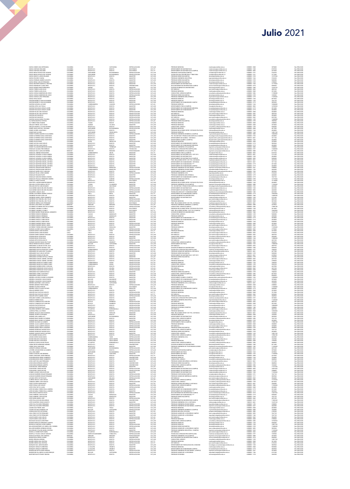|                                                                                                                                                                                                                                                          | COLOMBIA                         | <b>BOLIVAR</b>                              | CARTAGENA                           | ESPECIALIZACION                                              | CAT AUX                                             | PRECRADO MEDICINA                                                                                                             | medicina@unimilitar.edu.co                                                                                                             | 6500000-2048                                       | 3078400                                  | Res 2986/2021                                   |
|----------------------------------------------------------------------------------------------------------------------------------------------------------------------------------------------------------------------------------------------------------|----------------------------------|---------------------------------------------|-------------------------------------|--------------------------------------------------------------|-----------------------------------------------------|-------------------------------------------------------------------------------------------------------------------------------|----------------------------------------------------------------------------------------------------------------------------------------|----------------------------------------------------|------------------------------------------|-------------------------------------------------|
| GARCIA GOMEZ AIDA ESPERANZA<br>GARCIA HURTADO ORLANDO<br>GARCIA HURTADO ORLANDO<br>GARCIA MESA PATRICIA DEL ROSARIO                                                                                                                                      |                                  | BOGOTA D.C<br>BOGOTA D.C                    |                                     | DOCTORADO                                                    |                                                     | DEPARTAMENTO DE MATEMATICAS                                                                                                   | matematicas@unimiltar.edu.co                                                                                                           | 6500000 - 1520                                     | 8139720                                  | Res 2086/202                                    |
|                                                                                                                                                                                                                                                          | COLOMBIA<br>COLOMBIA<br>COLOMBIA | SANTANDER                                   | BOGOTA<br>BOGOTA<br>BUCARAMANGA     | <b>ESPECIALIZACION</b>                                       | CAT_TIT<br>CAT_TIT<br>CAT_AUX                       | DEPARTAMENTO DE MATEMATICAS (CAMPUS)<br>PREGRADO CONTADURIA(CAMPUS)                                                           | matematicas@unimilitar.edu.co<br>contaduria@unimilitar.edu.co                                                                          | 6500000-3055<br>6500000-3191                       | 4210200<br>5156320                       | Res 2086/202<br>Res 2986/2021                   |
|                                                                                                                                                                                                                                                          | COLOMBIA                         | SANTANDER                                   | <b>BUCARAMANGA</b>                  | ESPECIALIZACION                                              | CAT_AUX                                             | TECNOLOGIA EN CONTABILIDAD Y TRIBUTARIA                                                                                       | contaduria@unimilitar.edu.co                                                                                                           | 6500000-3191                                       | 3771040                                  | Res 2086/2020                                   |
|                                                                                                                                                                                                                                                          | COLOMBIA<br>COLOMBIA             | BOGOTA D.C<br>BOYACA                        | BOGOTA<br><b>TUNJA</b>              | <b>MAGISTER</b><br><b>MAGISTER</b>                           | CAT_ASO<br>CAT_AUX                                  | PREGRADO DERECHO/CAMPUS)<br>PREGRADO INGENIERIA INDUSTRIAL                                                                    | derecho@unimilitar.edu.co<br>noindustrial@unimilitar.edu.cr                                                                            | 6500000-3199<br>6500000-1264                       | 15797340<br>5156320                      | Res 2986/2021<br>Res 2986/202                   |
| 4440444 MESA PRINDIAN DEL ROSARIO<br>GARCIA NORATO JORGE ORLANDO<br>GARCIA NORATO JORGE ORLANDO<br>GARCIA PACHECO YADIRA<br>GARCIA RESTREPO MADRES AUGUSTO<br>GARCIA RESTREPO MARCELA CRISTINA<br>CARCIA RESTREPO MARCELA I DIANA NOR<br>CARCIA RES      | COLOMBIA                         | BOGOTA D.C                                  | OGOTA                               | MAGISTER                                                     | CAT_ASO                                             | PREGRADO DERECHO (CAMPUS                                                                                                      | recho@unimiltar.edu.co                                                                                                                 | 6500000-319                                        | 1458280                                  | Res 2086/202                                    |
|                                                                                                                                                                                                                                                          | COLOMBIA                         | BOGOTA D.C<br>BOGOTA D.C                    | BOGOTA<br><b>BOGOTA</b>             | MAGISTER<br>MAGISTER                                         | CAT_ASI<br>CAT_ASO                                  | PREGRADO DERECHO (CAMPUS)                                                                                                     | derecho@unimiltar.edu.co<br>matematicas@unimilitar.edu.co                                                                              | 6500000-3199<br>6500000-1520                       | 3709600<br>12175020                      | Res 2986/2021<br>Res 2986/2021                  |
| GARCIA RODRIGUEZ LILIANA INES                                                                                                                                                                                                                            | COLOMBIA<br>COLOMBIA             | BOGOTA D.C<br>NARINO                        | BOGOTA<br>PASTO                     | <b>UNIVERSITARIO</b><br><b>MAGISTER</b>                      | CAT_AUX<br>CAT_ASO                                  | SECCION BIENESTAR UNIVERSITARIO CAMPUS<br>DIVISION DE BIENESTAR UNIVERSITARIO                                                 | seccion.bienestan@unimilitar.edu.co                                                                                                    | 6500000-3310<br>6500000 - 1060                     | 9696960<br>12678120                      | Res 2086/2021<br>Res 2986/2021                  |
| GARCIA ROSERO MARIO BERNARDO<br>GARCIA TORRES LAURA ELISA<br>GARCIA TORRES LAURA ELISA<br>GARCIA VARGAS ANDERSON DE JESUS                                                                                                                                | COLOMBIA<br>COLOMBIA<br>COLOMBIA | BOGOTA D.C.<br>BOGOTA D.C.                  | BOGOTA<br>BOGOTA                    | ESPECIALIZACION<br>ESPECIALIZACION<br>ESPECIALIZACION        | CAT_ASO<br>CAT_ASO<br>CAT_AUX                       | ESP. MÉDICAS<br>PREGRADO MEDICINA                                                                                             | bienestas@unimitar.edu.co<br>post.medicina@unimilitar.edu.co<br>medicina@unimilitar.edu.co                                             | 6500000-2042<br>6500000-2048                       | 4829760<br>4829760<br>11390080           | nes 2006/202<br>Res 2086/202<br>Res 2086/202    |
|                                                                                                                                                                                                                                                          |                                  | BOGOTA D.C                                  | BOGOTA                              |                                                              |                                                     | CONSULTORIO JURIDICO(CAMPUS)                                                                                                  | consultorio juridico@unimilitar.edu.co                                                                                                 | 6500000 - 3206                                     |                                          | Res 2986/202                                    |
| GARCIA VARGAS ANDERSON DE JESUS<br>GARCIA VARGAS LUISA FERNANDA                                                                                                                                                                                          | COLOMBIA<br>COLOMBIA             | BOGOTA D.C<br>BOGOTA D.C                    | BOGOTA<br>BOGOTA                    | ESPECIALIZACION<br>MAGISTER                                  | CAT_AUX<br>CAT_ASO                                  | PREGRADO DERECHO(CAMPUS)<br>PREGRADO INGENIERIA MECATRONICA                                                                   | derecho@unimilitar.edu.co<br>ingmecatronica@unimilitar.edu.co                                                                          | 6500000-3199<br>6500000-1279                       | 1539200<br>11269440                      | Res 2086/2021<br>Res 2086/2021                  |
| GARCIA VEGA OSCAR<br>GARZON BARRETO YOHN ALEXANDER<br>GARZON BARRETO YOHN ALEXANDER<br>GARZON GUEVARA LUZ DARY                                                                                                                                           | COLOMBIA                         | BOGOTA D.C                                  | BOGOTA<br>encoty                    | <b>MAGISTER</b><br>MACISTER                                  | CAT_AUX<br>CAT_ASO<br>CAT_ASO<br>CAT_ASI            | PREGRADO DERECHO                                                                                                              | recho@unimilitar.edu.co                                                                                                                | 6500000-1244                                       | 8619520                                  | Res 2986/2021                                   |
|                                                                                                                                                                                                                                                          | COLOMBIA<br>COLOMBIA<br>COLOMBIA | BOGOTA D.C.<br>BOGOTA D.C.<br>CUNDINAMARCA  | BOGOTA<br>BOGOTA<br>CAQUEZA         | MAGISTER<br>MAGISTER<br>ESPECIALIZACION                      |                                                     | PREGRADO DERECHO<br>DEPARTAMENTO DE HUMANIDADES CAMPUS<br>PREGRADO DERECHO                                                    |                                                                                                                                        | 6500000 - 1244<br>6500000 - 3179<br>6500000 - 1244 | 2647120<br>5835960<br>10386880           | Nes 2986/2020<br>Res 2986/2020<br>Res 2986/2020 |
|                                                                                                                                                                                                                                                          | COLOMBIA                         | BOGOTA D.C                                  | BOGOTA                              | <b>MAGISTER</b>                                              | CAT_ASO                                             | DEPARTAMENTO FISICA (CAMPUS)                                                                                                  | rrecho@unimilitar.edu.co                                                                                                               | 6500000-3053                                       | 16702920                                 | Res 2086/2021                                   |
| GARZON LOPEZ JULY PACLA<br>GARZON PASCAGAZA EDGAR JAVIER                                                                                                                                                                                                 | COLOMBIA                         | BOGOTA D.C                                  | BOGOTA                              | MAGISTER                                                     | CAT_ASO                                             | DEPARTAMENTO DE HUMANIDADES MEDICINA                                                                                          | fisica@unimiltar.edu.co<br>humanidades@unimilitar.edu.co                                                                               | 6500000-3179                                       | 2012400                                  | Res 2086/2021                                   |
| GARZON PASCAGAZA EDGAR JAVIER                                                                                                                                                                                                                            | COLOMBIA                         | BOGOTA D.C.<br>BOGOTA D.C<br>BOGOTA D.C     | BOGOTA<br>NOGOTA<br>NOGOTA          | <b>MAGISTER</b>                                              | CAT_ASO                                             | DEPARTAMENTO DE HUMANIDADES ****                                                                                              | humanidades@unimilitar.edu.co                                                                                                          | 6500000-3179                                       | 4024800                                  | Res 2986/2021                                   |
| GARZON PULIDO LINA SOLEDAD<br>GARZON PULIDO LINA SOLEDAD<br>GARZON RUIZ MALIRICIO                                                                                                                                                                        | COLOMBIA<br>COLOMBIA             | BOGOTA D.C                                  | BOGOTA                              | ESPECIALIZACION<br>ESPECIALIZACION<br><b>ESPECIALIZACION</b> | CAT_ASO<br>CAT_ASO<br>CAT_ASO                       | PREGRADO MEDICINA<br>ESP: MEDICAS<br>PREGRADO MEDICINA                                                                        | medicina@unimilitar.edu.co<br>post.medicina@unimilitar.edu.co                                                                          | 6500000-2046<br>6500000-2042<br>6500000-2048       | 4024800<br>4024800<br>4829760<br>4024800 | Res 2986/202                                    |
| GARZON RUIZ MAURICIO                                                                                                                                                                                                                                     | COLOMBIA                         | BOGOTA D.C                                  | BOGOTA                              | ESPECIALIZACION                                              | CAT_ASO                                             | ESP. MEDICAS                                                                                                                  | medicina@unimilitar.edu.co<br>post medicina@unimilitar.edu.co                                                                          | 6500000-2042                                       | 6037200                                  | Res 2086/2021                                   |
| GRÄZON SALIMAS NUES VOLANDA<br>LE FARIAN MARIISON SUBRA VOLANDA<br>LE TORIS NATURA VOLANDA<br>LE TORIS PARLO RAMON<br>LE TORIS PARLO RAMON<br>CRALO TORISON JULION ANTONIO<br>CRALO TORISON SUBRA VOLANDA<br>COMEZ GUTERRIEZ DANA CORSTANZA<br>COMEZ G   | COLOMBIA<br>COLOMBIA             | BOGOTA D.C<br>BOGOTA D.C.                   | BOGOTA<br>BOGOTA                    | ESPECIALIZACION<br>ESPECIAL (ZACIO)                          | CAT_AUX<br>CAT_ASI                                  | CONSULTORIO JURIDICO<br>PREGRADO DERECHO/CAMPUS                                                                               | onsultorio juridico (bunimilitar.edu.ci<br><b>Jerecho@u</b><br>nimilitar adu co.                                                       | 6500000-1239<br>6500000-3199                       | 13468000<br>7882900                      | Res 2986/2021<br>Res 2986/202                   |
|                                                                                                                                                                                                                                                          |                                  | TOLIMA                                      | BAGUE                               | ESPECIALIZACION                                              |                                                     | PREGRADO MEDICINA                                                                                                             | medicina@unimilitar.edu.co                                                                                                             | 6500000-204                                        | 230380                                   | Res 2086/202                                    |
|                                                                                                                                                                                                                                                          | COLOMBIA<br>COLOMBIA<br>COLOMBIA | QUINDIO<br>BOGOTA D.C                       | CALARCA<br>BOGOTA                   | MAGISTER<br>ESPECIALIZACION                                  | CAT_AUX<br>CAT_ASO<br>CAT_ASO                       | PRÉGRADO MÉDICINA<br>CONSULTORIO JURIDICO                                                                                     | medicina@unimilitar.edu.co<br>consultorio.juridico@unimilitar.edu.co                                                                   | 6500000 - 2048<br>6500000 - 1239                   | 3018600<br>9458280                       | Res 2986/2021<br>Res 2986/2021                  |
|                                                                                                                                                                                                                                                          | COLOMBIA<br>COLOMBIA             | SANTANDER<br>BOGOTA D.C                     | <b>BUCARAMANGA</b><br>BOGOTA        | ESPECIALIZACION<br><b>MAGISTER</b>                           | CAT_AUX                                             | PREGRADO MEDICINA<br>PREGRADO RELACIONES INTER Y ESTUDIOS POLITICOS                                                           | medicina@unimilitar.edu.co                                                                                                             | 6500000-2048<br>6500000-1344                       | 4617600<br>4024800                       | Res 2086/2021<br>Res 2986/2021                  |
|                                                                                                                                                                                                                                                          | COLOMBIA                         | SANTANDER                                   | PIEDECUESTA<br><b>BOGOTA</b>        | <b>MAGISTER</b><br>ESPECIALIZACION                           | CAT_ADA<br>CAT_ASO<br>CAT_ADA<br>CAT_ASO<br>CAT_ASO | PREGRADO DERECHO                                                                                                              | relinternal@unimilitar.edu.co<br>derecho@unimilitar.edu.co                                                                             | 6500000-1244                                       | 14891760<br>00048                        | Res 2986/202                                    |
|                                                                                                                                                                                                                                                          | COLOMBIA<br>COLOMBIA<br>COLOMBIA | BOGOTA D.C<br>BOGOTA D.C.<br>BOGOTA D.C.    |                                     |                                                              |                                                     | REGRADO INGENIERIA BIOMEDICA (CAMPUS)<br>TEC. EN GESTION Y PRODUCCION HORTICOLA CAMPUS<br>DEPARTAMENTO DE QUIMICA - DISTANCIA | ing biomedica@unimilitar.edu.co                                                                                                        | 6500000-3183<br>7480333-6841                       |                                          | Res 2086/202                                    |
| COMEZ GUTIERREZ DIANA CONSTANZA                                                                                                                                                                                                                          | COLOMBIA                         | BOGOTA D.C                                  | BOGOTA<br>BOGOTA<br>BOGOTA          | MAGISTER<br>MAGISTER<br>MAGISTER                             | CAT_ASO                                             | DEPARTAMENTO QUIMICA (CAMPUS)                                                                                                 | tecnologia horticultura@unimilitar.edu.co<br>departamento.quimica@unimilitar.edu.co<br>departamento quimica@unimilitar.edu.co          | 6500000-1526                                       | 4024800<br>1811160<br>4024800            | Res 2986/2021<br>Res 2986/2021<br>Res 2086/2021 |
| LIMINEZ GUI IERRIEZ URRA LORSTANZA<br>COMEZ QUITTAN JUAN CARLOS<br>COMEZ QUITTAN JUAN CARLOS<br>COMEZ VILLAMARIN MERCEDES ELENA<br>COMEZALEZ DIAZ LAURA KRED ENRIQUE<br>COMEALEZ DIAZ LAURA KRED ENRIQUE<br>COMEALEZ DIAZ LAURA KRED ENRIQUE             | COLOMBIA                         | SUCRE                                       | SINCELEJO                           | ESPECIAL (ZACION                                             | CAT_AUX<br>CAT_ASO                                  | PREGRADO MEDICINA                                                                                                             | medicina@unimilitar.edu.co<br>humanidades@unimilitar.edu.co                                                                            | 6500000-2046                                       | 3078400                                  | Res 2986/2021                                   |
|                                                                                                                                                                                                                                                          | COLOMBIA                         | BOGOTA D.C<br>BOGOTA D.C.                   | BOGOTA<br>BOGOTA                    | <b>MAGISTER</b><br>MAGISTER                                  |                                                     | DEPARTAMENTO DE HUMANIDADES CAMPUS                                                                                            | humanidades@unimilitar.edu.co                                                                                                          | 6500000-3179<br>6500000-317                        | 5835960<br>4024800                       | Res 2986/202<br>Res 2086/202                    |
|                                                                                                                                                                                                                                                          | COLOMBIA<br>COLOMBIA<br>COLOMBIA | BOYACA<br>BOGOTA D.C.                       | TURMEQU<br>BOGOTA                   | ESPECIALIZACION<br>TECNOLOGO                                 | CAT_ASO<br>CAT_AUX<br>CAT_AUX                       | DEPARTAMENTO DE HUMANDADES MEDICINA<br>PREGRADO INGENIERIA CIVIL(CAMPUS)<br>TECNOLOGIA ATENCION PRE HOSPITALARIA              | ingenieria campus@unimilitar.edu.co<br>medicina.social@unimilitar.edu.co                                                               | 6500000-3008<br>6500000-3197                       | 2308800<br>13468000                      | Res 2086/202<br>Res 2986/202                    |
|                                                                                                                                                                                                                                                          | NINGUNO                          | NINGUNO                                     | NINGUNO                             | POR ESTABLECER                                               | CAT_ASI                                             | PREGRADO INGENIERIA CIVIL (CAMPUS)                                                                                            | ingenieria.campus@unimilitar.edu.co                                                                                                    | 6500000-3008                                       | 8717560                                  | Res 2086/2021                                   |
| CONZALEZ JIMENEZ EDGAR EMIR<br>CONZALEZ LEGARDA CLAUDIA ANDREA<br>CONZALEZ LEGARDA CLAUDIA ANDREA<br>CONZALEZ LEGARDA CLAUDIA ANDREA                                                                                                                     | COLOMBIA                         | <b>CUNDINAMARCA</b>                         | UBATE                               | <b>MAGISTER</b>                                              | CAT_TIT<br>CAT_ASO<br>CAT_ASO<br>CAT_ASO            | DEPARTAMENTO FISICA (CAMPUS)                                                                                                  | fisica@unimiltar.edu.co<br>matematicas@unimiltar.edu.co<br>matematicas@unimiltar.edu.co                                                | 6500000 - 3053                                     | 8139720                                  | Res 2986/2021                                   |
|                                                                                                                                                                                                                                                          | COLOMBIA<br>COLOMBIA<br>COLOMBIA | BOGOTA D.C                                  | BOGOTA<br>BOGOTA<br>BOGOTA          | MAGISTER<br>MAGISTER                                         |                                                     | DEPARTAMENTO DE MATEMATICAS - DIST 2013<br>DEPARTAMENTO DE MATEMATICAS<br>DEPARTAMENTO DE MATEMATICAS (CAMPUS)                |                                                                                                                                        | 7480333 - 6841<br>6500000 - 1520                   | 2716740<br>4024800<br>9458280            | nes 2006/202<br>Res 2006/202<br>Res 2006/202    |
| <b>GONZALEZ MARTINEZ MIGUEL ANTONIO</b>                                                                                                                                                                                                                  | COLOMBIA                         | BOGOTA D.C<br>BOGOTA D.C                    | BOGOTA                              | MAGISTER<br>MAGISTER                                         | CAT_ASO                                             | PREG. RELACIONES INTER Y EST. POL. DISTANCIA                                                                                  | matematicas@unimilitar.edu.co<br>riepdistancia@unimilitar.edu.co                                                                       | 6500000-3055<br>7480333 - 6841                     | 3622320                                  | Res 2986/202<br>Res 2086/2021                   |
| <b>GONZALEZ MARTINEZ MIGUEL ANTONIO</b><br><b>GONZALEZ MARTINEZ MIGUEL ANTONIC</b>                                                                                                                                                                       | COLOMBIA<br>COLOMBIA             | BOGOTA D.C<br>BOGOTA D.C.                   | BOGOTA<br>BOGOTA                    | MAGISTER<br><b>MAGISTER</b>                                  | CAT_ASO<br>CAT ASO                                  | DEPARTAMENTO DE HUMANIDADES - DISTANCIA<br>DEPARTAMENTO DE HUMANIDADES ****                                                   | humanidades@unimilitar.edu.co<br>humanidades@unimilitar.edu.co                                                                         | 7480333 - 6841<br>6500000-3179                     | 1811160<br>2012400                       | Res 2086/2021<br>Res 2986/2021                  |
| CONZALEZ MARTINEZ MIGUEL ANTONIC<br>CONZALEZ PINZON DANNY BERCELIO<br>CONZALEZ PINZON DANNY BERCELIO                                                                                                                                                     |                                  |                                             |                                     |                                                              | CAT_ASO<br>CAT_AUX<br>CAT_AUX                       | DEPARTAMENTO DE HUMANIDADES CAMPUS<br>PREGRADO INGENIERIA DE MULTIMEDIA (CAR<br>PREGRADO INGENIERIA EN MULTIMEDIA             |                                                                                                                                        | 6500000-3171<br>6500000-3247                       |                                          | Nes 2006/2020<br>Res 2006/2020<br>Res 2006/2020 |
|                                                                                                                                                                                                                                                          | COLOMBIA<br>COLOMBIA<br>COLOMBIA | BOGOTA D.C.<br>CUNDINAMARCA<br>CUNDINAMARCA | BOGOTA<br>NEMOCON<br>NEMOCON        | MAGISTER<br>ESPECIALIZACION<br>ESPECIALIZACION               |                                                     |                                                                                                                               | humanidades@unimilitar.edu.co<br>Ingenieria.campus@unimilitar.edu<br>Ingenultimedia@unimilitar.edu.co                                  | 6500000-1293                                       | 4024800<br>2308800<br>4463680            |                                                 |
| GONZALEZ RIAÑO VICKY CAROLINA<br>GONZALEZ ROJAS JORGE ANDRES                                                                                                                                                                                             | COLOMBIA                         | BOGOTA D.C                                  | BOGOTA                              | <b>MAGISTER</b>                                              | CAT_ASO                                             | DEPARTAMENTO QUIMICA (CAMPUS)                                                                                                 | departamento.quimica@unimilitar.edu.co                                                                                                 | 6500000-1526                                       | 5835960                                  | Res 2086/2021                                   |
|                                                                                                                                                                                                                                                          | COLOMBIA<br>COLOMBIA             | BOGOTA D.C<br>BOGOTA D.C                    | BOGOTA<br>BOGOTA                    | ESPECIALIZACION<br><b>MAGISTER</b>                           | CAT_AUX                                             | PREGRADO INGENIERIA CIVIL<br>PRECRADO INCENIERIA MECATRONICA                                                                  | ingcivil@unimilitar.edu.co                                                                                                             | 6500000-1276<br>6500000-1279                       | 5156320<br>4463680                       | Res 2086/2021<br>Res 2986/2021                  |
| CONZALEZ ROLDAN FELIPE<br>CONZALEZ SANCHEZ MONICA HELENA<br>CONZALEZ TRUJILLO FERNANDO ANDR<br>CORDILLO THIRIAT WILSON                                                                                                                                   | COLOMBIA<br>COLOMBIA<br>COLOMBIA | BOGOTA D.C.<br>HUILA<br>BOGOTA D.C.         | BOGOTA<br>GARZON<br>BOGOTA          | MAGISTER<br>ESPECIALIZACION<br>DOCTORADO                     | CAT_AUX<br>CAT_ASO<br>CAT_AUX<br>CAT_TIT            | DEPARTAMENTO DE HUMANIDADES CAMPUS<br>PREGRADO DERECHO(CAMPUS)<br>PREGRADO ECONOMIA                                           | ingevengeenimme weeks<br>humanidades@unimilitar.edu.co<br>derecho@unimilitar.edu.co<br>derecho@unimilitar.edu.co                       | 6500000-3179<br>6500000-3199<br>6500000-1318       | 7647120<br>12775360<br>15718080          | nes 2006/202<br>Res 2006/202<br>Res 2006/202    |
|                                                                                                                                                                                                                                                          |                                  |                                             |                                     |                                                              |                                                     |                                                                                                                               | economia@unimilitar.edu.co                                                                                                             |                                                    |                                          | Res 2986/202                                    |
| .<br>GRAUTOFF LAVERDE MANFRE ENRIQUE<br>GRUALBA CASTRO ANGELA IVETTE                                                                                                                                                                                     | COLOMBIA<br>COLOMBIA             | BOGOTA D.C.<br>TOLIMA                       | BOGOTA<br>CAJAMARCA                 | <b>MAGISTER</b><br>MAGISTER                                  | CAT_ASO<br>CAT_ASO                                  | PREGRADO RELACIONES INTER Y ESTUDIOS POLITICOS<br>PREGRADO INGENIERIA CIVIL (CAMPUS)                                          | relinternal@unimilitar.edu.co<br>ingenieria.campus@unimilitar.edu.co                                                                   | 6500000-1344<br>6500000 - 3008                     | 4024800<br>11269440                      | Res 2086/2021<br>Res 2086/2021                  |
| GRUALIBA CASTRO ANGELA IVETTE<br>GRUALIBA RATIVA CARLOS MARIO<br>GRIACANEME AMAYA NELSON ORLANDO<br>GRIACANEME AMAYA NELSON ORLANDO<br>GRIALDRON CARLOS JULIO<br>GRIERIA CASTAÑEDA ANDRES TARSICIO                                                       | COLOMBIA<br>COLOMBIA             | BOYACA<br>BOGOTA D.C                        | SIACHOOLE<br>BOGOTA                 | <b>MAGISTER</b>                                              | CAT_AUX<br>CAT_AUX<br>CAT_AUX<br>CAT_AUX            | TEC. EN GESTION Y PRODUCCION HORTICOLA CAMPUS                                                                                 | mologia horticultura@unimilitar.edu.co                                                                                                 | 6500000-3183<br>6500000-1520                       | 4463680                                  | Res 2986/2021                                   |
|                                                                                                                                                                                                                                                          | COLOMBIA<br>COLOMBIA<br>COLOMBIA | BOGOTA D.C.<br>BOGOTA D.C.                  | BOGOTA                              | ESPECIALIZACION<br>ESPECIALIZACION<br>ESPECIALIZACION        |                                                     | DEPARTAMENTO DE MATEMATICAS<br>DEPARTAMENTO DE MATEMATICAS<br>TECNOLOGIA EN ELECT Y COMUNICACIONES                            | matematicas@sminifiar.edu.co<br>matematicas@sminifiar.edu.co                                                                           | 6500000-3055                                       | 6541600                                  | Res 2086/202                                    |
|                                                                                                                                                                                                                                                          | COLOMBIA                         | HULA                                        | BOGOTA<br>NEIVA                     | <b>MAGISTER</b>                                              | CAT_TIT                                             | DEPARTAMENTO DE HUMANIDADES CAMPUS                                                                                            | ingtelecomunicaciones@unimilitar.edu.co<br>humanidades@unimilitar.edu.co                                                               | 6500000-1282<br>6500000-3179                       | 4463680<br>6541600<br>10665840           | Res 2086/2021<br>Res 2086/2021<br>Res 2086/2021 |
|                                                                                                                                                                                                                                                          | COLOMBIA                         | BOGOTA D.C                                  | BOGOTA<br>BOGOTA                    | UNIVERSITARIO                                                | CAT_ASO<br>CAT_ASO                                  | DIVISION OF RENESTAR INDUSTRIED<br>DEPARTAMENTO DE MATEMATICAS                                                                | bienestar@unimilitar.edu.co<br>matematicas@unimilitar.edu.co                                                                           | 6500000 - 1060                                     | 14489280                                 | Res 2986/2020<br>Res 2986/2020                  |
|                                                                                                                                                                                                                                                          | COLOMBIA                         | BOGOTA D.C<br>BOGOTA D.C                    | BOGOTA                              | <b>MAGISTER</b><br>ESPECIALIZACION                           |                                                     | ESP. MEDICAS                                                                                                                  | post.medicina@unimilitar.edu.co                                                                                                        | 6500000 - 1520<br>6500000-2042                     | 6741540<br>4829760                       | Res 2086/202                                    |
| GUERRA CASTANEDA ANDRES TARSICIO<br>GUERRERO PACHON JOSÉ LUIS<br>GUERRERO RAMOS JORGE HUMBERTO<br>GUERRERO RUIZ GRACIELA DEL PILAR<br>GUERRERO SUIZ GRACIELA DEL PILAR<br>GUERRERO SIERRA HUGO FERNANDO                                                  | COLOMBIA<br>COLOMBIA<br>COLOMBIA | BOGOTA D.C.<br>BOGOTA D.C.                  | BOGOTA                              | ESPECIALIZACION                                              | CAT_ASO<br>CAT_ASO<br>CAT_ASO                       | PREGRADO MEDICINA<br>PREG. RELACIONES INTER Y EST. POL. DISTANCIA                                                             | vedicina@unimilitar.edu.co<br>riepdistancia@unimilitar.edu.co                                                                          | 6500000 - 2048<br>7480333 - 6841                   | 5031000<br>7244640                       | Res 2986/202                                    |
| GUEVARA LUNA FREDY ALEJANDRO                                                                                                                                                                                                                             | NINGUNO                          | NINGUNO                                     | BOGOTA<br>NINGUNO                   | DOCTORADO<br>POR ESTABLECER                                  | CAT_ASI                                             | PREGRADO INGENIERIA AMBIENTAL (CAMPUS)                                                                                        | ing.ambiental@unimilitar.edu.co                                                                                                        | 6500000-3008                                       | 5378920                                  | Res 2086/2021<br>Res 2086/2021                  |
|                                                                                                                                                                                                                                                          | COLOMBIA<br>COLOMBIA             | BOGOTA D.C<br>BOGOTA D.C                    | BOGOTA<br>BOGOTA                    | ESPECIAL (ZACION<br>DOCTORADO                                |                                                     | CONSULTORIO, URIDICO/CAMPUS)<br>RRECRADO RELACIONES INTER Y ESTUDIOS ROLITICOS                                                | consultorio jurídico (Qurimilitar, edu co<br>relinternal@unimilitar.edu.co                                                             | 6500000-3206<br>6500000-1344                       | 13986180<br>5613600                      | Res 2986/2021<br>Res 2986/202                   |
| GUEVARA LURA FREDIY ALEJANORO<br>GUITERREZ GUITERREZ HECTOR ALFONSO<br>GUITERREZ JARAMILLO CAMILO<br>GUITERREZ JARAMILLO CAMILO<br>GUITERREZ JARAMILLO CAMILO<br>GUITERREZ OROZCO HERMAAN<br>GUITERREZ OROZCO HERMAAN<br>GUITERREZ OROZCO HERMAAN        | COLOMBIA                         | BOGOTA D.C                                  | BOGOTA                              | DOCTORADO                                                    | CAT_ASO<br>CAT_TIT<br>CAT_TIT                       | PREG. RELACIONES INTERN. Y EST. POL. (CAMPUS)<br>DREG. RELACIONES INTERN. Y EST. POL. (CAMPUS)<br>CONSULTORIO JURIDICO        | reinternal@unimilitar.edu.c                                                                                                            | 6500000-303                                        | 1066584                                  | Res 2086/202                                    |
|                                                                                                                                                                                                                                                          | COLOMBIA<br>COLOMBIA<br>COLOMBIA | BOGOTA D.C.<br>CALDAS                       | BOGOTA<br>MANIZALE:                 | MAGISTER<br>MAGISTER                                         | CAT_ASO<br>CAT_ASO                                  |                                                                                                                               | .<br>bienestar@unimilitar.edu.co<br>consultorio.juridico@unimilitar.edu.co                                                             | 6500000 - 1060<br>6500000 - 1239                   | 12678120<br>9458280                      | Res 2986/2020<br>Res 2986/2020                  |
|                                                                                                                                                                                                                                                          | COLOMBIA<br>COLOMBIA             | CALDAS<br>BOGOTA D.C                        | MANIZALES<br>BOGOTA                 | MAGISTER<br><b>MAGISTER</b>                                  | CAT_ASO                                             | PREGRADO DERECHO<br>DEPARTAMENTO DE HUMANIDADES ***                                                                           | derecho@unimilitar.edu.co<br>beamanidades@coimilitar.edu.co                                                                            | 6500000-1244<br>6500000-3179                       | 4030380<br>4024800                       | Res 2086/2021<br>Res 2986/202                   |
| GUTERREZ OROZOO JAIME EDGAR<br>GUTERREZ OROZOO JAIME EDGAR<br>GUTERREZ OROZOO JAIME EDGAR<br>GUTERREZ RAMREZ MIGUEL ANGEL                                                                                                                                | COLOMBIA                         | BOGOTA D.C                                  | BOGOTA                              | <b>MAGISTER</b>                                              | CAT_ASO<br>CAT_ASO                                  | DEPARTAMENTO DE HUMANIDADES CAMPUS                                                                                            | humanidades@unimilitar.edu.cv                                                                                                          | 6500000-3179                                       | 4024800                                  | Res 2986/202                                    |
|                                                                                                                                                                                                                                                          | COLOMBIA                         | BOGOTA D.C.<br>BOGOTA D.C.                  | BOGOTA<br>BOGOTA                    | MAGISTEI<br>ESPECIALIZACION                                  | CAT_ASO<br>CAT_ASO                                  | REGRADO DERECH<br>PREGRADO MEDICINA                                                                                           | medicina@unimilitar.edu.co                                                                                                             | 6500000-1244<br>6500000-2048                       | 1458280<br>3018600                       | Res 2086/202<br>Res 2986/202                    |
| GUTIERREZ RAMREZ MIGUEL ANGEL<br>GUTIERREZ TORRES GREGORIO GONZALO                                                                                                                                                                                       | COLOMBIA                         | BOGOTA D.C                                  | BOGOTA                              | ESPECIALIZACION                                              | CAT_ASO<br>CAT_ASO                                  | ESP. MEDICAS                                                                                                                  | post medicina@unimilitar.edu.co                                                                                                        | 6500000-2042                                       | 4829760                                  | Res 2086/2021                                   |
|                                                                                                                                                                                                                                                          | COLOMBIA<br>COLOMBIA             | LA GUAJIRA<br>BOGOTA D.C                    | RICHACHA<br>BOGOTA                  | <b>MAGISTER</b><br>ESPECIALIZACION                           |                                                     | PREGRADO DERECHO<br>ESP. MEDICAS                                                                                              | derecho@unimilitar.edu.co<br>post medicinal/unimilitar.edu.co                                                                          | 6500000-1244<br>6500000-2042                       | 11269440<br>2770560                      | Res 2086/2021<br>Res 2986/2021                  |
| <i><b>LOTEPIERE TORIES WEIGHD CONSTRUCTERED CONSTRUCTS CONSTRUCTS CONSTRUCTS CONSTRUCTS CONSTRUCTS CONSTRUCTS CONSTRUCTS CONSTRUCTS CONSTRUCTS CONSTRUCTS CONSTRUCTS CONSTRUCTS CONSTRUCTS CONSTRUCTS CONSTRUCTS CONSTRUCTS CONSTR</b></i>               | CHLE<br>CHLE<br>COLOMBIA         | CHILE<br>CHILE<br>BOGOTA D.C.               | CHLE<br>CHLE<br>BOGOTA              | ESPECIALIZACIÓN<br>ESPECIALIZACIÓN<br>ESPECIALIZACIÓN        | CAT_AUX<br>CAT_TIT<br>CAT_TIT<br>CAT_ASO            | PREGRADO MEDICINA<br>ESP. MEDICAS<br>ESP. MEDICAS                                                                             | medicina@unimiltar.edu.co<br>post.medicina@unimiltar.edu.co<br>post.medicina@unimiltar.edu.co                                          | 6500000-2045<br>6500000-2042                       | 4210200                                  | Nes 2986/2020<br>Res 2986/2020<br>Res 2986/2020 |
|                                                                                                                                                                                                                                                          |                                  |                                             |                                     |                                                              |                                                     |                                                                                                                               |                                                                                                                                        | 6500000-2042                                       | 4829760                                  |                                                 |
|                                                                                                                                                                                                                                                          | COLOMBIA<br>COLOMBIA             | BOGOTA D.C<br>BOGOTA D.C                    | BOGOTA<br>BOGOTA                    | <b>MAGISTER</b><br>MAGISTER                                  | CAT_ASO<br>CAT_ASO                                  | CONSULTORIO JURIDICO<br>PREGRADO DERECHO                                                                                      | consultorio juridico (bunimilitar.edu.co<br>derecho@unimilitar.edu.co                                                                  | 6500000-1239<br>6500000-1244                       | 4930380<br>13080600                      | Res 2086/2021<br>Res 2086/2021                  |
| GUZMAN ORTIZ KEVIN ADOLFO<br>GUZMAN SANCHEZ DIANA DEL PILAR<br>HERAZO BERDUGO ERICKA LEONOR                                                                                                                                                              | COLOMBIA                         | BOGOTA D.C.                                 | BOGOTA                              | ESPECIAL (ZACION                                             | CAT_ASI                                             | ESP. MEDICAS                                                                                                                  | post medicinalbunimilitar.edu.co                                                                                                       | 6500000-2042                                       | 4451520                                  | Res 2986/2021                                   |
|                                                                                                                                                                                                                                                          | COLOMBIA                         | CUNDINAMARD<br>BOLIVAR                      | GIRARDOT<br>CARTAGEN                | ESPECIALIZACION<br>MAGISTER                                  | CAT_AUX<br>CAT_ASO<br>CAT_ASO                       | CONSULTORIO JURIDICO(CAMPUS)<br>DEPARTAMENTO DE FISICA                                                                        | consultorio juridico@unimilitar.edu.co<br>fisica@unimilitar.edu.co<br>post.medicina@unimilitar.edu.co                                  | 6500000 - 3206<br>6500000 - 1523                   | --------<br>5848960<br>1308060           |                                                 |
| HERNANDEZ ALARCON VICTOR JULIO<br>HERNANDEZ BENITEZ MANUEL IVAN                                                                                                                                                                                          | COLOMBIA<br>COLOMBIA             | BOGOTA D.C<br>BOGOTA D.C                    | BOGOTA<br>BOGOTA                    | <b>ESPECIALIZACION</b><br>ESPECIALIZACION                    | CAT_AUX                                             | ESP. MEDICAS<br>DIVISION DE BIENESTAR UNIVERSITARIO                                                                           | bienestan@unimilitar.edu.co                                                                                                            | 6500000-2042<br>6500000-1060                       | 4829760<br>0606960                       | Res 2986/202<br>Res 2086/2021                   |
| HERNANDEZ BUSTOS FRANCISCO JAVIER<br>HERNANDEZ DE HADECHNY YOLANDA                                                                                                                                                                                       | COLOMBIA<br>COLOMBIA             | CUNDINAMARCA<br>BOGOTA D.C.                 | <b>GUADUAS</b><br>BOGOTA            | ESPECIALIZACION<br>ESPECIAL (ZACION                          | CAT_ASI<br>CAT ASI                                  | TECNOLOGIA ATENCION PRE HOSPITALARIA<br>PREGRADO ADMON DE EMPRESAS A DISTANCIA                                                | medicina.social@unimilitar.edu.co<br>admon.distancia@unimilitar.edu.co                                                                 | 6500000-3197<br>7480333-6841                       | 7048240<br>6677280                       | Res 2086/2021<br>Res 2986/2021                  |
|                                                                                                                                                                                                                                                          |                                  |                                             | <b>OCOTA</b><br>CCOT.               | MAGISTER<br>MAGISTER                                         |                                                     |                                                                                                                               | erecho@unimiltar.edu.co<br>vatematicas@unimilitar.edu.co                                                                               | 6500000-3199<br>7480333-6841                       |                                          |                                                 |
| HERNANDEZ DE FREDERIKT TOLSKICK<br>HERNANDEZ DIAZ CARLOS ARTURO<br>HERNANDEZ GOYENECHE PAULA PIEDAD                                                                                                                                                      | COLOMBIA<br>COLOMBIA<br>COLOMBIA | BOGOTA D.C.<br>BOGOTA D.C.<br>BOGOTA D.C.   | BOGOTA                              | <b>MAGISTER</b>                                              | CAT_ASO                                             | PREGRADO DERECHO (CAMPUS)<br>DEPARTAMENTO DE MATEMATICAS - DIST 2013<br>PREGRADO DERECHO (CAMPUS)                             | derecho@unimilitar.edu.co                                                                                                              | 6500000-3199                                       | 9458280<br>6339060<br>2782200            | Nes 2986/2020<br>Res 2986/2020<br>Res 2986/2020 |
| HERNANDEZ KUNZEL GABRIEL ANTONIO                                                                                                                                                                                                                         | COLOMBIA<br>COLOMBIA             | BOGOTA D.C<br>BOGOTA D.C                    | BOGOTA<br>BOGOTA                    | ESPECIALIZACION<br>ESPECIAL (ZACION                          | CAT_ASI                                             | ESP. MEDICAS<br>PREGRADO MEDICINA                                                                                             | post medicina@unimilitar.edu.co<br>nedicina@unimilitar.edu.co                                                                          | 6500000-2042<br>6500000-2046                       | 4451520                                  | Res 2086/2021<br>Res 2986/2021                  |
| HERNANDEZ KUNZEL GABRIEL ANTONIO<br>HERNANDEZ MAHECHA GABRIEL DARIO                                                                                                                                                                                      | COLOMBIA                         | CUNDINAMARCA                                | <b>ALBAN</b>                        | ESPECIAL (ZACION                                             | CAT_ASI<br>CAT_ASI<br>CAT_ASI<br>CAT_ASI<br>CAT_ASI | PREGRADO DERECHO                                                                                                              | derecho@unimilitar.edu.co                                                                                                              | 6500000-1244                                       | 3709600<br>7048240                       | Res 2986/202                                    |
| HERNANDEZ MAHECHA GABRIEL DARI                                                                                                                                                                                                                           | COLOMBIA                         | CUNDINAMA                                   | ALBAN                               | ESPECIALIZACIO                                               |                                                     | CONSULTORIO JURIDICI                                                                                                          | consultorio juridico@                                                                                                                  | 6500000-1239                                       | 9552221                                  | Res 2086/202                                    |
| HERNANDEZ MORENO DERLY CAROLINA<br>HERNANDEZ RODRIGUEZ OSCAR ADOLFO<br>HERNANDEZ RODRIGUEZ OSCAR ADOLFO                                                                                                                                                  | COLOMBIA<br>COLOMBIA<br>COLOMBIA | BOGOTA D.C.<br>BOLIVAR<br><b>BOLIVAR</b>    | BOGOTA<br>ARJONA<br><b>ARJONA</b>   | ESPECIALIZACION<br>ESPECIALIZACION<br>ESPECIALIZACION        | CAT_ASI                                             | PRÉGRADO MÉDICINA.<br>ESP. MÉDICAS<br>PREGRADO MEDICINA                                                                       | medicina@unimilitar.edu.co<br>post.medicina@unimilitar.edu.co<br>medicina@unimilitar.edu.co                                            | 6500000-2048<br>6500000-2042<br>6500000-2048       | 4637000<br>4451520<br>3709600            | Res 2986/2021<br>Res 2986/2021<br>Res 2086/2021 |
| HERNANDEZ RUIZ KAREN NATHALY<br>HERNANDEZ ZORRO JUAN PABLO                                                                                                                                                                                               | COLOMBIA                         | BOGOTA D.C                                  | BOGOTA                              | <b>MAGISTER</b>                                              | CAT_ASI<br>CAT_AU                                   | PREGRADO DERECHO(CAMPUS)<br>CONSULTORIO JURIDICO(CAMPUS)                                                                      | derecho@unimilitar.edu.co<br>consultorio.juridico@unimilitar.edu.co                                                                    | 6500000-3199                                       | 7048240                                  | Res 2986/2021                                   |
|                                                                                                                                                                                                                                                          | COLOMBIA                         | BOGOTA D.C<br>BOGOTA D.O                    | BOGOTA<br>BOGOTA                    | <b>MAGISTER</b><br>MAGISTER                                  |                                                     |                                                                                                                               | edicina@unimilitar.edu.co                                                                                                              | 6500000 - 3206                                     | 8619520<br>8049500                       | Res 2986/202<br>Res 2086/202                    |
| INIMANDEZ ZUBIETA PATRICIA<br>HERRERA ACEVEDO CHONNY ALEXANDER<br>HERRERA CASADIEGO CARLOS MARIO<br>HERRERA CASADIEGO CARLOS MARIO                                                                                                                       | COLOMBIA<br>COLOMBIA<br>COLOMBIA | BOGOTA D.C.<br>BOLIVAR                      | BOGOTA<br>MAGANGUE                  | MAGISTER<br>MAGISTER                                         | CAT_ASO<br>CAT_ASO<br>CAT_AUX                       | PREGRADO MEDICINA<br>DEPARTAMENTO QUIMICA (CAMPUS)<br>DEPARTAMENTO DE HUMANIDADES CAMPUS                                      | departamento.quimica@unimilitar.edu.co<br>humanidades@unimilitar.edu.co                                                                | 6500000 - 1526                                     | 1289086<br>3078400                       | Res 2086/202                                    |
|                                                                                                                                                                                                                                                          | COLOMBIA                         | <b>BOLIVAR</b>                              | MAGANGUE                            | MAGISTER                                                     | CAT_AUX                                             | DEPARTAMENTO DE HUMANIDADES*                                                                                                  | humanidades@unimilitar.edu.co                                                                                                          | 6500000-3179<br>6500000-3179                       | 4463680                                  | Res 2986/202<br>Res 2086/2021                   |
| HERRERA MARTINEZ JUAN CARLOS<br>HERRERA MENDEZ PEDRO HEMEL                                                                                                                                                                                               | COLOMBIA<br>COLOMBIA             | <b>BOLIVAR</b><br>BOGOTA D.C                | CARTAGENA<br><b>BOGOTA</b>          | <b>MAGISTER</b><br>ESPECIAL (ZACION                          | CAT_ASO<br>CAT_AUX                                  | PREGRADO INGENIERIA CIVIL A DISTANCIA<br>PREGRADO MEDICINA                                                                    |                                                                                                                                        | 7480333 - 6841<br>6500000 - 2048                   | 7244640<br>2308800                       | Res 2986/2020<br>Res 2986/2020                  |
| HERRERA PALOMA MYRIAM                                                                                                                                                                                                                                    | COLOMBIA<br>COLOMBIA<br>COLOMBIA | VALLE DEL CAUCA                             | CALI                                | DOCTORADO                                                    | CAT_TIT<br>CAT_ASO<br>CAT_ASO                       | DEPARTAMENTO DE FISICA<br>DEPARTAMENTO DE HUMANIDADES CAMPUS<br>PREGRADO MEDICINA                                             | icdistancia@unimilitar.edu.co<br>medicina@unimilitar.edu.co<br>fisica@unimilitar.edu.co                                                | 6500000 - 1523                                     | 1192890                                  | Res 2986/202                                    |
| HERRERA TENJO CLAUDIA ESTHER<br>HIDALGO MENDEZ HEYDI                                                                                                                                                                                                     |                                  | CUNDINAMARCA<br>BOGOTA D.C.                 | CHIA<br>BOGOTA                      | MAGISTER<br>MAGISTER                                         |                                                     |                                                                                                                               | humanidades@unimilitar.edu.co<br>medicina@unimilitar.edu.co                                                                            | 6500000-3179<br>6500000-2048                       | 9458280<br>3018600                       | Res 2986/2020<br>Res 2986/2020                  |
| HINCAPIE DIAZ GUSTAVO ADOLFO                                                                                                                                                                                                                             | COLOMBIA                         | BOGOTA D.C                                  | BOGOTA                              | ESPECIALIZACION                                              | CAT_TIT                                             | PREGRADO MEDICINA                                                                                                             | medicina@unimilitar.edu.co                                                                                                             | 6500000-2048                                       | 7017000                                  | Res 2086/2021                                   |
|                                                                                                                                                                                                                                                          | COLOMBIA                         | BOGOTA D.C                                  | BOGOTA                              | ESPECIAL (ZACION                                             | CAT TIT                                             | ESP. MEDICAS                                                                                                                  | post medicinalbunimilitar.edu.co                                                                                                       | 6500000-2042                                       | 8420400                                  | Res 2986/2021                                   |
|                                                                                                                                                                                                                                                          | COLOMBIA<br>COLOMBIA<br>COLOMBIA | BOGOTA D.C<br>BOGOTA D.C<br>BOGOTA D.C.     | <b>DEOTA</b><br>DEOTA<br>BOGOTA     | ESPECIALIZACION<br>MAGISTER<br>MAGISTER                      | CAT_AUX<br>CAT_AUX<br>CAT_ASO                       | PREGRADO DERECHO(CAMPUS)<br>TECNOLOGIA ATENCION PRE HOSPITALARIA<br>PREGRADO INGENIERIA INDUSTRIAL                            | derecho@unimiltar.edu.co<br>medicina.social@unimiltar.edu.co<br>ingindustrial@unimiltar.edu.co                                         | 6500000 - 1264                                     | 5848960<br>3018600<br>11269440           | Nes 2986/2020<br>Res 2986/2020<br>Res 2986/2020 |
| HINGAPIE DIAZ GUSTAVO ADOLFO<br>HINGAPIE DIAZ GUSTAVO ADOLFO<br>HINGAPIE DIATZ GABISEL DARIO<br>HOERTAS TORMÉQUE RATH<br>HUERTAS TURMÉQUE RUTH MILENA<br>HUERTAS TURMÉQUE RUTH MILENA<br>HUERTAS TURMÉQUE RUTH MILENA<br>HUERTAS TURMÉQUE RUTH MILE      | COLOMBIA                         | BOYACA                                      | RAMIRIQU                            | ESPECIALIZACION                                              | CAT_ASO                                             | ESP. MEDICAS                                                                                                                  | post medicina@unimilitar.edu.co                                                                                                        | 6500000-2042                                       | 4829760                                  | Res 2086/2021                                   |
|                                                                                                                                                                                                                                                          | COLOMBIA<br>COLOMBIA             | BOYACA<br>BOGOTA D.C                        | RAMIRIQU<br>BOGOTA                  | ESPECIALIZACION<br>ESPECIAL (ZACION                          | CAT_ASO                                             | PREGRADO MEDICINA<br>PREGRADO ECONOMIA                                                                                        | medicina@unimilitar.edu.co<br>economia@unimilitar.edu.co                                                                               | 6500000-2048<br>6500000-1318                       | 5031000<br>10004800                      | Res 2086/2021<br>Res 2986/2021                  |
| HURTADO PASTOR NICOLAS<br>HURTADO PASTOR NICOLAS<br>IZQUIERDO BORRERO LEDYS 1                                                                                                                                                                            |                                  |                                             | <b>BOGOTA</b><br>RABBANI            |                                                              |                                                     | PREGRADO ECONOMIA (CAMPUS)<br>ESP. MEDICAS                                                                                    |                                                                                                                                        |                                                    |                                          | nes 2006/202<br>Res 2006/202<br>Res 2006/202    |
| u quinta de portero LEDYS<br>JAUREGUI PINILLA ALFONSO                                                                                                                                                                                                    | COLOMBIA<br>COLOMBIA<br>COLOMBIA | BOGOTA D.C.<br>ATLANTICO<br>BOGOTA D.C.     | BOGOTA                              | ESPECIALIZACIÓN<br>ESPECIALIZACIÓN<br>ESPECIALIZACIÓN        | CAT_AUX<br>CAT_AUX<br>CAT_ASO<br>CAT_TIT            | PREGRADO MEDICINA                                                                                                             | economaguner<br>post.medicina@<br>dicina@unimilitar.edu.co                                                                             | 6500000 - 1300<br>6500000 - 2042<br>6500000 - 2048 | 2308800<br>4829760<br>14034000           | Res 2986/202                                    |
| JIMENEZ AGULAR CARLOS MANUEL<br>JIMENEZ APONTE FLOR MARIA                                                                                                                                                                                                | COLOMBIA<br>COLOMBIA             | CAUCA<br>BOGOTA D.C                         | POPAYAN<br>BOGOTA                   | <b>MAGISTER</b><br>MAGISTER                                  | CAT_ASO<br>CAT_ASO                                  | PREG. RELACIONES INTER Y EST. POL. DISTANCIA<br>PREGRADO MEDICINA                                                             | riepdistancia@unimilitar.edu.co<br>medicina@unimilitar.edu.co                                                                          | 7480333 - 6841<br>6500000-2048                     | 7244640<br>7043400                       | Res 2086/2021<br>Res 2086/2021                  |
| IMENEZ AVELLANEDA ALEI                                                                                                                                                                                                                                   | COLOMBIA                         | SANTANDER                                   | <b>BUCARAMANGA</b>                  | <b>MAGISTER</b>                                              | CAT ASO                                             | DEPARTAMENTO DE MATEMATICAS                                                                                                   | matematicas@unimilitar.edu.co                                                                                                          | 6500000 - 1520                                     | 5835960                                  | Res 2086/2020                                   |
| <b>JIMENEZ BRAYO INGRID CATHERINE</b><br>JIMENEZ BRAYO INGRID CATHERINE<br>JIMENEZ GALEANO ALEJANDRO<br>JIMENEZ JULIAO ALEJANDRO<br>JIMENEZ JULIAO ALBERTO IGNACIO<br>JIMENEZ RODROUEZ RAYNE PACA<br>JAMENEZ RODROUEZ RAYNE PACA<br>JIMENEZ RODROUEZ RAY | COLOMBIA                         | BOGOTA D.O                                  | BOGOTA                              | MAGISTER                                                     |                                                     | REGRADO DERECHO(CAMPUS                                                                                                        |                                                                                                                                        | 6500000-3199                                       |                                          | Res 2986/20                                     |
|                                                                                                                                                                                                                                                          | COLOMBIA<br>COLOMBIA             | BOGOTA D.C<br>BOGOTA D.C                    | BOGOTA<br>BOGOTA                    | ESPECIALIZACION<br>ESPECIALIZACION                           | CAT_ASO<br>CAT_ASO<br>CAT_AUX                       | DEPARTAMENTO FISICA (CAMPUS)<br>PREGRADO MEDICINA                                                                             | derecho@unimilitar.edu.co<br>fisica@unimilitar.edu.co<br>medicina@unimilitar.edu.co                                                    | 6500000-3053<br>6500000-2048                       | 13986180<br>3848000                      | Res 2986/202<br>Res 2086/2021                   |
|                                                                                                                                                                                                                                                          | COLOMBIA                         | BOGOTA D.C                                  | BOGOTA                              | ESPECIALIZACION                                              | CAT_AUX                                             | ESP. MEDICAS                                                                                                                  | post medicina@unimilitar.edu.co                                                                                                        | 6500000-2042                                       | 3604080                                  | Res 2086/2021                                   |
|                                                                                                                                                                                                                                                          | COLOMBIA                         | BOGOTA D.C.<br>BOGOTA D.C                   | BOGOTA<br>BOGOTA                    | ESPECIAL (ZACION<br>MAGISTER                                 | CAT AUX                                             | PREGRADO DERECHO/CAMPUS)                                                                                                      | derecho@unimilitar.edu.co<br>consultorio juridico@unimilitar.edu.co                                                                    | 6500000-3199                                       | 5848960<br>1647120                       | Res 2986/2021<br>Res 2086/202                   |
|                                                                                                                                                                                                                                                          | COLOMBIA<br>COLOMBIA<br>COLOMBIA | BOGOTA D.C<br>BOGOTA D.C                    | BOGOTA                              | MAGISTER<br>MAGISTER                                         | CAT_ASO<br>CAT_ASO<br>CAT_ASO                       | CONSULTORIO JURIDICO (CAMPUS)                                                                                                 |                                                                                                                                        | 6500000-3199                                       | 4024800<br>14891760                      | Res 2986/202                                    |
| JOYA RAMIREZ DIANA LIZETH                                                                                                                                                                                                                                | COLOMBIA                         | BOGOTA D.C                                  | BOGOTA<br>BOGOTA                    | ESPECIALIZACION                                              | CAT_ASO                                             | CONSULTORIO JURIDICO<br>CONSULTORIO JURIDICO/CAMPUS)                                                                          | derecho@unimilitar.edu.co<br>consultorio.juridico@unimilitar.edu.co<br>consultorio.juridico@unimilitar.edu.co                          | 6500000-1239<br>6500000-3206                       | 13986180                                 | Res 2986/202<br>Res 2086/2021                   |
| JOYA RAMIREZ DIARA LIZETH<br>JURADO GORDO DIARA MARIA<br>KATIME ORCASITA IVAN SELIM<br>KATIME ORCASITA IVAN SELIM<br>KLEEFELD CUARTAS DAVID FELIPE<br>LADINO REYES HERNANDO ANDRES                                                                       | COLOMBIA<br>COLOMBIA             | <b>CUNDINAMARCA</b><br>MAGDALENA            | <b>TABIO</b><br>SANTA MARTA         | ESPECIAL (ZACION<br>ESPECIAL (ZACION                         | CAT_ADX<br>CAT_ADX<br>CAT_ADX<br>CAT_ADX<br>CAT_ADX | PREGRADO INGENIERIA CIVIL<br>ESP. MEDICAS                                                                                     | nocivil@unimilitar.edu.co                                                                                                              | 6500000-1276<br>6500000-2042                       | 4463680<br>1847040                       | Res 2986/2021<br>Res 2986/202                   |
|                                                                                                                                                                                                                                                          | COLOMBIA                         | MAGDALENA                                   | SANTA MARTA                         | ESPECIALIZACIÓN                                              |                                                     | REGRADO MEDICINA                                                                                                              |                                                                                                                                        | 6500000-2048                                       | 539200                                   | Res 2086/202                                    |
|                                                                                                                                                                                                                                                          | COLOMBIA                         | ATLANTICO<br>BOGOTA D.C                     | BARRANQUILLA<br>BOGOTA              | <b>UNIVERSITARIO</b>                                         |                                                     | CONSULTORIO JURIDICO(CAMPUS)<br>DIVISION DE BIENESTAR UNIVERSITARIO                                                           | rapirmelicina@arimilitar.edu.co<br>medicina@arimilitar.edu.co<br>consultorio.juridico@arimilitar.edu.co<br>bienestas@arimilitar.edu.co | 6500000 - 3206<br>6500000 - 1060                   | 5848960<br>8311680                       | Res 2086/2020<br>Res 2086/2020                  |
| CIRACI MAN AGO AGUNA                                                                                                                                                                                                                                     | COLOMBIA<br>COLOMBIA             | BOGOTA D.C<br>SANTANDER                     | <b>BOGOTA</b><br><b>BUCARAMANGA</b> | <b>MAGISTER</b><br>ESPECIAL (ZACION                          | CAT_ASO                                             | PREGRADO INGENIERIA DE TELECOMUNICACIONES<br>ESP. MEDICAS                                                                     | ingtelecomunicaciones@unimilitar.edu.co                                                                                                | 6500000-1282<br>6500000-2042                       | 11269440<br>4451520                      | Res 2086/2021<br>Res 2986/2021                  |
| LARRARTE ARENAS CAROLINA<br>LATORRE LIEVANO RENE ALEJANDRO                                                                                                                                                                                               | COLOMBIA                         | BOGOTA D.C<br>SANTANDER                     | <b>BOGOTA</b>                       | ESPECIALIZACION                                              | CAT_ASI<br>CAT_AUX                                  | PREGRADO CONTADURIA/CAMPUS)                                                                                                   | .<br>post medicina@unimilitar.edu.co<br>contaduria@unimilitar.edu.co                                                                   | 6500000-3191                                       | 3078400                                  | Res 2986/202                                    |
| LEAL USSA HENRY<br>LEAL USSA HENRY<br>LEMUS ALARCON JOSÉ BENIGNO                                                                                                                                                                                         | COLOMBIA                         |                                             | RICARAMANCA                         | ESPECIALIZACION                                              | CAT_ASI<br>CAT_TIT<br>CAT_TIT                       | DEPARTAMENTO DE FISICA<br>DEPARTAMENTO DE FISICA                                                                              | fisica@unimiltar.edu.co<br>fisica@unimiltar.edu.co                                                                                     | 6500000-1523<br>6500000-1523                       | 5378920<br>1192890                       | Res 2086/202<br>Res 2086/202                    |
| LEON BENAVIDES HENRY HUMBERTO                                                                                                                                                                                                                            | COLOMBIA<br>COLOMBIA             | BOYACA<br>BOGOTA D.C<br>BOGOTA D.C          | AQUITANIA<br>BOGOTA<br>BOGOTA       | MAGISTER<br>ESPECIALIZACION<br><b>UNIVERSITARIO</b>          | CAT_AUX                                             | PREGRADO MEDICINA<br>PREGRADO DERECHO                                                                                         | medicina@unimilitar.edu.co<br>derecho@unimilitar.edu.co                                                                                | 6500000-2048<br>6500000-1244                       | 4210200<br>7026880                       | Res 2986/202<br>Res 2086/2021                   |
|                                                                                                                                                                                                                                                          | COLOMBIA                         | BOGOTA D.C                                  | BOGOTA                              | UNIVERSITARIO                                                | CAT_AUX<br>CAT_ASO                                  | CONSULTORIO JURIDICO                                                                                                          | consultorio juridico@unimilitar.edu.co<br>asso distancia@unimilitar.edu.co                                                             | 6500000-1239                                       | 5848960                                  | Res 2986/2021                                   |
| LEON BENAVIDES HENRY HUMBERTO<br>LEON CANTE WILLIAM FERNANDO<br>LEON DURAN GERMAN ALBERTO<br>LEON DURAN GERMAN ALBERTO                                                                                                                                   | COLOMBIA                         | BOGOTA D.C                                  | BOGOTA<br>BOGOTA                    | <b>MAGISTER</b>                                              |                                                     | REGRADO ADMON SEGURIDAD A DISTANCIA                                                                                           |                                                                                                                                        | 7480333 - 6841<br>6500000-3199                     | 2716740                                  | Res 2986/202                                    |
|                                                                                                                                                                                                                                                          | COLOMBIA                         | BOGOTA D.C.<br>BOGOTA D.C.                  | BOGOTA                              | UNIVERSITARIO<br>UNIVERSITARIO                               | CAT_AUX<br>CAT_AUX                                  | PREGRADO DERECHO(CAMPUS)<br>PREGRADO DERECHO(CAMPUS)<br>CONSULTORIO JURIDICO(CAMPUS)                                          | asso casaroagummaa ace.co<br>derecho@unimilitar.edu.co<br>consultorio.juridico@unimilitar.edu.co<br>derecho@unimilitar.edu.co          | 6500000-3206                                       | 5848960<br>7234240                       | Nes 2006/2020<br>Res 2006/2020                  |
| LEON MOLINA JORGE ENRIQUE<br>LEON RIVERA JORGE ARTURO                                                                                                                                                                                                    | COLOMBIA<br>COLOMBIA             | BOGOTA D.C<br>BOGOTA D.C                    | BOGOTA<br>BOGOTA                    | <b>MAGISTER</b><br>ESPECIALIZACION                           | CAT_ASI<br>CAT_AUX                                  | PREGRADO DERECHO<br>DEPARTAMENTO DE MATEMATICAS (CAMPUS)                                                                      | matematicas@unimilitar.edu.co                                                                                                          | 6500000-1244<br>6500000-3055                       | 11221540<br>10697440                     | Res 2086/2021<br>Res 2086/2021                  |
| LEON RIVERA JORGE ARTURO<br>LEON RIVERA JORGE ARTURO<br>LEON RIVERA JORGE ARTURO<br>LIZARAZO BARRERO EDGAR FERNANDO<br>LIZARAZO BARRERO EDGAR FERNANDO                                                                                                   | COLOMBIA                         | BOGOTA D.C.                                 | BOGOTA                              | ESPECIAL (ZACION                                             | CAT_AUX                                             | DEPARTAMENTO DE MATEMATICAS                                                                                                   | matematicas@unimilitar.edu.co                                                                                                          | 6500000 - 1520                                     | 2308800                                  | Res 2986/2021                                   |
|                                                                                                                                                                                                                                                          | COLOMBIA                         | BOGOTA D.C                                  | BOGOTA<br>BOGOTA                    | MAGISTER<br>ESPECIALIZACION                                  | CAT_ASO<br>CAT_ASO<br>CAT_ASO                       |                                                                                                                               | matematicas@unimilitar.edu.cc<br>contaduria@unimilitar.edu.co                                                                          | 6500000 - 1520<br>6500000 - 3191                   | 11269440<br>7647120                      |                                                 |
|                                                                                                                                                                                                                                                          | COLOMBIA<br>COLOMBIA             | BOGOTA D.C<br>SANTANDER                     | BOGOTA<br>MALAGA                    | ESPECIALIZACION<br>ESPECIALIZACION                           | CAT_ASI                                             | PREGRADO ADMON DE EMPRESAS (CAMPUS)<br>ESP. MEDICAS                                                                           | administracion@unimilitar.edu.co<br>post medicina@unimilitar.edu.co                                                                    | 6500000-1317<br>6500000-2042                       | 5835960<br>5564400                       | Res 2986/202<br>Res 2086/2020                   |
| LIZCANO ORTIZ VICTOR HUGO<br>LLOREDA GRACIA JUAN CARLOS<br>ODANA SERRA JOSE ICNACIO                                                                                                                                                                      | COLOMBIA<br>COLOMBIA             | CHOCO<br>BOGOTA D.C.                        | BAGADO<br>BOGOTA                    | <b>MAGISTER</b><br>ESPECIALIZACION                           | CAT_ASI<br>CAT_AUX                                  | CONSULTORIO JURIDICO(CAMPUS)<br>CONSULTORIO JURIDICO                                                                          | consultorio juridico (bunimilitar.edu.cc<br>consultorio juridico (bunimilitar.edu.co                                                   | 6500000 - 3206<br>6500000-1239                     | 13725520<br>8619520                      | Res 2086/2021<br>Res 2986/2021                  |
|                                                                                                                                                                                                                                                          |                                  |                                             | ROCOTA<br>CCOTA                     |                                                              |                                                     |                                                                                                                               |                                                                                                                                        |                                                    |                                          |                                                 |
| LOMBANA SIERRA JUSE IGNAL<br>LOPEZ CASTRO KAREN ROCIO<br>LOPEZ CRUZ RUTH LILIANA                                                                                                                                                                         | COLOMBIA<br>COLOMBIA<br>COLOMBIA | BOGOTA D.C.<br>BOGOTA D.C.<br>BOGOTA D.C.   | BOGOTA                              | MAGISTER<br>ESPECIALIZACION<br>ESPECIALIZACION               | CAT_ASI<br>CAT_ASI<br>CAT_ASO                       | PREGRADO ADMON SEGURIDAD A DISTANCIA<br>CONSULTORIO JURIDICO(CAMPUS)<br>PREGRADO MEDICINA                                     | consumero prescoguemmas escoci<br>consultorio, jurídico (jurímilitar edu.co<br>medicina(junímilitar edu.co                             | 7480333 - 6841<br>6500000 - 3206<br>6500000 - 2048 | 2503980<br>11269440<br>4024800           | Nes 2986/2020<br>Res 2986/2020<br>Res 2986/2020 |
| LOPEZ DE MESA TORRES PAULA ANDREA<br>LOPEZ DE MESA TORRES PAULA ANDREA                                                                                                                                                                                   | COLOMBIA<br>COLOMBIA             | BOGOTA D.C<br>BOGOTA D.C                    | BOGOTA<br>BOGOTA                    | <b>MAGISTER</b><br><b>MAGISTER</b>                           | CAT_ASO<br>CAT_ASO                                  | DEPARTAMENTO DE HUMANIDADES CAMPUS<br>DEPARTAMENTO DE HUMANIDADES ***                                                         | humanidades@unimilitar.edu.co<br>humanidades@unimilitar.edu.co                                                                         | 6500000-3179<br>6500000-3179                       | 2012400<br>5835960                       | Res 2086/2021<br>Res 2086/2021                  |
| LOPEZ GRACIA MARITZA ROCIO<br>LOPEZ HERRERA JOSE WALTER                                                                                                                                                                                                  | COLOMBIA                         | BOGOTA D.C.                                 | BOGOTA                              | ESPECIALIZACION                                              |                                                     | SECCION BIENESTAR UNIVERSITARIO CAMPUS                                                                                        | seccion.bienestar@unimilitar.edu.co                                                                                                    | 6500000-3310                                       | 12467520                                 | Res 2986/2021                                   |
|                                                                                                                                                                                                                                                          | COLOMBIA                         | CALDAS                                      | MANIZALE!<br>MANIZALES              | MACINTEE<br>MAGISTER                                         | CAT_AUX<br>CAT_ASO<br>CAT_ASO<br>CAT_ASI            | DEPARTAMENTO DE HUMANIDADES ***                                                                                               | <b>Numeridades@</b><br>imilitar.edu.co                                                                                                 | 6500000-3179                                       | 1240732<br>9458280<br>7647120<br>4451520 | Res 2086/202                                    |
| LOPEZ HERRERA JOSÉ WALTER<br>LOPEZ MORA MARIA JOSÉ                                                                                                                                                                                                       | COLOMBIA<br>COLOMBIA             | CALDAS<br>BOGOTA D.C                        | BOGOTA                              | ESPECIALIZACION                                              |                                                     | PREGRADO DERECHO(CAMPUS)<br>ESP: MEDICAS                                                                                      | derecho@unimiltar.edu.co<br>post.medicina@unimiltar.edu.co                                                                             | 6500000-3199<br>6500000-2042                       |                                          | Res 2986/2021<br>Res 2986/2021                  |
| LOPEZ PALACIOS WILSON ADRIAN                                                                                                                                                                                                                             | COLOMBIA<br>COLOMBIA             | BOGOTA D.C<br>BOGOTA D.C                    | BOGOTA<br>BOGOTA                    | <b>UNIVERSITARIO</b><br><b>MAGISTER</b>                      | CAT_AUX                                             | SECCION BIENESTAR UNIVERSITARIO CAMPUS<br>PREGRADO INGENIERIA CIVIL A DISTANCIA                                               | seccion.bienestar@unimilitar.edu.co<br>.<br>ingmultimedia@unimilitar.edu.co<br>ingmultimedia@unimilitar.edu.co                         | 6500000-3310<br>7480333 - 6841                     | 11082240<br>12678120                     | Res 2086/2021<br>Res 2986/2021                  |
| LOPEZ PALAGIUS WILSON MURINE<br>LOPEZ QUINTERO CESAR AUGUSTO<br>LOPEZ VILLOTA DARIO FERNANDO<br>LOZANO DIAZ PEDRO JOSE<br>LOZANO BOLANO SANDERS LOIS<br>LOZANO BOLANO SANDERS LOIS                                                                       | COLOMBIA                         | BOGOTA D.C<br>BOGOTA D.C.                   | BOGOTA<br>BOGOTA                    | ESPECIAL (ZACION                                             | CAT_ASO<br>CAT_AUX<br>CAT_AUX<br>CAT_AUX<br>CAT_AUX | PREGRADO INGENIERIA EN MULTIMEDIA                                                                                             |                                                                                                                                        | 6500000-1293<br>6500000-3247                       | 463680                                   | Res 2986/202<br>Res 2086/202                    |
|                                                                                                                                                                                                                                                          | COLOMBIA<br>COLOMBIA<br>COLOMBIA | BOYACA<br>BOLIVAR                           | TUNJA<br>CARTAGENA                  | ESPECIALIZACIÓN<br>ESPECIALIZACIÓN<br>ESPECIALIZACIÓN        |                                                     | FREGRADO INGENIERIA DE MULTIMEDIA (CAMPUS)<br>PREGRADO MEDICINA<br>PREGRADO INGENIERIA BIOMEDICA (CAMPUS)                     | ingenieria.campus@unimilitar.edu.co<br>medicina@unimilitar.edu.co<br>ing.biomedica@unimilitar.edu.co                                   | 6500000-2048                                       | 4024800<br>7026880                       | Res 2086/202                                    |
| LUENGAS BAUTISTA ESTEFANIA                                                                                                                                                                                                                               | COLOMBIA                         | BOGOTA D.C                                  | BOGOTA                              | <b>MAGISTER</b>                                              | CAT_ASI                                             | PREGRADO BIOLOGIA APLICADA                                                                                                    | programa.biologia@unimilitar.edu.co                                                                                                    | 6500000-3008<br>6500000-3085                       | 2782200                                  | Res 2086/2021<br>Res 2086/2021                  |
| LUNA CRUDO VICTOR FERNANDO<br>LUNA CRUDO VICTOR FERNANDO                                                                                                                                                                                                 | COLOMBIA<br>COLOMBIA             | BOGOTA D.C<br>BOGOTA D.C                    | BOGOTA<br>BOGOTA                    | <b>MAGISTER</b><br><b>MAGISTER</b>                           | CAT_ASO<br>CAT_ASO                                  | PREGRADO ADMON DE LA SEGURIDAD CAMPUS<br>PREGRADO ADMON DE LA SEGURIDAD                                                       |                                                                                                                                        | 6500000-3093<br>6500000 - 1346                     | 7647120<br>7647120                       | Res 2086/2020<br>Res 2086/2020                  |
|                                                                                                                                                                                                                                                          | COLOMBIA                         | BOGOTA D.C                                  | BOGOTA                              | ESPECIALIZACION                                              |                                                     | ESP. MEDICAS                                                                                                                  | asso.campus@urimilitar.edu.co<br>seguridad.integral@urimilitar.edu.co<br>post.medicina@urimilitar.edu.co                               | 6500000-2042                                       | 5564400                                  | Res 2986/202                                    |
| LUQUE SUAREZ JUAN CARLOS<br>LUQUE SUAREZ JUAN CARLOS<br>MACHADO AGUILAR JOHN FREDY                                                                                                                                                                       | COLOMBIA<br>COLOMBIA             | BOGOTA D.C<br>BOGOTA D.C                    | BOGOTA<br>BOGOTA                    | ESPECIALIZACION<br>MAGISTER                                  | CAT_ASI<br>CAT_ASI<br>CAT_ASO                       | PREGRADO MEDICINA<br>CONSULTORIO JURIDICO(CAMPUS)                                                                             | medicina@unimilitar.edu.co<br>consultorio.juridico@unimilitar.edu.co                                                                   | 6500000-2048<br>6500000 - 3206                     | 3709600<br>16702920                      | Res 2986/2021<br>Res 2986/2021                  |
| MADERO MORALES FERNANDO ALBERTO                                                                                                                                                                                                                          | COLOMBIA                         | BOGOTA D.C                                  | BOGOTA                              | MAGISTER                                                     | CAT_ASO                                             | PREGRADO DERECHO                                                                                                              | derecho@unimilitar.edu.co                                                                                                              | 6500000-1244                                       | 9458280                                  | Res 2086/2021                                   |
|                                                                                                                                                                                                                                                          | COLOMBIA<br>COLOMBIA             | BOGOTA D.C<br>BOGOTA D.C                    | BOGOTA<br>BOGOTA                    | ESPECIALIZACION<br>ESPECIAL (ZACION                          |                                                     | PREGRADO DERECHO<br>PREGRADO DERECHO/CAMPUS)                                                                                  | derecho@unimilitar.edu.co<br>derecho@unimilitar.edu.co                                                                                 | 6500000-1244<br>6500000-3199                       | 14891760<br>17608500                     | Res 2986/2021<br>Res 2986/202                   |
|                                                                                                                                                                                                                                                          | CLOMBIA<br>COLOMBIA              | BOGOTA D.C<br>BOGOTA D.C                    | ROCOTA<br>BOGOTA                    | <b>MAGISTER</b><br>MAGISTER                                  | CAT_ASO<br>CAT_ASO<br>CAT_ASO<br>CAT_ASO            | <b>PREGRADO ADMON DE LA SEGURIDAD CAMPUS</b><br>PREGRADO INGENIERIA INDUSTRIAL (CAMPUS)                                       | ue europeement autor<br>seso, campus@unimilitar.edu.co<br>ingenieria.campus@unimilitar.edu.co                                          | 6500000-3093<br>6500000-3245                       | 5835960<br>5835960<br>11269440           | Res 2086/202<br>Res 2986/2021                   |
| MANENO MONDES TERNANDO ALBENO<br>MAHECHA SANCHEZ GLOBIA ANDREA<br>MALAGON MARTINEZ LUZ ANGELA DEL CARMEN<br>MALAVER MARTINEZ LUZ ANGELA DEL<br>MANCILLA COMEZ NURY ISSBEL<br>MANCILLA COMEZ NURY ISSBEL<br>MANCILLA COMEZ NURY ISSBEL<br>MANCILLA C      | COLOMBIA                         | ATLANTICO                                   | BARRANQUILLA                        | ESPECIALIZACION                                              | CAT_AUX                                             | ESP. MEDICAS                                                                                                                  | post.medicina@unimiltar.edu.co<br>medicina.social@unimiltar.edu.co                                                                     | 6500000-2042                                       | 3604080                                  | Res 2086/2021                                   |
|                                                                                                                                                                                                                                                          | COLOMBIA<br>NINGUNO              | NORTE DE SANTANDER<br><b>NINGUNO</b>        | CHNACOTA<br><b>NINGUNO</b>          | ESPECIALIZACION<br>POR ESTABLECER                            | CAT_AUX                                             | TECNOLOGIA ATENCION PRE HOSPITALARIA<br>PREGRADO INGENIERIA CIVILICAMPUS)                                                     |                                                                                                                                        | 6500000-3197<br>6500000 - 3008                     | 1539200<br>3018600                       | Res 2086/2021<br>Res 2986/2021                  |
| MARCIALES PRADA LINA VANESSA<br>MARIN REYES PEDRO ALONSO<br>MARIN VERGARA ADRIANA<br>MARIÑO DREWS ANA CRISTINA                                                                                                                                           | COLOMBIA<br>COLOMBIA<br>COLOMBIA | BOGOTA P.C<br>Buwun<br>ROGOTA D.C           | BOGOTA<br>BOGOTA<br>BOGOTA          | UNIVERSITARIO<br>ESPECIALIZACION                             | CAT_ASO<br>CAT_AUX<br>CAT_ASO<br>CAT_TIT            | SECCION BIENESTAR UNIVERSITARIO CAMPUS<br>CONSULTORIO JURIDICO                                                                | ingenieria.campus@unimilitar.edu.co<br>seccion.bienestae@unimilitar.edu.co<br>consultorio.juridico@unimilitar.edu.c                    | 6500000 - 3310<br>6500000 - 1239<br>6500000 - 2048 | 9696960<br>9696960<br>5613600            | nes 2006/202<br>Res 2086/202<br>Res 2086/202    |
|                                                                                                                                                                                                                                                          |                                  | BOGOTA D.C                                  |                                     | ESPECIALIZACION                                              |                                                     | PREGRADO MEDICINA                                                                                                             | nedicina@unimilitar.edu.co                                                                                                             |                                                    |                                          | Res 2986/202                                    |
| MARIÑO DREWS ANA CRISTINA<br>MARQUEZ DIAZ JAIRO EDUARDO                                                                                                                                                                                                  | COLOMBIA<br>COLOMBIA             | BOGOTA D.C<br>BOGOTA D.C                    | BOGOTA<br>BOGOTA                    | ESPECIALIZACION<br>MAGISTER                                  | CAT_TIT<br>CAT_ASO                                  | ESP. MEDICAS<br>DEPARTAMENTO DE TECNOLOGIAS DEL CONOCIMI                                                                      | post medicina@unimilitar.edu.co<br>ecnologias conocimiento@unimilitar.edu.co                                                           | 6500000-2042<br>6500000-1220                       | 6736320<br>5835960                       | Res 2086/2021<br>Res 2086/2021                  |
| .<br>MARQUEZ VARGAS FLORENTINO<br>MARQUEZ VARGAS FLORENTINO<br>MARROQUIN ORTIZ KARIN XIOMARI                                                                                                                                                             | COLOMBIA<br>COLOMBIA             | LA GUAJIRA<br>LA GUAJIRA                    | URLMITA<br><b>BLIMITA</b>           | <b>MAGISTER</b>                                              | CAT_ASO                                             | PREGRADO MEDICINA                                                                                                             | medicina@unimilitar.edu.co                                                                                                             | 6500000-2048                                       | 9055800                                  | Res 2086/2020                                   |
|                                                                                                                                                                                                                                                          | CLOMBIA                          | BOGOTA D.C                                  |                                     | ESPECIALIZACIO                                               |                                                     | .<br>DEPARTAMENTO DE HUMANIDADES CAMPUS<br>PREGRADO INGENIERIA DE MULTIMEDIA (CAMPUS)                                         |                                                                                                                                        |                                                    |                                          | Res 2086/202                                    |

 $MABBOQUNVILADEGOALVABOENRQUE$   $CCLOMBA$   $CALVARC$   $CATAGLWA$   $CATACEN$   $CAT_ASOON$   $CAT_ASOON$   $CAT_ASOONOR$   $CAT_ASOONOR$   $DMLODEACOABON$   $CAT_ASOONOR$   $CAT_ASOONOR$   $CAT_ASOONOR$   $CAT_ASOONOR$   $CAT_ASOONOR$   $CAT_ASOONOR$   $CAT_ASOONOR$   $CAT_ASOONOR$   $CAT_ASOONOR$   $CAT_ASOONOR$   $CAT_ASOONOR$   $CAT_ASOONOR$   $CAT_ASOONOR$   $CAT_ASOONOR$  $M\Lambda\text{HTINEZ BASTO FINNICY MLENA} \hspace{1.8cm} \text{CCCMBA} \hspace{1.8cm} \text{CCCMBA} \hspace{1.8cm} \text{BOCOTA DCC} \hspace{1.8cm} \text{CFCMZ CCTA} \hspace{1.8cm} \text{CAT} \hspace{1.8cm} \text{CAT} \hspace{1.8cm} \text{CAT} \hspace{1.8cm} \text{DACO2-CCNNO} \hspace{1.8cm} \text{ACT} \hspace{1.8cm} \text{ACT} \hspace{1.8cm} \text{ACT} \hspace{1.8cm} \text{ACT}$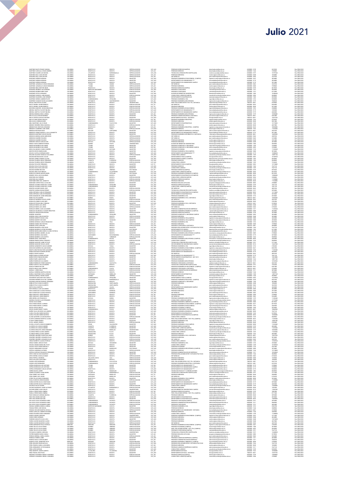# миллезом мызме содиах восилос восил сочемном отда искомосностимическому аналогическому восили состоительно на<br>МИЛИССИМАНИЕ СОДИВА ИЛИСО ВИКИОЗ С СОДИА СОСТАВЛЯ СОДИАТЕЛЬНО МЕНАОСМОВОТО писализационным состоительным придо  $1008-2048-3048-40408-40408-20408-30408-40408-40408-40408-40408-40408-40408-40408-40408-40408-40408-40408-40408-40408-40408-40408-40408-40408-40408-40408-40408-40408-40408-40408-40408-40408-40408-40408-40408-40408-40408-4$ Febrero 2020 Julio 2021

| MARTINEZ HERRAN ADRIANA<br>MARTINEZ HERRAN ADRIANA<br>MARTINEZ HERRAN ADRIANA                                        | <b>COLOMBIA</b>                              | BOGOTA D.C<br>BOGOTA D.C                    | <b>BOGOTA</b>                        | <b>MAGISTER</b><br>MAGISTER<br>MAGISTER                           | CAT ASD                                  | PREGRADO INGENIERIA DE MULTIMEDIA (CAMPUS)<br>DEPARTAMENTO DE HUMANIDADES ****<br>DEPARTAMENTO DE HUMANIDADES CAMPUS                             | .<br>humanidades@unimilitar.edu.co<br>humanidades@unimilitar.edu.co                                                                                                                                 | 6500000 - 3247<br>6500000 - 3171<br>6500000 - 3171 | 4074800<br>4024800<br>2012400              | Res 2986/2021<br>Res 2986/2021<br>Res 2986/2021 |
|----------------------------------------------------------------------------------------------------------------------|----------------------------------------------|---------------------------------------------|--------------------------------------|-------------------------------------------------------------------|------------------------------------------|--------------------------------------------------------------------------------------------------------------------------------------------------|-----------------------------------------------------------------------------------------------------------------------------------------------------------------------------------------------------|----------------------------------------------------|--------------------------------------------|-------------------------------------------------|
| MARTINEZ JARAMILLO CARLOS EDMUNDO                                                                                    | COLOMBIA<br>COLOMBIA<br>COLOMBIA             | OGOTA D.C<br>TOLIMA                         | BOGOTA<br>BOGOTA<br>LIBANO           | ESPECIALIZACION                                                   | CAT_ASO<br>CAT_ASO<br>CAT_ASI            | ESP. MEDICAS                                                                                                                                     | post.medicina@unimilitar.edu.co                                                                                                                                                                     | 6500000 - 2042                                     | 2225760                                    | Res 2086/202                                    |
| MARTINEZ JARAMILLO CARLOS EDMUNDO<br>MARTINEZ MELO NESTOR OMAR                                                       | COLOMBIA<br>COLOMBIA                         | TOL/MA<br>BOGOTA D.C                        | LIBANO<br><b>BOGOTA</b>              | ESPECIALIZACION<br>ESPECIALIZACION                                | CAT_ASI<br>CAT_AUX                       | PREGRADO MEDICINA<br>PREGRADO DERECHO(CAMPUS)                                                                                                    | medicina@unimilitar.edu.co<br>derecho@unimilitar.edu.co                                                                                                                                             | 6500000-2046<br>6500000-3199                       | 3709600<br>8619520                         | Res 2086/2021<br>Res 2086/2021                  |
| MARTINEZ MORENO LUIS GERARDO                                                                                         | COLOMBIA                                     | NORTE DE SANTANDER                          | CUCUTA                               | ESPECIALIZACION                                                   | CAT ASO                                  | PREGRADO CONTADURIA                                                                                                                              | contaduria@unimilitar.edu.co                                                                                                                                                                        | 6500000 - 1312                                     | 5835960                                    | Res 2986/2021                                   |
| MARTINEZ MORENO MERY RUBY<br>MARTINEZ OSTOS LEONARDO<br>MARTINEZ QUIROGA JAIRO MOISES                                | COLOMBIA<br>COLOMBIA<br>COLOMBIA             | BOGOTA D.C<br>BOGOTA D.C<br>BOGOTA D.C.     | BOGOTA<br>BOGOTA<br>BOGOTA           | ESPECIALIZACIÓN                                                   | CAT_ASI<br>CAT_ASI<br>CAT_AUX            | PREGRADO CONTADURIA<br>DIVISION DE BIENESTAR UNIVERSITARIO<br>CONSULTORIO JURIDICO(CAMPUS)                                                       | contaduria@unimilitar.edu.co<br>bienestas@unimilitar.edu.co<br>consultorio.juridico@unimilitar.edu.co                                                                                               | 500000 - 1311<br>500000 - 1060<br>6500000-3206     | 6213580<br>16300440<br>5848960             | Res 2086/2021<br>Res 2086/2021<br>Res 2086/2021 |
| MARTINEZ SAAVEDRA JOSE HERMES                                                                                        | COLOMBIA                                     | BOGOTA D.C                                  | BOGOTA                               | MAGISTER                                                          | CAT_ASO<br>CAT_ASO                       | DEPARTAMENTO DE MATEMATICAS                                                                                                                      | matematicas@unimilitar.edu.co                                                                                                                                                                       | 6500000-1520                                       | 5835960                                    | Res 2086/2021                                   |
| MARTINEZ URREGO ANDRES FELIPE<br>MARTINEZ VASQUEZ DAVID ALEJANDRO                                                    | COLOMBIA<br>COLOMBIA                         | CUNDINAMARCA<br><b>PUTUMAYO</b>             | <b>ZIPAQUIRA</b><br>SAN FRANCISCO    | <b>MAGISTER</b><br><b>MAGISTER</b>                                |                                          | PREGRADO INGENIERIA CIVIL<br>PREGRADO INGENIERIA MECATRONICA                                                                                     | ingcivil@unimilitar.edu.co                                                                                                                                                                          | 6500000-1276<br>6500000-1279                       | 9458280<br>7048240                         | Res 2086/2021<br>Res 2986/2021                  |
| MATALLANA ESLAVA ALVARI                                                                                              | COLOMBIA<br>COLOMBIA                         | BOGOTA D.C<br>BOGOTA D.C                    | BOGOTA                               | <b>INVERSITARIO</b><br>ESPECIALIZACION                            | CAT_ASI<br>CAT_ASO<br>CAT_TIT<br>CAT_TIT | PREG. RELACIONES INTER Y EST. POL. DISTANCIA                                                                                                     | ngmecatronica@unimilitar.edu.co<br>iepdistancia@unimilitar.edu.co                                                                                                                                   | 480333-6841                                        | sassos                                     | Res 2086/2021<br>Res 2986/2021                  |
| MATTA IBARRA JAVIER ERNESTO<br>MATTA IBARRA JAVIER ERNESTO<br>MAYORGA SANCHEZ JOHAN SEBASTIAN                        | COLOMBIA                                     | BOGOTA D.C<br>BOGOTA D.C                    | BOGOTA<br>BOGOTA<br>BOGOTA           | ESPECIALIZACION<br>ESPECIALIZACION                                | CAT_AUX                                  | ESP. MEDICAS<br>PREGRADO MEDICINA<br>PREGRADO INGENIERIA EN MULTIMEDIA                                                                           | post medicina@unimilitar.edu.co<br>medicina@unimilitar.edu.co<br>ingmultimedia@unimilitar.edu.co                                                                                                    | 6500000 - 2042<br>6500000 - 2046<br>6500000-1293   | 8420400<br>2308800                         | Res 2986/2021<br>Res 2086/2021                  |
| MEDINA MARTHA YULYHET MILENA<br>MEDINA MARTHA YULYHET MILENA                                                         | COLOMBIA<br>COLOMBIA                         | BOGOTA D.C<br>BOGOTA D.C                    | BOGOTA<br>BOGOTA                     | ESPECIALIZACION<br>ESPECIALIZACION                                | CAT_AUX<br>CAT_AUX                       | DEPARTAMENTO DE HUMANIDADES ****<br>DEPARTAMENTO DE HUMANIDADES CAMPUS                                                                           | anidades@unimilitar.edu.co<br>umaridades@crimiitar.edu.r                                                                                                                                            | 6500000-3179<br>500000-3179                        | 1539200<br>4463680                         | Res 2086/2021<br>Res 2986/2021                  |
| MEDINA MIRANDA ERIKA LORENA                                                                                          | COLOMBIA                                     | BOGOTA D.C                                  | <b>OCOTA</b>                         | MAGISTER                                                          |                                          |                                                                                                                                                  | ingmecatronica@unimilitar.edu.co                                                                                                                                                                    | 500000-127                                         |                                            | tes 2086/2021                                   |
| MEJA ALCALA MILTON MARINO<br>MEJA CORTES GUSTAVO ANTONIO                                                             | COLOMBIA<br>COLOMBIA                         | BOGOTA D.C<br>BOGOTA D.C.                   | <b>BOGOTA</b><br>BOGOTA              | MAGISTER<br>MAGISTER                                              | CAT_ASI<br>CAT_ASO<br>CAT_ASO            | DEPARTAMENTO DE HOMANDADES CAMPOS<br>PREGRADO INGENERA MECATRONICA<br>PREGRADO ADMON SEGURIDAD A DISTANCIA<br>DEPARTAMENTO DE FISICA - DISTANCIA | asso distancia@unimilitar.edu.co<br>fisica@unimilitar.edu.co                                                                                                                                        | 7480333 - 6841<br>7480333 - 6841                   | 5433480<br>12678120                        | Res 2086/2021<br>Res 2086/2021                  |
| MEJIA FLOREZ PEDRO IGNACIO<br>MEJIA SILVA HERNAN DARIO                                                               | COLOMBIA<br>COLOMBIA                         | BOGOTA D.C.<br>BOGOTA D.C.                  | BOGOTA<br>BOGOTA                     | ESPECIALIZACION<br>ESPECIALIZACION                                | CAT_ASI<br>CAT ASO                       | PREGRADO INGENERIA INDUSTRIAL<br>PREGRADO MEDICINA                                                                                               | ingindustrial@unimilitar.edu.co<br>co.uba saffirminudae iplan                                                                                                                                       | 6500000 - 1264<br>6500000 - 2046                   | 5378920<br>5031000                         | Res 2086/2021                                   |
| MELO MARTINEZ JULIO CESAR<br>MENDEZ ORDOÑEZ ERIKA MARCELA                                                            | COLOMBIA<br>COLOMBIA                         | <b>CUNDINAMARCA</b><br>BOGOTA D.C.          | FACATATIVA<br>BOGOTA                 | <b>MAGISTER</b><br>ESPECIALIZACION                                | CAT ASO                                  | DEPARTAMENTO DE MATEMATICAS                                                                                                                      | natematicas@unimilitar.edu.cr<br>nedicina@unimilitar.edu.co                                                                                                                                         | 6500000 - 1520<br>500000-2048                      | 12175020<br>4637000                        | Res 2086/2021<br>Res 2086/2021<br>Res 2086/2021 |
| MENDEZ RUZ CRISTIAN LEONARDO<br>MENDIETA GUERRERO JOSE ANGEL                                                         | COLOMBIA<br>COLOMBIA                         | BOGOTA D.C                                  | BOGOTA                               | MAGISTER<br>ESPECIALIZACION                                       | CAT_ASI<br>CAT_ASI<br>CAT_ASO            | PREGRADO MEDICINA<br>PREGRADO INGENERIA INDUSTRIAL (CAMPUS)                                                                                      | ingenieria campus@unimilitar.edu.co<br>derecho@unimilitar.edu.co                                                                                                                                    | 6500000 - 3245<br>6500000 - 1244                   | 10386880<br>11269440                       | Res 2986/2021<br>Res 2986/2021                  |
| MENDOZA BELTRAN DAVID                                                                                                | COLOMBIA                                     | BOYACA<br>BOLIVAR                           | TUNJA<br>CARTAGENA                   | MAGISTER                                                          | CAT_ASO                                  | PREGRADO DERECHO<br>PREGRADO ADMON DE EMPRESAS A DISTANCIA                                                                                       | admon.distancia@unimilitar.edu.co                                                                                                                                                                   | 7480333 - 6841                                     | 3622320                                    | Res 2086/2021                                   |
| MENDOZA GOMEZ MARCELA JULIA JEANNETTE                                                                                | COLOMBIA                                     | BOGOTA D.C.<br>BOGOTA D.C                   | BOGOTA                               | MAGISTER                                                          | CAT ASO                                  | DEPARTAMENTO DE HUMANIDADES CAMPUS<br>REGRADO INGENERIA INFORMATICA A DISTANCIA                                                                  | humanidades@unimilitar.edu.co                                                                                                                                                                       | 6500000 - 3179                                     | 2012400                                    | Res 2986/2020                                   |
| MENDOZA MARTINEZ OSCAR VILSON<br>MENDOZA MEDINA MARIA MERCEDES<br>MENDOZA RAMIREZ RICARDO<br>MENDOZA RAMIREZ RICARDO | COLOMBIA<br>COLOMBIA<br>COLOMBIA<br>COLOMBIA | BOGOTA D.C<br>BOGOTA D.C                    | BOGOTA<br>BOGOTA<br>BOGOTA<br>BOGOTA | MAGISTER<br>ESPECIALIZACION<br>ESPECIALIZACION<br>ESPECIALIZACION | CAT_ASO<br>CAT_ASO<br>CAT_ASO<br>CAT_ASO | PREMADO INGENERA<br>ESP. MEDICAS<br>PREGRADO MEDICINA                                                                                            |                                                                                                                                                                                                     | 6500000 - 3171<br>6500000 - 8001<br>6500000 - 2042 |                                            | Res 2986/202                                    |
| MENESES VARGAS CARLOS IVAN                                                                                           | <b>COLOMBIA</b>                              | BOGOTA D.C<br>BOYACA                        | <b>DUITAMA</b>                       | ESPECIALIZACION                                                   | CAT_AUX                                  | PREGRADO MEDICINA                                                                                                                                | hamandadea@aminifiar.edu.co<br>informatica.distancia@aminifiar.edu.co<br>post.medicina@aminifiar.edu.co<br>post.medicina@aminifiar.edu.co<br>medicina@aminifiar.edu.co<br>medicina@aminifiar.edu.co | 6500000 - 2042<br>6500000 - 2048<br>6500000 - 2048 | 2414880<br>2012400<br>3078400              | Res 2986/202<br>Res 2986/202                    |
| MENZA VADOS ANDRES ESTEBAN                                                                                           | <b>COLOMBIA</b>                              | NARINO                                      | PASTO                                | UNIVERSITARIO                                                     |                                          | DIVISION DE BIENESTAR UNIVERSITARIO                                                                                                              | hierarchardis mimilitar arts on                                                                                                                                                                     | 6500000 - 1060                                     | 9696960                                    | Res 2986/202                                    |
| MERCHAN BARRIOS GUILLERMO<br>MERCHAN BARRIOS GUILLERMO                                                               | COLOMBIA                                     | TOLIMA<br>TOLIMA                            | BAGUE<br>BAGUE                       | MAGISTER<br>MAGISTER                                              | CAT_AUX<br>CAT_ASI<br>CAT_ASI<br>CAT_ASO | PREGRADO ADMON DE LA SEGURIDAD<br>PREGRADO ADMON DE LA SEGURIDAD CAMPUS                                                                          | seguridad integral@urimilitar.edu.cc<br>asso.campus@urimilitar.edu.co                                                                                                                               | 6500000 - 1346<br>6500000 - 1346<br>6500000 - 1091 | 3709600<br>3709600<br>11269440             |                                                 |
| MESA SALAMANCA CAMILO ANDRES<br>MESTIZO REYES RUBEN DARIO                                                            | COLOMBIA<br>COLOMBIA                         | <b>BOYACA</b><br>BOGOTA D.C                 | DUITAMA<br>BOGOTA                    | MAGISTER<br>MAGISTER                                              |                                          | PREGRADO ECONOMIA<br>PREGRADO INGENIERIA CIVIL (CAMPUS)                                                                                          | conomia@unimilitar.edu.co                                                                                                                                                                           | 6500000 - 1318<br>6500000-3008                     | 3018600                                    | Res 2986/202<br>Res 2986/2020                   |
| MOJICA CASTILLO HERNAN DARIO<br>MOLANO SALCEDO GONZALO GUILLERMO                                                     | COLOMBIA<br>COLOMBIA                         | BOGOTA D.C<br>BOGOTA D.C.                   | BOGOTA<br>BOGOTA                     | MAGISTER<br><b>FREECIAL (ZACION</b>                               | CAT_ASO<br>CAT_ASO                       | DEPARTAMENTO DE HUMANIDADES*<br>CONSULTORIO JURIDICO                                                                                             | ingenieria.campus@unimilitar.edu.co<br>humanidades@unimilitar.edu.co<br>.<br>consultorio juridico@unimilitar.edu.co                                                                                 | 6500000-3179<br>6500000 - 1239                     | 13080600<br>14891760                       | Res 2086/2021<br>Res 2986/2021                  |
|                                                                                                                      |                                              | BOSOTA D.C                                  |                                      | MAGISTER<br>MAGISTER                                              |                                          |                                                                                                                                                  |                                                                                                                                                                                                     |                                                    |                                            |                                                 |
| MOLINA BELTRAN DAVID JULIAN<br>MOLINA CORREA SANDRA LEJANA<br>MOLINA FIGUERDA DIEGO FERNANDO                         | COLOMBIA<br>COLOMBIA<br>COLOMBIA             | BOGOTA D.C<br>BOGOTA D.C                    | BOGOTA<br>BOGOTA<br>FLORENCIA        | ESPECIALIZACION                                                   | CAT_ASO<br>CAT_ASO<br>CAT_ASO<br>CAT_AUX | DEPARTAMENTO FISICA (CAMPUS)<br>DEPARTAMENTO QUIMICA (CAMPUS)<br>PREGRADO DERECHO                                                                | derecho@unimilitar.edu.co                                                                                                                                                                           | 6500000 - 1239<br>6500000 - 1526<br>6500000 - 1244 | 15xx1/11<br>16702920<br>5835960<br>5848960 | Res 2086/2021                                   |
| MOLINA FIGUEROA DIEGO FERNANDO<br>MOLINA FOCAZZIO FERNANDO                                                           | COLOMBIA<br>COLOMBIA                         | CAQUETA<br>BOGOTA D.C                       | FLORENCU<br>BOGOTA                   | ESPECIALIZACION<br>MAGISTER                                       | CAT_AUX<br>CAT_TIT                       | CONSULTORIO JURIDICO<br>DEPARTAMENTO FISICA (CAMPUS)                                                                                             | consultorio juridico@unimilitar.edu.co<br>fisica@unimilitar.edu.co                                                                                                                                  | 6500000-1239<br>6500000-3053                       | 7234240<br>15718080                        | Res 2086/2021<br>Res 2086/2021                  |
| MOLINA OVALLE WILLIAM IVAN<br>MOLINA OVALLE WILLIAM IVAN<br>MOLINA RAMIREZ NELSON                                    | COLOMBIA<br>COLOMBIA                         | BOGOTA D.C<br>BOGOTA D.C.<br>QUINDIO        | BOGOTA<br>BOGOTA<br>ARMENU           | <b>MAGISTER</b><br>MAGISTER<br>DOCTORADO                          | CAT ASO                                  | PREGRADO DERECHO<br>CONSULTORIO JURIDICO<br>PREGRADO DERECHO/CAMPUS)                                                                             | derecho@unimilitar.edu.co<br>derecnogumm===========<br>consultorio.juridico@unimilitar.edu.co<br>derecho@unimilitar.edu.co                                                                          | 6500000-1244                                       | 7647120<br>7647120<br>6876660              | Res 2986/2021                                   |
| MOLINA VERA FLOR HINELDA                                                                                             | COLOMBIA                                     | CUNDINAMARCA                                | VILLAPINZON                          | MAGISTER                                                          | CAT_ASO<br>CAT_TIT<br>CAT_AUX            | CONSULTORIO JURIDICO(CAMPUS)                                                                                                                     | consultorio juridico@unimilitar.edu.co                                                                                                                                                              | 6500000 - 1235<br>6500000 - 3195<br>6500000 - 3206 | 8619520                                    | Res 2086/2021<br>Res 2086/2021<br>Res 2086/2021 |
| MONCAYO DONOSO MIGUELANGEL<br>MONROY VEGA LUIS GUILLERMO                                                             | COLOMBIA<br>COLOMBIA                         | CAUCA<br>BOGOTA D.C.                        | POPAYAN<br><b>BOGOTA</b>             | DOCTORADO<br><b>MAGISTER</b>                                      | CAT_AUX<br>CAT ASO                       | PREGRADO INGENIERIA BIOMEDICA (CAMPUS)<br>DEPARTAMENTO DE MATEMATICAS (CAMPUS)                                                                   | ing biomedica@unimilitar.edu.co<br>ematicas@unimilitar.edu.co                                                                                                                                       | 6500000 - 3008<br>6500000 - 3055                   | 8619520<br>13080600                        | Res 2086/2021<br>Res 2986/2021                  |
| MONTAÑA DIAZ HERMES                                                                                                  | COLOMBIA<br>COLOMBIA                         | BOGOTA D.C.<br>BOGOTA D.C                   | BOGOTA                               | ESPECIALIZACION                                                   | CAT AUX                                  | CONSULTORIO JURIDICO/CAMPUS!                                                                                                                     | onsultorio iuridico@unimilitar.edu.co                                                                                                                                                               | 6500000-320                                        | 2308800                                    | Res 2986/2021                                   |
| MONTAÑA DIAZ HERMES<br>MONTAÑEZ NIÑO ANA JANNETTE<br>MONTAÑO CORTES PACLA CATALINA                                   | COLOMBIA<br>COLOMBIA                         | BOGOTA D.C                                  | <b>IOGOTA</b><br>BOGOTA              | ESPECIALIZACION<br>ESPECIALIZACION                                | CAT_AUX<br>CAT_AUX<br>CAT_AUX            | PREGRADO DERECHO(CAMPUS)<br>PREGRADO MEDICINA<br>PREGRADO BIOLOGIA APLICADA                                                                      | detectorio juristo guarnista estas<br>medicina@unimilitar.edu.co<br>programa.biologia@unimilitar.edu.co                                                                                             | 500000-3199<br>6500000-2048<br>6500000-3085        | 1390080<br>11544000                        | tes 2086/2021<br>Res 2086/2021<br>Res 2086/2021 |
| MONTES ALGARRA FRANCISCO JAVIER                                                                                      | COLOMBIA                                     | BOGOTA D.C<br>CUNDINAMARCA                  | BOGOTA<br>21PAQUIN                   | MAGISTER<br>MAGISTER                                              | CAT_ASO                                  | PREGRADO DERECHO(CAMPUS)                                                                                                                         | derecho@unimilitar.edu.co                                                                                                                                                                           | 6500000 - 3199                                     | 2308800<br>7647120                         | Res 2086/2021                                   |
| MONTES ALGARRA FRANCISCO JAVIER<br>MONTES ALVAREZ ROGER JOSE                                                         | COLOMBIA<br>COLOMBIA                         | CUNDINAMARCA<br>BOGOTA D.C.                 | ZPAQUIRA<br>BOGOTA                   | MAGISTER<br>ESPECIALIZACION                                       | CAT_ASO<br>CAT_ASO                       | CONSULTORIO JURIDICO(CAMPUS)<br><b>ESP. MEDICAS</b>                                                                                              | .<br>consultorio juridico@unimilitar.edu.co<br>xost.medicina@unimilitar.edu.co                                                                                                                      | 6500000 - 3206<br>6500000 - 2042                   | 7647120<br>4829760                         | Res 2086/2021<br>Res 2086/2021                  |
| MONTES CADENA EDISON FERNEY                                                                                          | COLOMBIA<br>COLOMBIA                         | BOGOTA D.C                                  | <b>OCOTA</b>                         | ESPECIALIZACIO                                                    | CAT_AUX<br>CAT_ASO<br>CAT_ASO            | FECNOLOGIA ATENCION PRE HOSPITALARIA                                                                                                             |                                                                                                                                                                                                     | 500000-3197                                        | 3078400<br>3078400<br>12175020             | Res 2986/2021                                   |
| MORA ESPINOSA CARLOS FERNANDO<br>MORA ESPINOSA CARLOS FERNANDO                                                       |                                              | BOGOTA D.C<br>BOGOTA D.C                    | BOGOTA<br>BOGOTA                     | MAGISTER<br>MAGISTER                                              |                                          | DEPARTAMENTO DE MATEMATICAS (CAMPUS)<br>DEPARTAMENTO DE MATEMATICAS                                                                              | medicina.social@unimilitar.edu.co<br>matematicas@unimilitar.edu.co<br>matematicas@unimilitar.edu.co                                                                                                 | 6500000 - 3055<br>6500000 - 1520                   | 3018600                                    | Res 2086/2021<br>Res 2086/2020                  |
| MORA MAMANCHE JAIME HERNANDO<br>MORA VILLOTA DARWIN                                                                  | COLOMBIA<br>COLOMBIA                         | BOGOTA D.C.<br>NARINO                       | BOGOTA<br>PASTO                      | MAGISTER<br>MAGISTER                                              | CAT_ASO<br>CAT ASO                       | PREGRADO INGENERIA CIVIL<br>PREGRADO INGENERIA CIVIL A DISTANCIA                                                                                 | inscivil@unimilitar.edu.co<br>odistancia@unimilitar.edu.co                                                                                                                                          | 6500000 - 1276<br>7480333 - 684                    | 3018600<br>16300440                        | Res 2086/2021<br>Res 2086/2021                  |
| MOBAL ES CUEBBERO OSCAR, MAIER<br>MORALES LESMES CLARA INES                                                          | COLOMBIA<br>COLOMBIA                         | BOGOTA D.C.<br>BOGOTA D.C                   | BOGOTA<br>BOGOTA                     | ESPECIALIZACION<br>ESPECIALIZACION                                | CAT ASC                                  | <b>ESP. MEDICAS</b>                                                                                                                              | ost medicina@unimilitar.edu.co                                                                                                                                                                      | 6500000 - 2042<br>500000-204                       | 1622320<br>2782200                         | Res 2086/2021<br>Res 2086/2021                  |
| MORALES POSADA NELLY BIBIANA<br>MORALES RUBIO LUIS JORGE                                                             | COLOMBIA<br>COLOMBIA                         | BOGOTA D.C.<br>BOGOTA D.C.                  | <b>BOGOTA</b><br>BOGOTA              | MAGISTER<br>ESPECIALIZACION                                       | CAT_ASI<br>CAT_ASI<br>CAT_TIT            | <b>PREGRADO MEDICINA<br/>PREGRADO INGENERIA CIVIL A DISTANCIA<br/>PREGRADO MEDICINA</b>                                                          | medicina@unimilitar.edu.co<br> cdistancia@unimilitar.edu.co<br> medicina@unimilitar.edu.co                                                                                                          | 7480333 - 6841<br>6500000 - 2048                   | 8150220<br>4210200                         | Res 2086/2021<br>Res 2086/2021                  |
| MORALES RUBIO LUIS JORGE<br>MORALES SIERRA JUAN ALEJANDRO                                                            | <b>COLOMBIA</b><br><b>COLOMBIA</b>           | BOGOTA D.C<br>BOGOTA D.C                    | BOGOTA<br>BOGOTA                     | ESPECIALIZACION<br>MAGISTER                                       | CAT_TIT                                  | ESP. MEDICAS<br>PREGRADO ADMINISTRACION DE EMPRESAS                                                                                              | post.medicina@unimilitar.edu.co                                                                                                                                                                     | 6500000 - 2042                                     | 6736320                                    | Res 2986/202                                    |
| MORAL ES VALENZUELA OLCUER SERASTIAN                                                                                 | <b>COLOMBIA</b>                              | BOGOTA D.C.                                 | BOGOTA                               | MACHTER                                                           | CAT_ASO<br>CAT_ASO                       | PREGRADO INGENIERIA BIOMEDICA (CAMPUS)                                                                                                           | ,<br>Ing biomedica@unimilitar.edu.co<br>Ing biomedica@unimilitar.edu.co                                                                                                                             | 6500000 - 1317<br>6500000 - 3008                   | 11269440<br>4024800                        | Res 2986/2021<br>Res 2986/2021                  |
| MORALES VARGAS EDNA MILENA<br>MORENO MAURICIO                                                                        | COLOMBIA<br>COLOMBIA                         | BOGOTA D.C<br><b>CUNDINAMARCA</b>           | BOGOTA<br>EOGOTA                     | ESPECIALIZACIO<br>MAGISTER                                        | CAT_AUX<br>CAT_AUX                       | PREGRADO DERECHO(CAMPUS)<br>PREGRADO DERECHO(CAMPUS)<br>PREGRADO ADMON DE LA SEGURIDAD CAMPUS                                                    | derecho@unimilitar.edu.co<br>asso.campus@unimilitar.edu.co                                                                                                                                          | 500000-3191<br>6500000 - 3093                      | 1024600<br>4024800                         | tes 2986/202<br>Res 2986/202                    |
| MORENO ARIAS CARLOS MARTIN<br>MORENO BARRETO DIANA LISSA                                                             | COLOMBIA<br>COLOMBIA                         | BOGOTA D.C.<br>BOGOTA D.C.                  | BOGOTA<br>BOGOTA                     | <b>ESPECIALIZACION</b><br>ESPECIALIZACION                         | CAT_ASO<br>CAT_AUX                       | PREGRADO MEDICINA<br>PREGRADO INGENIERIA CIVIL (CAMPUS)                                                                                          | medicina@unimilitar.edu.co<br>inomieria campus@unimilitar.edu.cc                                                                                                                                    | 6500000-2048<br>6500000-3008                       | 4024800<br>4463680                         | Res 2986/202<br>Res 2986/2020                   |
| MORENO BARRETO RICHARD                                                                                               | COLOMBIA                                     | CORDOBA                                     | SAHAGUN                              | MAGISTER                                                          | CAT ASO                                  | PREGRADO INGENIERIA CIVIL/CAMPUS)                                                                                                                |                                                                                                                                                                                                     | 6500000-3008                                       | 4030380                                    | Res 2986/2020                                   |
| MORENO ESPARZA CARLOS FRANCISCO<br>MORENO GOMEZ HECTOR RAUL<br>MORENO LOPEZ CAROLINA                                 | COLOMBIA<br>COLOMBIA                         | SUCRE<br>BOGOTA D.C.                        | TOLU<br>BOGOTA<br>BOGOTA             | MAGISTER<br>ESPECIALIZACION<br>ESPECIALIZACION                    | CAT_ASO<br>CAT_ASO<br>CAT_AUX            | PROBADO INGENIERA CIVILICANA LUI<br>PREGRADO MEDICINA<br>PREGRADO CONTADURIA A DISTANCIA                                                         | ingenieria.compus@unimilitar.edu.co<br>ingcivil@unimilitar.edu.co<br>medicina@unimilitar.edu.co<br>cpdistancia@unimilitar.edu.co                                                                    | 500000 - 127<br>500000 - 2048<br>.                 | 8552700<br>3709600<br>4848480              |                                                 |
| MORENO MANCERA JOSE DAVID                                                                                            | COLOMBIA<br>COLOMBIA                         | BOGOTA D.C.<br>BOGOTA D.C                   | BOGOTA                               | MAGISTER                                                          | CAT_ASO<br>CAT_ASI                       | PREGRADO RELACIONES INTER Y ESTUDIOS POLITICOS                                                                                                   | relinternal@unimilitar.edu.co                                                                                                                                                                       | 7480333 - 6841<br>6500000 - 1344                   | 7647120                                    | Res 2086/2021                                   |
| MORENO MARENCO ASTRID ROXANNA<br>MORENO MARULANDA MARIA CLAUDIA PATRICIA                                             | COLOMBIA<br>COLOMBIA                         | BOGOTA D.C<br>BOGOTA D.C                    | BOGOTA<br>BOGOTA                     | DOCTORADO<br><b>MAGISTER</b>                                      |                                          | DEPARTAMENTO DE QUIMICA<br>DEPARTAMENTO DE HUMANIDADES ****                                                                                      | departamento.quimica@unimilitar.edu.co<br>humanidades@unimilitar.edu.co                                                                                                                             | 6500000 - 1526<br>6500000-3179                     | 6213580<br>4024800                         | Res 2086/2021<br>Res 2986/2021                  |
| MORENO MORENO ANDRES JULIAN<br>MORENO MORENO LINA MARIA                                                              | COLOMBIA<br>COLOMBIA<br>COLOMBIA             | BOGOTA D.C.<br>SANTANDER                    | BOGOTA<br>BUCARAMAI<br>TURMEQUE      | <b>MAGISTER</b><br>SPECIALIZACION                                 | CAT_ASO<br>CAT_ASI<br>CAT_AUX<br>CAT_AUX | <b>SECRADO INGENIERA MECATRONICA (CAMPUS)<br/>DEPARTAMENTO DE HUMANIDADES ****</b><br>PREGRADO DERECHO                                           |                                                                                                                                                                                                     | 6500000 - 3179<br>6500000 - 3179<br>6500000 - 1244 | 3709600                                    | nes 2006/2021<br>Res 2006/2021<br>Res 2006/2021 |
| MORENO MORENO LUIS AGAPITO<br>MORENO ORTIZ JUAN PABLO                                                                | COLOMBIA                                     | BOYACA<br>CUNDINAMARCA                      | PACHO                                | ESPECIALIZACION<br>MAGISTER                                       | CAT_AUX                                  | PREGRADO INGENIERIA MECATRONICA (CAMPUS)                                                                                                         | derecho@unimilitar.edu.co<br>mecatronica.campus@unimilitar.edu.co                                                                                                                                   | 6500000 - 3009                                     | 5848960<br>4463680                         | Res 2086/2020<br>Res 2086/2021                  |
| MORENO PINEDA MARIA CONSUELO<br>MORENO SANCHEZ, IAIME OCTAVIO                                                        | COLOMBIA<br>COLOMBIA                         | BOGOTA D.C.<br>BOGOTA D.C                   | BOGOTA<br><b>BOGOTA</b>              | ESPECIALIZACION                                                   | CAT_AUX<br>CAT AUX                       | CONSULTORIO JURIDICO<br>TECNOLOGIA ATENCION PRE HOSPITALARIA                                                                                     | consultorio juridico@unimilitar.edu.co<br>medicina.social@unimilitar.edu.co                                                                                                                         | 6500000-1239<br>6500000-3197                       | 5848960<br>3771040                         | Res 2086/2021<br>Res 2986/2021                  |
| MORENO SANCHEZ OSCAR JAVIER                                                                                          |                                              | BOGOTA D.C                                  | <b>OCOTA</b>                         | TECNICO<br>ESPECIALIZACION                                        |                                          |                                                                                                                                                  | ieccion.bienestar@unimilitar.edu.co                                                                                                                                                                 | 500000-331                                         | 12467520                                   | les 2086/2021                                   |
| MORENO SARMENTO CARLOS ANDRÉS<br>MOSCOSO BARRERA WILLIAM DANIEL                                                      | COLOMBIA<br>COLOMBIA<br>COLOMBIA             | BOYACA<br>BOGOTA D.C.                       | TUNJA<br>BOGOTA                      | MAGISTER<br>MAGISTER                                              | CAT_AUX<br>CAT_ASI<br>CAT_ASO            | ISCOON BIENESTAR UNIVERSITARIO CAMPUS<br>PREGRADO INGENIERA CIVIL<br>PREGRADO INGENIERA CHIL                                                     | ingcivil@unimilitar.edu.co<br>ingenieria.campus@unimilitar.edu.co                                                                                                                                   | 6500000 - 1276<br>6500000 - 3247                   | 2782200<br>8552700                         | Res 2086/2021<br>Res 2086/2021                  |
| MUETE LOBATON WALTHER ALEXANDER<br>MUÑOZ BUITRAGO DARWIN ARTURO                                                      | COLOMBIA<br>COLOMBIA                         | BOGOTA D.C<br>BOGOTA D.C                    | BOGOTA<br>BOGOTA                     | MAGISTER<br>MAGISTER                                              | CAT_ASO<br>CAT ASO                       | DEPARTAMENTO DE MATEMATICAS<br>DEPARTAMENTO DE HUMANIDADES ***                                                                                   | matematicas@unimilitar.edu.co                                                                                                                                                                       | 6500000-1520<br>6500000 - 3179                     | 11269440<br>5835960                        | Res 2086/2021<br>Res 2086/2021                  |
| MUÑOZ CORTES HAROLD<br>MUÑOZ MURLLO EDWIN ARTURO                                                                     | COLOMBIA<br>COLOMBIA                         | BOGOTA D.C.<br>BOGOTA D.C                   | BOGOTA<br>BOGOTA                     | ESPECIALIZACION<br><b>MAGISTER</b>                                | CAT_ASO                                  | ESP. MEDICAS                                                                                                                                     | .<br>humanidades@unimilitar.edu.co<br>post.medicina@unimilitar.edu.co                                                                                                                               | 6500000 - 2042<br>500000 - 317                     | 4829760<br>7647120                         | Res 2986/2020<br>Res 2086/2021                  |
| MUÑOZ REYES FABIAN RICARDO<br>MUÑOZ RIAÑO JAIME ELKIM                                                                | COLOMBIA<br>COLOMBIA                         | BOGOTA D.C                                  | BOGOTA<br>BOGOTA                     | MAGISTER<br>MAGISTER                                              | CAT_ASO<br>CAT_ASO<br>CAT_ASO            | DEPARTAMENTO DE HUMANIDADES ****<br>DEPARTAMENTO DE MATEMATICAS - DIST 2013<br>DEPARTAMENTO DE MATEMATICAS - DIST 2013                           | matematicas@unimilitar.edu.co<br>derecho@unimilitar.edu.co                                                                                                                                          | 7480333 - 6841<br>6500000 - 1244                   | 15023880<br>14891760                       | Res 2986/2021<br>Res 2986/2021                  |
| MUÑOZ RODRIGUEZ ALEJANDRO                                                                                            | COLOMBIA                                     | BOGOTA D.C<br>BOGOTA D.C.                   | BOGOTA                               | MAGISTER                                                          | CAT_ASO                                  | PREGRADO DERECHO<br>PREGRADO INGENERIA MECATRONICA                                                                                               | ingmecatronica@unimilitar.edu.co                                                                                                                                                                    | 6500000 - 1279                                     | 16702920                                   | Res 2086/2021                                   |
| MUÑOZ RODRIGUEZ YENNY MARILYN<br>MUÑOZ ZAPATA LUIS ALE JANDRO                                                        | COLOMBIA<br>COLOMBIA                         | CUNDINAMARCA<br>BOGOTA D.C.                 | <b>GUATAWTA</b><br><b>BOGOTA</b>     | MAGISTER<br>ESPECIALIZACION                                       | CAT_ASO<br>CAT_AUX                       | PREGRADO CONTADURIA A DISTANCIA<br>TECNOLOGIA ATENCION PRE HOSPITALARIA                                                                          | pdatancia@unimiltar.edu.co<br>edicina.social@unimilitar.edu.co                                                                                                                                      | 7480333 - 684<br>6500000 - 3197                    | 3622320<br>7234240                         | Res 2086/2020<br>Res 2086/2021                  |
| MURCIA FORERO HECTOR<br>MURCIA GRACIA ANA TRINIDAD<br>MURLLO JORGE ISAAC                                             | COLOMBIA                                     | BOGOTA D.C.                                 | BOGOTA                               | ESPECIALIZACION<br>ESPECIALIZACION                                | CAT_AUX<br>CAT_AUX<br>CAT_AUX            | TANNOUN INCREDIA DE MULTIMEDIA (CAMPUS)<br>PREGRADO CONTADURIA DE MULTIMEDIA (CAMPUS)<br>PREGRADO ADMINISTRACION DE EMPRESAS                     | ineutine.society.com/shareholds.co<br>cpdistancia@unimilitar.edu.co<br>administracion@unimilitar.edu.co                                                                                             | 500000-3247                                        | 6541600                                    | les 2086/2021                                   |
| MURLLO HERRERA MARTHA HELENA                                                                                         | COLOMBIA<br>COLOMBIA                         | CUNDINAMARCA<br>BOGOTA D.C.                 | CAJICA<br>BOGOTA                     | ESPECIALIZACION                                                   |                                          |                                                                                                                                                  |                                                                                                                                                                                                     | 7480333 - 6841<br>6500000 - 1311                   | 4155840<br>3078400                         | Res 2086/2021<br>Res 2086/2021                  |
| MURILLO MARTINEZ SOFIA LEONILDE                                                                                      | <b>COLOMBIA</b><br><b>COLOMBIA</b>           | BOGOTA D.C<br><b>ANTIQOULA</b>              | BOGOTA<br>MEDELLIN                   | ESPECIALIZACION<br>MAGISTER                                       | CAT_AUX<br>CAT_ASD<br>CAT_AUX            | PREGRADO DERECHO<br>DEPARTAMENTO DE MATEMATICAS                                                                                                  | derecho@unimilitar.edu.co<br>matematicas@unimilitar.edu.co<br>.<br>Jerecho@unimilitar.edu.co                                                                                                        | 6500000 - 1244<br>6500000 - 1520                   | 5848960<br>14891760                        | Res 2986/202<br>Res 2986/202                    |
| NARANJO MURILLO MARIA ISLENI<br>NAVARRETE QUECANO IVAN CAMILO                                                        | <b>COLOMBIA</b><br>COLOMBIA<br>COLOMBIA      | <b>QUINDID</b><br><b>CINONAMARCA</b>        | ARMENIA<br>ZIPAQUIRA<br>BARRANQUILLA | ESPECIALIZACION<br>HAGISTER                                       | CAT_ASI<br>CAT_ASI                       | PREGRADO DERECHO<br>DEPARTAMENTO FISICA (CAMPUS)                                                                                                 | fisica@unimiltar.edu.co                                                                                                                                                                             | 6500000 - 1244<br>500000-3053                      | 5848960<br>16229500                        | Res 2986/202<br>tes 2986/202                    |
| NAVARRO ROMERO ELISA DEL CARMEN<br>NAVARRO SANCHEZ MANUEL FERNANDO                                                   | COLOMBIA                                     | ATLANTICO<br>BOGOTA D.C                     | BOGOTA                               | MAGISTER<br>MAGISTER                                              |                                          | PREGRADO INGENERIA INDUSTRIAL (CAMPUS)<br>PREGRADO ADMON DE LA SEGURIDAD                                                                         | ingenieria.campus@unimilitar.edu.cc                                                                                                                                                                 | 6500000 - 3245<br>6500000 - 1346                   | 8552700<br>4024800                         | Res 2986/202<br>Res 2986/202                    |
| NIEBLES POLO CARLOS ALBERTO<br>NIEBLES POLO CARLOS ALBERTO                                                           | COLOMBIA<br>COLOMBIA                         | MAGDALENA<br>MAGDALENA                      | SANTA MARTA<br>SANTA MARTA           | <b>ESPECIALIZACION</b><br>ESPECIALIZACION                         | CAT_ASO<br>CAT_ASO                       | PREGRADO MEDICINA<br>ESP. MEDICAS                                                                                                                | seguridad integral@unimilitar.edu.co<br>medicina@unimilitar.edu.co<br>sost.medicina@unimilitar.edu.co                                                                                               | 6500000-2048<br>6500000-2042                       | 1006200<br>1622320                         | Res 2986/202<br>Res 2986/2020                   |
|                                                                                                                      |                                              |                                             |                                      |                                                                   | CAT_ASO<br>CAT_AUX<br>CAT_ASO<br>CAT_ASO |                                                                                                                                                  |                                                                                                                                                                                                     |                                                    |                                            |                                                 |
| NEED AYALA MARTHA<br>NETO BONILLA LUIS ALEJANDRO<br>NETO GONZALEZ CLAUDIA PATRICIA                                   | COLOMBIA<br>COLOMBIA<br>COLOMBIA             | BOGOTA D.C.<br>SANTANDER                    | CAJICA<br>BOGOTA<br>BARBOSA          | ESPECIALIZACION<br>ESPECIALIZACION<br>ESPECIALIZACION             |                                          | DEPARTAMENTO DE HUMANIDADES CAMPUS<br>PREGRADO MEDICINA<br>PREGRADO MEDICINA                                                                     | humanidades (junimilitar edu co<br>medicina(junimilitar edu co<br>medicina(junimilitar edu co                                                                                                       | 6500000 - 2042<br>6500000 - 2048<br>6500000 - 2048 | 4463680<br>4024800<br>2012400              | Res 2086/2021                                   |
| NIETO GONZALEZ CLAUDIA PATRICIA<br>NIÑO GONZALEZ JORGE ERNESTO                                                       | COLOMBIA<br>COLOMBIA                         | SANTANDER<br>BOGOTA D.C                     | BARBOSA<br>BOGOTA                    | ESPECIALIZACION<br>ESPECIALIZACION                                | CAT_ASO<br>CAT_ASI                       | ESP. MEDICAS<br>PREGRADO MEDICINA                                                                                                                | post.medicina@unimilitar.edu.co<br>nedicina@unimilitar.edu.co                                                                                                                                       | 6500000-2042<br>6500000-2046                       | 6037200<br>3709600                         | Res 2086/2021<br>Res 2086/2021                  |
| NIÑO GONZALEZ JORGE ERNESTO                                                                                          | COLOMBIA                                     | BOGOTA D.C                                  | BOGOTA<br>HOMANYA<br>NOBSA<br>BOGOTA | ESPECIALIZACION                                                   | CAT_ASI                                  | ESP. MEDICAS                                                                                                                                     | sost.medicina@unimilitar.edu.co                                                                                                                                                                     | 6500000-2042                                       | 5564400                                    | Res 2986/2021                                   |
| NIÑO SIERRA LUIS FRANCISCO<br>NORIEGA PACHECO LUIS FERNANDO<br>NOSSA SILVA DANIEL                                    | COLOMBIA<br>COLOMBIA                         | BOYACA<br>BOGOTA D.C.<br>BOGOTA D.C.        | BOGOTA                               | MAGISTER<br>ESPECIALIZACION<br>ESPECIALIZACION                    | CAT_ASO<br>CAT_AUX<br>CAT_AUX            | PREGRADO INGENIERIA MECATRONICA<br>CONSULTORIO JURIDICO(CAMPUS)<br>PREGRADO INGENIERIA AMBIENTAL (CAMPUS)                                        | ingmecatronica@unimilitar.edu.co<br>consultorio.junico@unimilitar.edu.co<br>ing.ambiental@unimilitar.edu.co                                                                                         | 6500000 - 1271<br>6500000 - 3206<br>6500000-3008   | 11269440<br>12775360<br>8619520            | Res 2086/2021<br>Res 2086/2021<br>Res 2986/2021 |
| NOVA PARDO MIGUEL ALFREDO                                                                                            | COLOMBIA                                     | BOGOTA D.C                                  | BOGOTA                               | ESPECIALIZACION                                                   | CAT_AUX<br>CAT_AUX                       | PREGRADO INGENIERIA DE MULTIMEDIA (CAMPUS)                                                                                                       | ingenieria.campus@unimilitar.edu.co<br>ingmultimedia@unimilitar.edu.co                                                                                                                              | 6500000-3247                                       | 8619520                                    | Res 2086/2021                                   |
| NOVA PARDO MIGUEL ALFREDO<br>NOVOA HOVOS AMALIA                                                                      | COLOMBIA<br>COLOMBIA                         | BOGOTA D.C<br>BOGOTA D.C                    | BOGOTA<br><b>BOGOTA</b>              | ESPECIALIZACION<br><b>MAGISTER</b>                                | CAT ASO                                  | PREGRADO INGENIERIA EN MULTIMEDIA<br>PREGRADO ECONOMIA (CAMPUS)                                                                                  | could unimitted a co-                                                                                                                                                                               | 6500000-1293<br>6500000 - 1300                     | 4463680<br>3018600                         | Res 2086/2021<br>Res 2986/2021                  |
| NOVOA SUAREZ NANCY YADIRA                                                                                            | COLOMBIA                                     | <b>TINDINAMARC</b><br>BOGOTA D.C            | ACHO<br>BOGOTA                       | MAGISTER<br>MAGISTER                                              | CAT_ASO<br>CAT_ASO<br>CAT_ASI            | PREGRADO CONTADURIA A DISTANCIA<br>PREGRADO INGENIERIA BIOMEDICA (CAMPUS)<br>DEPARTAMENTO DE MATEMATICAS                                         | economigiammas ausco<br>ing biomedica@unimilitar.edu.co<br>matematicas@unimilitar.edu.co                                                                                                            | 480333-6841                                        | 7647120                                    | Res 2086/2021                                   |
| NUÑEZ VALLEJOS DIEGO ALEJANDRO<br>OJEDA OTALORA INGRID MAYERLY<br>OJEDA OTALORA INGRID MAYERLY                       | COLOMBIA<br>COLOMBIA<br>COLOMBIA             | BOGOTA D.C<br>BOGOTA D.C                    | BOGOTA<br>BOGOTA                     | MAGISTER<br><b>MAGISTER</b>                                       | CAT_ASI                                  | DEPARTAMENTO DE MATEMATICAS (CAMPUS)                                                                                                             | matematicas@unimilitar.edu.co                                                                                                                                                                       | 6500000 - 3008<br>6500000 - 1520<br>6500000-3055   | 5378920<br>10386880                        | Res 2986/2021<br>Res 2086/2021                  |
| OLANO QUINTERO JULIAN MAURICIO<br>OLARTE CARDENAS MARTHA LILIANA                                                     | COLOMBIA<br>COLOMBIA                         | BOGOTA D.C<br>BOGOTA D.C.                   | BOGOTA<br><b>BOGOTA</b>              | <b>PROFITALIZACION</b><br>MACISTER                                | CAT_AUX<br>CAT_ASO                       | CONSULTORIO JURIDICO<br>PREG. RELACIONES INTERN. Y EST. POL.(CAMPUS)                                                                             |                                                                                                                                                                                                     | 6500000-1239<br>6500000 - 3033                     | 5848960<br>11269440                        | Res 2086/2021<br>Res 2086/2021                  |
| OLARTE TORRES SERGIO                                                                                                 |                                              | BOGOTA D.C.<br>BOGOTA D.C.                  | BOGOTA                               | <b>MAGISTER</b>                                                   |                                          | PREGRADO INGENERIA CIVIL<br>PREGRADO INGENERIA CIVIL<br>PREGRADO INGENERIA CIVIL(CAMPUS)                                                         |                                                                                                                                                                                                     | 500000 - 127                                       | 13985180                                   | Res 2086/2021                                   |
| OLAYA JURADO JESSICA<br>OLIVELLA ZULETA CARLOS HUMBERTO                                                              | COLOMBIA                                     | CESAR                                       | BOGOTA<br>VALLEDUPAR                 | ESPECIALIZACION<br>MAGISTER                                       | CAT_ASO<br>CAT_ASO<br>CAT_ASO            |                                                                                                                                                  | nedicina@unimilitar.edu.co<br>ingenieria campus@unimilitar.edu.co                                                                                                                                   | 6500000 - 204<br>6500000 - 300                     | 3709600<br>11269440                        | Res 2086/2021<br>Res 2086/2021                  |
| OLIVEROS AYA CARLOS ANDRES<br>OLIVEROS AYA CARLOS ANDRES                                                             | COLOMBIA<br>COLOMBIA                         | CAQUETA<br>CAOUETA                          | FLORENCIA<br><b>FLORENCH</b>         | MAGISTER<br>MAGISTER                                              | CAT_ASO<br>CAT ASO                       | PREGRADO DERECHO(CAMPUS)<br>CONSULTORIO JURIDICO/CAMPUS!                                                                                         | derecho@unimilitar.edu.co<br>.<br>consultorio. juridi co@unimilitar.edu.co<br>ngmecatronica@unimilitar.edu.co                                                                                       | 6500000 - 3199<br>6500000 - 3206                   | 4024800<br>11269440                        | Res 2086/2021<br>Res 2986/2021                  |
| OLIVEROS HINCAPIE JORGE ARMANDO<br>OLIVEROS PEREZ ALVARO ANDRES                                                      | COLOMBIA<br>COLOMBIA                         | ANTIOQUIA<br>MAGDALEN                       | MEDELLIN<br>PLATO                    | <b>UNIVERSITARIO</b><br><b>MGSTER</b>                             | CAT AS<br>CAT_ASO                        | PREGRADO INGENERIA MECATRONICA<br>CONSULTORIO JURIDICO                                                                                           | sultorio juridico@unim                                                                                                                                                                              | 6500000 - 1279<br>5500000 - 1231                   | coassed<br>1269440                         | Res 2086/2020                                   |
| OLIVEROS PEREZ ALVARO ANDRES                                                                                         | COLOMBIA<br>COLOMBI                          | MAGDALEN                                    | PLATO                                | MAGISTER                                                          | CAT_ASO<br>CAT_AUI                       | PREGRADO DERECHO<br>PREGRADO INGENIER                                                                                                            | animilitar.edu.co<br>icdistancia@unimilitar.edu.co                                                                                                                                                  | 6500000 - 124<br>480333-684                        | 4024800<br>1246752                         | Res 2086/2021<br>Res 2986/2021                  |
| ORDOÑEZ ORDOÑEZ LEONARDO ELIAS<br>ORDOŠEZ ORDOŠEZ I FONARDO ELIAS                                                    | COLOMBIA<br>COLOMBIA                         | BOGOTA D.C.<br>BOGOTA D.C.                  | BOGOTA<br>BOGOTA                     | ESPECIALIZACION<br>ESPECIALIZACION                                | CAT_ASO                                  | PREGRADO MEDICINA<br>ESP. MEDICAS                                                                                                                | medicina@unimilitar.edu.co<br>post.medicina@unimilitar.edu.co                                                                                                                                       | 6500000 - 2048<br>6500000 - 2042                   | 3018600<br>4829760                         | Res 2986/2021                                   |
| ORDI (2 RARRETO CLAUDIA PATRICIA                                                                                     | <b>COLOMBIA</b><br><b>COLOMBIA</b>           | BOGOTA D.C<br>BOYACA                        | BOGOTA<br><b>DCAM</b>                | ESPECIALIZACION<br>Eirice<br>MAGISTER                             | CAT_ASO<br>CAT_ASO                       | CONSILTORIO JURIDICO                                                                                                                             | sultorio juridico@unimilitar.edu.cr<br>ngcivil@unimiltar.edu.co                                                                                                                                     | 6500000 - 1231<br>5500000 - 127                    | 16702920                                   | Res 2986/2021<br>Res 2986/2021<br>Res 2986/202  |
| ORDUZ GOMEZ JOHN OCTAVIO<br>ORJUELA BOSSA MARIA DEL PILAR<br>ORJUELA ORTIZ ANGIE MARCELA                             | COLOMBIA<br>COLOMBIA                         | BOGOTA DJ                                   | BOGOTA                               | MAGISTER                                                          | CAT_ASO<br>CAT_ASO<br>CAT_AUX            | DINSOLVING ANNUAL CIVIL<br>CONSULTORIO JURIDICO<br>PREGRADO ECONOMIA                                                                             | consultorio juridico@unimilitar.edu.co<br>economia@unimilitar.edu.co                                                                                                                                | 6500000 - 1239<br>6500000 - 1318                   | 3018600<br>16702920                        | Res 2986/202                                    |
| OROZCO HERNANDEZ GIOVANY                                                                                             | <b>COLOMBIA</b>                              | BOGOTA D.C<br>CALDAS                        | BOGOTA<br><b>MANZALES</b>            | MGISTER<br>DOCTORADO                                              | CAT_AUX                                  | PREGRADO INGENIERIA MECATRONICA (CAMPUS)                                                                                                         | mecatronica.campus@unimilitar.edu.co                                                                                                                                                                | 6500000 - 3001                                     | 6541600<br>3078400                         | Res 2986/202<br>Res 2986/202                    |
| ORTEGA CARDENAS ALFONSO<br>ORTEGA HURTADO FRANCISCO FERNANDO                                                         | COLOMBIA<br>COLOMBIA<br>COLOMBIA             | BOGOTA D.C<br>ROGOTA D.C.<br><b>COTA DC</b> | BOGOTA<br>SOGOTA<br>SOGOTA           | ESPECIALIZACION                                                   | CAT TIT                                  | PREGRADO DERECHO<br>REGRADO ADMINISTRACION DE FMPRESA                                                                                            | <b>derecho Dunimilitar edu co</b><br>istracion@unimilitar.edu.co<br>mal@unimilitar.edu.co                                                                                                           | 6500000-1244<br>6500000 - 131)<br>6500000 - 1344   | 15718080                                   | Res 2986/202                                    |
| ORTIZ CONCHA HUGO MAURICIO<br>ORTIZ CONCHA HUGO MAURICIO<br>ORTIZ ESPINEL DOUGLAS OMAR                               | COLOMBIA                                     | BOGOTA D.C                                  | BOGOTA                               | MAGISTER<br>MAGISTER<br>ESPECIALIZACION                           | CAT_ASO<br>CAT_AUX<br>CAT_TIT            | EGRADO RELACIONES INTER Y ESTUDIOS POLITICOS<br>ESP. MEDICAS                                                                                     | post.medicina@unimilitar.edu.co                                                                                                                                                                     | 6500000 - 2042                                     | 6736320                                    | Res 2086/202                                    |
| ORTIZ PORTILLA MARISCE.<br>ORTIZ SALAZAR JUAN PABLO                                                                  | COLOMBIA<br>COLOMBIA                         | VALLE DEL CAUCA<br>BOGOTA D.C               | CALI<br>BOGOTA                       | ESPECIALIZACION<br>ESPECIALIZACION                                | CAT_AUX<br>CAT_ASO                       | PREGRADO MEDICINA<br>PREGRADO MEDICINA                                                                                                           | .<br>medicina@unimilitar.edu.co<br>medicina@unimilitar.edu.co                                                                                                                                       | 6500000-2046<br>6500000 - 2048                     | 1539200<br>1006200                         | Res 2086/2021<br>Res 2086/2021                  |
| OSORIO LOPEZ BERNARDO                                                                                                | COLOMBIA                                     | CUNDINAMARCA<br>CINDINAMARC                 | FACATATIVA                           | ESPECIALIZACION                                                   | CAT_AUX                                  | PREC RELACIONES INTER V FST POL. DISTANCIA                                                                                                       | ieodistancia@unimilitar.edu.co                                                                                                                                                                      | 7480333 - 684                                      | 5541120                                    | Res 2986/2021                                   |
| OSORIO LOPEZ BERNARDO<br>OSORIO LOPEZ BERNARDO                                                                       | COLOMBIA                                     | TOLIMA                                      | FACATATIVA<br>IBAGUE<br>IBAGUE       | ESPECIALIZACION<br>MAGISTER                                       | CAT_AUX<br>CAT_ASI<br>CAT_ASI            | FREGIADO INGENIERIA INDUSTRIAL A DISTANCIA<br>DEPARTAMENTO DE HUMANIDADES ****<br>DEPARTAMENTO DE HUMANIDADES CAMPUS                             | idistancia@unimilitar.edu.co<br>humanidades@unimilitar.edu.co<br>humanidades@unimilitar.edu.co                                                                                                      |                                                    | 6233760<br>3709600                         | :<br>Res 2086/2021<br>Res 2086/2021             |
| OSPINA BARRAGAN LUIS ANTONIO<br>OSPINA HERNANDEZ CARLOS ARTURO                                                       | COLOMBIA<br>COLOMBIA                         | TOLIMA<br>BOGOTA D.C.                       | BOGOTA                               | MAGISTER<br>MAGISTER                                              | CAT_ASO                                  | DEPARTAMENTO DE HUMANIDADES ****                                                                                                                 | humanidades@unimilitar.edu.co<br>humanidades@unimilitar.edu.co                                                                                                                                      | 6500000-3179<br>6500000-3179                       | 3709600<br>9458280                         | Res 2086/2021<br>Res 2086/2021                  |
| OSPINA NAVAS JAIDER<br>OSPINA STAADEN LILIANA MARIA                                                                  | COLOMBIA<br>COLOMBIA                         | CALDAS<br><b>ATLANTICO</b>                  | MANIZALES<br><b>BARRANOULLA</b>      | <b>MAGISTER</b><br>ESPECIALIZACION                                | CAT_ASO<br>CAT AUX                       | TECNOLOGIA EN ELECT Y COMUNICACIONES<br>TECNOLOGIA ATENCION PRE HOSPITAL ARIA                                                                    | ingtelecomunicaciones@unimilitar.edu.co<br>edicina.social@unimilitar.edu.co                                                                                                                         | 6500000-1282<br>6500000-3197                       | 5835960<br>3771040                         | Res 2086/2021<br>Res 2986/2021                  |
| OSSA GOMEZ LUIS JAVIER<br>OSSA GOMEZ LUIS JAVIER<br>OTERO TELLEZ DIEGO FERNANDO                                      | COLOMBIA<br>COLOMBIA                         | ANTIOQUM<br>ANTIOQUM                        | MEDELLIN<br>MEDELLIN<br>BOGOTA       | ESPECIALIZACION<br>ESPECIALIZACION<br>MAGISTER                    | CAT_TIT<br>CAT_TIT<br>CAT_ASO            | PREGRADO MEDICINA<br>ESP. MEDICAS<br>PREGRADO INGENIERA CIVIL(CAMPUS)                                                                            | medicina@unimilitar.edu.co<br>post.medicina@unimilitar.edu.co<br>ingenieria.campus@unimilitar.edu.co<br>dewcho@unimilitar.edu.co                                                                    | 6500000-2046<br>6500000-2042                       | 2806800<br>6736320                         | Res 2086/2021<br>Res 2086/2021                  |
| OVALLE USECHE JORGE EDUARDO                                                                                          | COLOMBIA<br>COLOMBIA                         | BOGOTA D.C.<br>BOYACA                       | GUATEQUE                             | ESPECIALIZACION                                                   | CAT_AUX                                  | PREGRADO DERECHO(CAMPUS)                                                                                                                         |                                                                                                                                                                                                     | 6500000-3008<br>6500000-3199                       | 3018600<br>11390080                        | Res 2086/2021<br>Res 2086/2021                  |
| OVIEDO BOTERO SILVIA CONSTANZA                                                                                       | COLOMBIA                                     | BOGOTA D.C                                  | <b>BOGOTA</b>                        | <b>MAGISTER</b>                                                   | CAT AUX                                  | DEPARTAMENTO DE HUMANIDADES ****<br>DEPARTAMENTO DE HUMANIDADES CAMPUS                                                                           | hermanidades@eximilitar.edu.co                                                                                                                                                                      | 6500000-3179                                       | 3078400                                    | Res 2986/2021                                   |
| OVIEDO BOTERO SILVIA CONSTANZA<br>PACHECO GALVIS YILBER                                                              | COLOMBIA<br>COLOMBIA                         | BOGOTA D.C<br>BOGOTA D.C                    | <b>BOGOTA</b><br>BOGOTA              | <b>MAGISTER</b><br>ESPECIALIZACION                                | CAT AUX                                  | CONSULTORIO JURIDICO                                                                                                                             | humanidades@unimilitar.edu.cr                                                                                                                                                                       | 6500000-3179<br>500000 - 123                       | 4463680<br>1346****                        | Res 2986/2020                                   |
| PACHECO MARQUEZ JAVIER ALFONSO<br>PACHON SIERRA JUAN CARLOS                                                          | COLOMBIA<br>COLOMBIA                         | ATLANTICO<br>BOGOTA D.C                     | BARRANQUILL<br>BOGOTA                | ESPECIALIZACION<br>UNIVERSITARIO                                  | CAT_AUX<br>CAT_AUX<br>CAT_AUX            | PREGRADO MEDICINA<br>SECCION BIENESTAR UNIVERSITARIO CAMPUS                                                                                      | medicina@unimilitar.edu.co<br>seccion.bienestar@unimilitar.edu.co                                                                                                                                   | 6500000 - 2048<br>6500000 - 3310                   | 1539200<br>11082240                        | Res 2086/2021<br>Res 2086/2021                  |
| PADILLA PEREZ MARIA XIMENA<br>PADILLA PEREZ MARIA XIMENA                                                             | COLOMBIA<br>COLOMBIA                         | BOGOTA D.C.<br>BOGOTA D.C.                  | BOGOTA<br>BOGOTA                     | ESPECIALIZACION<br>ESPECIALIZACION                                | CAT_ASI                                  | PREGRADO DERECHO/CAMPUS)<br>PREG. RELACIONES INTERN. Y EST. POL.(CAMPUS)                                                                         | derecho@unimilitar.edu.co<br>.<br>al@unimilitar.edu.co<br>relinte                                                                                                                                   | 6500000 - 3199<br>6500000 - 3033                   | 7882900<br>8717560                         | Res 2086/2021<br>Res 2986/2021                  |
| PAEZ GONZALEZ ADRIANA MILENA                                                                                         | COLOMBIA                                     | CAOUETA<br>BOGOTA D.C.                      | <b>FLORENCI</b><br>BOGOTA            | ESPECIALIZACION<br>MAGISTER                                       | CAT_ASI<br>CAT_AUX                       | <b>RECRADO MEDICINA</b><br>DEPARTAMENTO DE MATEMATICAS                                                                                           | nedicina@unimilitar.edu.co                                                                                                                                                                          | 500000 - 204<br>5500000 - 1520                     | 3078400<br>3018600                         | Res 2986/2021<br>Res 2086/2021                  |
| PAEZ VEGA MARIA MATILDE<br>PAEZ VEGA MARIA MATILDE                                                                   | COLOMBIA<br>COLOMBIA<br>COLOMBIA             | BOGOTA D.C.                                 | BOGOTA                               | MAGISTER<br>ESPECIALIZACION                                       | CAT_ASO<br>CAT_ASO<br>CAT_AUX            | DEPARTAMENTO DE MATEMATICAS<br>DEPARTAMENTO DE MATEMATICAS (CAMPUS)<br>PREGRADO CONTADURIA(CAMPUS)                                               | matematicas@unimilitar.edu.co<br>matematicas@unimilitar.edu.co<br>contaduria@unimilitar.edu.co                                                                                                      | 6500000 - 3055<br>6500000 - 3191                   | 13080600<br>3078400                        | Res 2086/2021<br>Res 2086/2021                  |
| PALACIOS CASAS LEONARDO AUNID<br>PALACIOS CASAS LEONARDO AUNID                                                       | COLOMBIA                                     | CUNDINAMARO<br><b>CUNDINAMARCA</b>          | <b>GACHETA</b><br><b>GACHETA</b>     | ESPECIALIZACION                                                   | CAT_AUX                                  | PREGRADO ADMINISTRACION DE EMPRESAS                                                                                                              | administracion@unimilitar.edu.co                                                                                                                                                                    | 6500000 - 1317                                     | 5848960                                    | Res 2086/2021                                   |
| PALACIOS CASAS LEONARDO AUNID<br>PARADA CABRERA MONICA LORENA                                                        | COLOMBIA<br>COLOMBIA                         | CUNDINAMARCA<br>NORTE DE SANTANDER          | GACHETA<br><b>CUCUTA</b>             | ESPECIALIZACION<br><b>MAGISTER</b>                                | CAT_AUX<br>CAT_ASO                       | PRECRADO CONTADURIA<br>PREGRADO INGENIERIA CIVIL                                                                                                 | contaduria@unimilitar.edu.co<br>ingcivil@unimilitar.edu.co                                                                                                                                          | 6500000 - 1312<br>6500000 - 127                    | 4463680<br>8552700                         | Res 2986/2020<br>Res 2986/2021                  |
| PARADA PEREZ JOSE RAFAE<br>PARADA VIZCAINO MARTHA CECILIA                                                            | COLOMBIA                                     | BOGOTA D.C<br>BOGOTA D.C                    | BOGOTA<br>BOGOTA                     | ESPECIALIZACION<br>ESPECIALIZACION                                | CAT_AUX<br>CAT_AUX<br>CAT_ASO            | <b>MECRADO DERECHO</b><br>DEPARTAMENTO DE HUMANIDADES - DISTANCIA                                                                                | lerecho@unimilitar.edu.cr<br>humanidades@unimilitar.edu.co                                                                                                                                          | 500000 - 124                                       | 4155840                                    | Res 2986/202<br>Res 2986/202                    |
| PARDO CARVAJAL ANDRES GIOVANN                                                                                        | COLOMBIA<br>COLOMBIA                         | BOGOTA D.C                                  | BOGOTA                               | MAGISTER                                                          |                                          | PREGRADO DERECHO                                                                                                                                 | derecho@unimilitar.edu.co                                                                                                                                                                           | 7480333 - 6841<br>6500000 - 1244                   | 5835960                                    | Res 2986/202                                    |
| PARDO FIGUEROA DIEGO ARMANDO<br>PARDO FUOUEN CAROLINA                                                                | <b>COLOMBIA</b><br><b>COLOMBIA</b>           | BOGOTA D.C<br>BOGOTA D.C                    | BOGOTA<br>BOGOTA                     | ESPECIALIZACION<br>UNIVERSITARIO                                  | CAT_AUX<br>CAT_AUX<br>CAT_ASD            | CONSULTORIO JURIDICO<br>PREGRADO INGENIERIA DE MULTIMEDIA (CAMPUS)                                                                               | consultorio juridico@unimilitar.edu.co<br>.<br>nomieria.campus@unimilitar.edu.co<br>nedicina@unimilitar.edu.co                                                                                      | 6500000 - 1239<br>6500000 - 3247                   | 11390080<br>3771040                        | Res 2986/202<br>Res 2986/202                    |
| PARDO PARDO CERMAN<br>PAREDES GARAVITO OLGA LUCIA                                                                    | <b>COLOMBIA</b><br>COLOMBIA                  | BOGOTA D.C<br>BOGOTA D.C                    | BOGOTA<br>BOGOTA                     | ESPECIALIZACION                                                   | CAT_ASO<br>CAT_ASI                       | PREGRADO MEDICINA<br><b>PREGRADO MEDICINA</b>                                                                                                    | nedicira@unimiltar.edu.co                                                                                                                                                                           | 500000 - 204<br>500000-204                         | 4024800<br>12074400                        | Res 2986/202<br>hrs 2986/202                    |
| PARRA CALCEDO MAURICIO ALEXIS<br>PARRA CAICEDO MAURICIO ALEXIS                                                       | COLOMBIA                                     | BOGOTA D.C<br>BOGOTA D.C                    | BOGOTA<br>BOGOTA                     | MAGISTER<br>ESPECIALIZACION<br>ESPECIALIZACION                    | CAT_ASI                                  | PREGRADO MEDICINA<br>ESP. MEDICAS                                                                                                                | nedicira@unimilitar.edu.co<br>post.medicina@unimilitar.edu.co                                                                                                                                       | 6500000 - 2048<br>6500000-2042                     | 4637000<br>4451520                         | Res 2986/202<br>Res 2986/2020                   |
| PARRA MORANTES PAOLA PATRICIA<br>PARRA TELLEZ LUIS ALFONSO                                                           | NINGUNO<br>COLOMBIA                          | NINGUNO<br><b>QUINDIO</b>                   | NINGUNO<br><b>ARMENIA</b>            | POR ESTABLECER<br>ESPECIALIZACION                                 | CAT_ASI<br>CAT ASO                       | PREGRADO INGENIERIA DE MULTIMEDIA (CAMPUS)<br>PREGRADO ECONOMIA (CAMPUS)                                                                         | ingenieria.campus@unimilitar.edu.cc<br>economia@unimilitar.edu.co                                                                                                                                   | 6500000-3247<br>6500000 - 1300                     | 2782200<br>3018600                         | Res 2086/2021<br>Res 2986/2021                  |
| PARRA TELLEZ LUIS ALFONSO<br>PARRA TELLEZ LUIS ALFONSO                                                               | COLOMBIA                                     | QUINDIO<br>DUINDIO                          | .<br>ARMENIA<br>ARMENIA              | ESPECIALIZACION<br>ESPECIALIZACION                                |                                          |                                                                                                                                                  | mal@unimiltar.edu.c<br>duria@unimiltar.edu.                                                                                                                                                         | 6500000-303<br>6500000-3191                        | 4930380<br>7647120                         | Res 2086/2021<br>Res 2086/2021                  |
| PATAQUIVA ZAMORA CAROLIN                                                                                             | COLOMBIA                                     | BOGOTA D.C                                  | BOGOTA                               | UNIVERSITARIO                                                     | CAT_ASO<br>CAT_ASO<br>CAT_AUX            | FREG. RELACIONES INTERN. Y EST. POL. (CAMPUS)<br>PREG. RELACIONES INTERN. Y EST. POL. (CAMPUS)<br>TECNOLOGIA ATENCION PRE HOSPITALARIA           | nedicina.social@unimilitar.edu.co                                                                                                                                                                   | 6500000-3197                                       | 1346800                                    | Res 2086/2021                                   |
| PATIÑO RAMIREZ MARIA CAMILA<br>PEDRAZA BERNAL ANGELA MARIA                                                           | COLOMBIA<br>COLOMBIA                         | BOGOTA D.C<br>BOGOTA D.C                    | BOGOTA<br>BOGOTA                     | <b>MAGISTER</b><br>ESPECIALIZACION                                | CAT_ASI<br>CAT_ASI                       | PREGRADO BIOLOGIA APLICADA<br>ESP. MEDICAS                                                                                                       | programa.biologia@unimilitar.edu.co<br>post medicina@unimilitar.edu.co                                                                                                                              | 6500000-3085<br>6500000-2042                       | 5378920<br>5564400                         | Res 2086/2021<br>Res 2086/2021                  |
| PEDRAZA FORERO JAIME                                                                                                 | COLOMBIA                                     | BOGOTA D.C<br><b>ROGOTA D.C.</b>            | <b>BOGOTA</b>                        | <b>MAGISTER</b>                                                   | CAT ASO                                  | PRECRADO ADMON DE EMPRESAS (CAMPUS)                                                                                                              | administracion@unimilitar.edu.co                                                                                                                                                                    | 6500000-1317                                       | 4024800                                    | Res 2986/2021                                   |
| PERRAZA MALO JOHN HELBERT<br>PERRAZA VEGA JENNIFFER IVET<br>PEÑA ARAGON CESAR NICOLAS                                | COLOMBIA<br>NINGUNO<br>COLOMBIA              | BOGOTA D.C.                                 | BOGOTA<br>NINGUNO<br>BOGOTA          | <br>MAGISTER<br>POR ESTABLECER<br>ESPECIALIZACION                 | CAT_ASI<br>CAT_ASI<br>CAT_ASI            | FREGRADO ADMINISTRACIÓN DE EMPRESAS<br>PREGRADO INGENIERIA AMBIENTAL (CAMPUS)<br>PREGRADO RELACIONES INTER Y ESTUDIOS POLITICOS                  | administracion@unimilitar.edu.c<br>ing.ambiental@unimilitar.edu.co<br>reInternal@unimilitar.edu.co                                                                                                  | 6500000 - 131)<br>6500000 - 3006<br>6500000-1344   | 7048240<br>3709600<br>7647120              | Res 2086/2021                                   |
| PEÑA FONSECA NUBIA ALEXANDR                                                                                          | COLOMBIA                                     | BOGOTA D.C                                  | BOGOTA                               | ESPECIALIZACION                                                   | CAT_ASI                                  | PREGRADO MEDICINA<br>PREGRADO ADMON DE EMPRESAS (CAMPUS)                                                                                         | medicina@unimilitar.edu.co                                                                                                                                                                          | 6500000-2048                                       | 1854800                                    | Res 2086/2021                                   |
| PEÑA HERNANDEZ VICTOR MANUEL<br>PEÑA LOPEZ MYRIAM                                                                    | COLOMBIA<br>COLOMBIA                         | BOGOTA D.C<br>BOGOTA D.C                    | BOGOTA<br><b>BOGOTA</b>              | ESPECIALIZACION<br><b>MAGISTER</b>                                | CAT_ASO<br>CAT ASO                       | CONSULTORIO JURIDICO                                                                                                                             | administracion@unimilitar.edu.co<br>onsultorio iuridico@unimilitar.edu.co                                                                                                                           | 6500000-1317<br>6500000-1239                       | 7647120<br>9458280                         | Res 2086/2021<br>Res 2986/2021                  |
| PENA NEGRETE JAIDER ALBERTO<br>PEÑA TRIANA JEAN YECID<br>PEÑARETE SANABRIA FREDDY LEONARDO                           | COLOMBIA<br>COLOMBIA                         | LA GUAJIRA<br>BOGOTA D.C<br>BOGOTA D.C      | VILLANUEVA<br>BOGOTA<br>BOGOTA       | <b>MAGISTER</b><br>MAGISTER                                       | CAT_ASI<br>CAT_ASI<br>CAT_ASI            | DEPARTAMENTO DE FISICA<br>DEPARTAMENTO DE FISICA                                                                                                 | tona anno processore<br>fisica@unimiltar.edu.co<br>fisica@unimiltar.edu.co                                                                                                                          | 5500000-152<br>7480333 - 684                       | 10386880<br>12678120                       | Res 2086/2021<br>Res 2086/2021                  |
|                                                                                                                      | COLOMBIA                                     |                                             |                                      | ESPECIALIZACION                                                   |                                          | PREGRADO DERECHO(CAMPUS)                                                                                                                         | imilitar edu.co                                                                                                                                                                                     | 6500000 - 319                                      |                                            | Res 2086/2021                                   |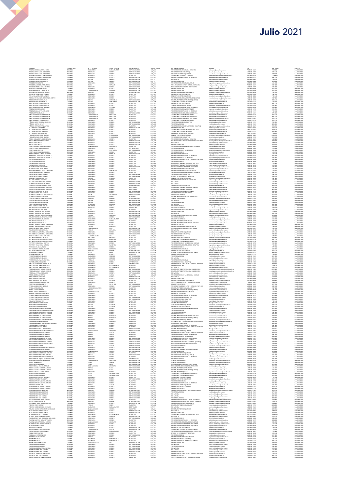| PEÑUELA GERENA MARTHA SONV<br>PEÑUELA ORTIZ DAVID ALEJANDRO<br>PEÑUELA ORTIZ DAVID ALEJANDRO                      | COLOMBIA<br>COLOMBIA<br>COLOMBIA | SANTANDER<br>BOGOTA D.C.<br>BOGOTA D.C.           | BUCARAMANGA<br>BOGOTA<br>BOGOTA           | ESPECIALIZACION<br>ESPECIALIZACION<br>ESPECIALIZACION            | CAT_ASO<br>CAT_AUX<br>CAT AUX             | PREGRADO INGENIERIA CIVIL A DISTANCIA<br>PREGRADO DERECHO(CAMPUS)<br>CONSULTORIO JURIDICO(CAMPUS)                                    | iodistancia@unimilitar.edu.co<br>derecho@unimilitar.edu.co<br>.<br>nsultorio.juridico@unimilitar.edu.co                                             | 7480333-6841<br>6500000-3199<br>6500000 - 3206     | 8150220<br>3771040<br>5848960            | Res 2986/2020<br>Res 2986/2020<br>Res 2986/2020                  |
|-------------------------------------------------------------------------------------------------------------------|----------------------------------|---------------------------------------------------|-------------------------------------------|------------------------------------------------------------------|-------------------------------------------|--------------------------------------------------------------------------------------------------------------------------------------|-----------------------------------------------------------------------------------------------------------------------------------------------------|----------------------------------------------------|------------------------------------------|------------------------------------------------------------------|
| PERDOMO MADRIGAL CAMILO ANDRE<br>EREIRA ESGUERRA DYANA CATALINA                                                   | COLOMBIA                         | incota nir<br>GOTA D.C                            | NOGOTA<br>NTOGOTA                         | MAGISTER<br>ESPECIALIZACION                                      | CAT_ASC<br>CAT_ASC<br>CAT_TIT             | DEPARTAMENTO QUIMICA (CAMP                                                                                                           | u princegommunika<br>into quimica@unimilita<br>icion@unimilitar.edu.co                                                                              | 5500000 - 1521<br>5500000 - 131                    | 1308060<br>7647120                       | Pes 2986/2020<br>Res 2986/2020<br>Res 2986/2020                  |
| PEREZ AGUDELO LUIS ERNESTO<br>PEREZ AGUDELO LUIS ERNESTO                                                          | COLOMBIA<br>COLOMBIA             | BOYACA<br>BOYACA                                  | MONGU<br>MONGUL                           | ESPECIALIZACION<br>ESPECIALIZACION                               | CAT_TIT                                   | DEPARTAMENTO QUIMICA (CAMPUS)<br>PREGRADO ADMINISTRACION DE EMPRESAS<br>ESP. MEDICAS<br>PREGRADO MEDICINA                            | post medicina@unimilitar.edu.co<br>medicina@unimilitar.edu.co                                                                                       | 6500000-2042<br>6500000-2048                       | 6736320<br>5613600                       | Res 2986/2020                                                    |
| PEREZ BARBOSA DAVID<br>PEREZ BENAVIDES DIANA MARCELA                                                              | COLOMBIA<br>COLOMBIA             | BOGOTA D.C.<br>CAUCA                              | BOGOTA<br>POPAYAN                         | ESPECIALIZACION<br>ESPECIALIZACION                               | CAT_ALDO                                  | PREGRADO INGENIERIA CIVILICAMPUS)<br>PREC RELACIONES INTER Y EST POL DISTANCIA                                                       | .<br>ngenieria.campus@unimilitar.edu.co<br>iepdistancia@unimilitar.edu.co                                                                           | 6500000 - 3008<br>7480333 - 6841                   | 445580<br>5541120                        | Res 2986/2020<br>Res 2986/2020                                   |
| PEREZ CONTRERAS LUISA CRISTINA                                                                                    | COLOMBIA                         | BOGOTA D.C                                        | ATOGOE                                    | ESPECIALIZACION                                                  |                                           | TECNOLOGIA ATENCION PRE HOSPITALARIA                                                                                                 | edicina.social@unimilitar.edu.co                                                                                                                    | 6500000-319                                        | 346800                                   | Res 2986/2020                                                    |
| PEREZ DIAZ CARLOS EDUARDO<br>PEREZ HERRAN VICTOR MAURICI                                                          | COLOMBIA<br>COLOMBIA             | BOGOTA D.C<br>CUNDINAMARC:                        | BOGOTA<br>DORARDO                         | ESPECIALIZACION<br>ESPECIALIZACIO                                | CAT_ALIX<br>CAT_ASD<br>CAT_ASD            | PREGRADO MEDICINA<br>PREGRADO MEDICINA                                                                                               | nedicina@unimilitar.edu.co<br>similitar.edu.co                                                                                                      | 6500000 - 2048<br>6500000 - 2048                   | 4024800<br>2012400                       | Res 2986/2020<br>Res 2986/2020                                   |
| PEREZ RODRIGUEZ CESAR ARTURO<br>PESCA SALAZAR LUIS ALEJANDRO<br>PESCA SALAZAR LUIS ALEJANDRO                      | NINGUNO<br>COLOMBIA<br>COLOMBIA  | NNGUNO<br>BOGOTA D.C<br>BOGOTA D.C                | NINGUNO<br>BOGOTA<br>BOGOTA               | POR ESTABLECER<br>MAGISTER<br>MAGISTER                           | CAT_ALDO<br>CAT_ASD<br>CAT_ASD            | PRECRADO INGENIERIA CIVIL(CAMPUS)<br>PREGRADO DERECHO(CAMPUS)<br>CONSULTORIO JURIDICO(CAMPUS)                                        | ingenieria.campus@unimilitar.edu.co<br>recho@unimilitar.edu.co                                                                                      | 6500000 - 3008<br>6500000 - 3199<br>6500000 - 3206 | 7234240<br>6741540<br>11269440           | Res 2986/2020<br>Res 2986/2020<br>Res 2986/2020                  |
|                                                                                                                   | COLOMBU                          | BOGOTA D.C                                        |                                           | MAGISTER                                                         |                                           | .<br>NICA (CAMPUS)                                                                                                                   | ineciogramma: ess.co<br>insultorio jurídico@unimilitar.edu.co<br>recatronica.campus@unimilitar.edu.co                                               | 6500000 - 300                                      | 7647120                                  | Res 2986/2020                                                    |
| PEDRAHITA SOLORZANO GIOVANNY ANDRES<br>PINO MARTINEZ JOSE MANJEL<br>PINO MARTINEZ JOSE MANJEL                     | COLOMBIA<br>COLOMBIA             | BOLIVAR<br>BOLIVAR                                | BOGOTA<br>CARTAGENA<br>CARTAGENA          | ESPECIALIZACION<br>ESPECIALIZACION                               | CAT_ASD<br>CAT_ASD<br>CAT_AUX             | PREGRADO INGENIERIA MECATRONICA (CAMP)<br>DEPARTAMENTO DE MATEMATICAS (CAMPUS)<br>DEPARTAMENTO DE MATEMATICAS                        | natematicas@unimilitar.edu.co<br>natematicas@unimilitar.edu.co                                                                                      | 6500000 - 3055<br>6500000 - 1520                   | 7234240<br>2308800                       | Res 2986/2020<br>Res 2986/2020                                   |
| PINTO PUENTES GLORIA PATRICIA<br>PINTO PUENTES GLORIA PATRICIA                                                    | COLOMBIA<br>COLOMBIA<br>COLOMBIA | BOGOTA D.C<br>BOGOTA D.C                          | BOGOTA<br>BOGOTA                          | MAGISTER<br>MAGISTER                                             | CAT_ASD<br>CAT_ASD<br>CAT_AUX             | PREGRADO DERECHO(CAMPUS)<br>CONSULTORIO JURIDICO/CAMPUS                                                                              | derecho@unimilitar.edu.co<br>:<br>::raultorio.juridico@unimiltar.edu.co<br>ing.biomedica@unimiltar.edu.co                                           | 6500000 - 3199<br>6500000 - 3206<br>6500000 - 3008 | 7647120<br>10363860<br>10004800          | Res 2986/2020<br>Res 2986/2020<br>Res 2986/2020                  |
| PINZON ARENAS JAVIER ORLANDO<br>PINZON BURGOS ELEACIGR<br>PINZON CASALLAS WILSON JAIRO                            | COLOMBIA                         | SANTANDER<br>BOGOTA D.C                           | SOCORRI<br>ATODOE                         | MAGISTER<br>MAGISTEI                                             |                                           | PREGRADO INGENIERIA BIOMEDICA (CAMPUS)<br>REGRADO INGENIERIA MECATRON                                                                | rgmecatronica@unimilitar.edu.c                                                                                                                      | 6500000 - 127                                      |                                          | Res 2986/202                                                     |
| PINZON GAVIRIA CAMILI                                                                                             | COLOMBIA<br>COLOMBIA             | BOGOTA D.C.<br>BOGOTA D.C.                        | BOGOTA<br>BOGOTA                          | MAGISTER<br>ESPECIALIZACION                                      | CAT_ASO<br>CAT_ASO<br>CAT_AUX             | PREGRADO ADMINISTRACION DE EMPRESAS<br>PREGRADO ADMON SEGURIDAD A DISTANCIA                                                          | idministracion@unimilitar.edu.cc<br>Isso.distancia@unimilitar.edu.co                                                                                | 6500000 - 1317<br>7480333 - 6841                   | 11269440<br>2770560                      | Res 2986/2020<br>Res 2986/2020                                   |
| PINZON SANCHEZ SANDRA YANETH<br>PINZON SANCHEZ SANDRA YANETH                                                      | COLOMBIA<br>COLOMBIA             | <b>CUNDINAMARC</b><br>CUNDINAMARCA                | NEMOCON<br>NEMOCON                        | MAGISTER<br>MAGISTER                                             | CAT_ASO<br>CAT ASO                        | DEPARTAMENTO DE HUMANIDADES ****<br>DEPARTAMENTO DE HUMANIDADES CAMPUS                                                               | humanidades@unimilitar.edu.co<br>manidades@unimilitar.edu.c                                                                                         | 6500000 - 3179<br>6500000 - 3179                   | 4024800<br>7647120                       | Res 2986/2020<br>Res 2986/2020                                   |
| PINZON SANCHEZ SANDRA YANETH<br>PINZON TORRES CESAR AUGUSTO<br>PIÑEROS BARRETO OSCAR ORLANDO                      | COLOMBIA                         | CUNDINAMARC<br>GOTA D.C.                          | NEMODOR<br>NEMODOR<br>BOGOTA<br>BOGOTA    | AACPSTFL<br>MGISTEI                                              | CAT_ASO<br>CAT_ASO<br>CAT_AUX             | TECNOLOGIA ATENGION PRE HOSPITALARIA<br>DEPARTAMENTO DE HUMANIDADES ****<br>PREGRADO CONTADURIA(CAMPUS)                              | edcina.social@unimilitar.edu.<br>umanidades@unimilitar.edu.co                                                                                       |                                                    | 4024800<br>4024800<br>11310080           | Pau 2446/2020<br>Res 2986/2020<br>Res 2986/2020                  |
| PIÑEROS CASTRO FANNY                                                                                              | COLOMBIA                         | BOGOTA D.C<br>BOGOTA D.C                          | BOGOTA                                    | ESPECIALIZACION<br>ESPECIALIZACION                               | CAT_ASO                                   | PREGRADO MEDICINA                                                                                                                    | contaduria@unimilitar.edu.co<br>nedicina@unimilitar.edu.co                                                                                          | 6500000-3191<br>6500000-2048                       | 4024800                                  | Res 2986/2020                                                    |
| PIÑEROS RIVERA BEATRIZ AURORA<br>PLATA GOMEZ GUILLERMO                                                            | COLOMBIA<br>COLOMBIA             | BOGOTA D.C<br>BOGOTA D.C                          | BOGOTA<br>BOGOTA                          | MAGISTER<br>ESPECIALIZACION                                      | CAT_ASO<br>CAT TIT                        | PREGRADO INGENIERIA DE MULTIMEDIA (CAMPUS)<br><b>PRECRADO MEDICINA</b>                                                               | ingenieria.campus@unimilitar.edu.co<br>selicinationimilitar adu co                                                                                  | 6500000-3247<br>6500000-2048                       | 13986180<br>8420400                      | Res 2986/2020<br>Res 2986/2020                                   |
| PLAZAS ROJAS LADY JOHANNA<br>PLAZAS ROJAS LADY JOHANNA<br>PLAZAS VEGA RAFAEL ARTURO                               | COLOMBY                          | BOGOTA D.C.<br>BOGOTA D.C.<br>BOGOTA D.C.         | BOGOTA<br>BOGOTA                          | MAGISTER<br>MAGISTE                                              | CAT_ASO<br>CAT_ASO<br>CAT_ASO             | DEPARTAMENTO DE MATEMATICAS - DIST 2013<br>DEPARTAMENTO DE MATEMATICAS                                                               |                                                                                                                                                     | 7480333 - 6841<br>6500000 - 1520<br>7480333 - 6841 | 4527900<br>4935380<br>7244640            | Nes 2986/2020<br>Res 2986/2020<br>Res 2986/2020                  |
| PORRAS FLORIAN JAIME EDUARDO                                                                                      | COLOMBIA<br>COLOMBIA             | BOYACA                                            | BOGOTA<br>CHIQUINQUIR                     | MAGISTER<br>ESPECIALIZACION                                      | CAT_AUX                                   | PREGRADO CONTADURIA A DISTANCIA<br>CONSULTORIO JURIDICO(CAMPUS)                                                                      | cpdistancia@unimilitar.edu.co<br>coraultorio juridico@unimilitar.edu.co                                                                             | 6500000 - 3206                                     | 4463680                                  | Res 2986/2020                                                    |
| PORRAS FLORIAN JAIME EDUARDO<br>POSSO AREVALO ORLANDO GERMAN                                                      | COLOMBIA<br>COLOMBIA             | BOYACA<br>BOGOTA D.C                              | CHIQUINQUIRA<br>BOGOTA                    | ESPECIALIZACION<br>MAGISTER                                      | CAT_AUX<br>CAT ASO                        | PREGRADO DERECHO(CAMPUS)<br>PRECRADO INCENIERIA CIVIL A DISTANCIA                                                                    | derecho@unimilitar.edu.co<br>cdistancia@unimilitar.edu.co                                                                                           | 6500000-3199<br>7480333 - 6841                     | 9312160<br>14489280                      | Res 2986/2020<br>Res 2986/2020                                   |
| PRADA MUÑOZ RICARDO ESTEBAN<br>PRADA TOVAR MIGUEL<br>PRADA TOVAR MIGUEL<br>PRADA TOVAR MIGUEL                     | COLOMBIA<br>COLOMBIA             | Angota D.C<br>BOGOTA D.C.<br>BOGOTA D.C.          | BOGOTA<br>BOGOTA<br>BOGOTA                | ESPECIALIZACION<br>ESPECIALIZACION<br>ESPECIALIZACION            | CAT_AUX<br>CAT_AUX<br>CAT_AUX             | PREMINING INVENIERS CIVIC A DISTRICTA<br>TEC: EN GESTION Y PRODUCCION HORTICOLA CAMPUS<br>PREGRADO MEDICINA                          | tecnologia.horticultura@unimilita<br>post.medicina@unimilitar.edu.co                                                                                | 6500000 - 3185<br>6500000 - 2042                   | 078ahr<br>3078400<br>1847040<br>3078400  | Pes 2986/2020<br>Res 2986/2020<br>Res 2986/2020                  |
| PRETO CARRILLO JOHN ALEXANDER                                                                                     | COLOMBIA                         | CUNDINAMARCA                                      | FACATATIVA                                | MAGISTER                                                         | CAT_ASO                                   | PREGRADO INGENIERIA INDUSTRIAL A DISTANCIA                                                                                           | nedicina@unimilitar.edu.co<br>idistancia@unimilitar.edu.cc                                                                                          | 6500000 - 2046<br>7480333-6841                     | 5433480                                  | Res 2986/2020                                                    |
| PRETO FORERO ANDRES CAMILO<br>PRIETO MORENO ARLES                                                                 | COLOMBIA<br>COLOMBIA             | BOGOTA D.C.<br>TOLIMA                             | BOGOTA<br>CHAPARRAL                       | <b>UNIVERSITARIO</b><br>ESPECIALIZACION                          | CAT_ASI<br>CAT AUX                        | PRECRADO MEDICINA<br>PREGRADO ADMON DE LA SEGURIDAD                                                                                  | medicina@unimilitar.edu.co<br>seguridad integral@unimilitar.edu.co<br>derecho@unimilitar.edu.co                                                     | 6500000-2048<br>6500000-1346                       | 7419200<br>4453680                       | Res 2986/2020<br>Res 2986/2020                                   |
| PRETO SALAS MANUEL ASDRUBAL                                                                                       | COLOMBIA                         | <b>OGOTA D.C.</b>                                 | BOGOTA                                    | <b>MAGISTER</b><br>ESPECIALIZACIO                                | CAT_ASI<br>CAT_ASI<br>CAT_ASI             | PREGRADO DERECHO<br>PREGRADO INGENIERIA CIVIL<br>PREGRADO ADMINISTRACION DE EMPRESAS                                                 | ingcivil@unimilitar.edu.co                                                                                                                          | 6500000-124                                        | 1456018                                  | Res 2986/2020                                                    |
| PRIETO SERRANO RAMIRO LISANDRO<br>PRIMICIERO JAMAICA NURY MARCELA<br>PRIMICIERO JAMAICA NURY MARCELA              | COLOMBIA<br>COLOMBIA<br>COLOMBIA | BOYACA<br>BOGOTA D.C<br>BOGOTA D.C.               | MONGUA<br>BOGOTA<br>BOGOTA                | MAGISTER                                                         | CAT_ASD                                   | PRECRADO ADMON DE LA SEGURIDAD                                                                                                       | n@unimilitar.edu.co<br>seguridad.integral@unimilitar.edu.co                                                                                         | 6500000 - 1276<br>6500000 - 1317<br>6500000 - 1346 | 11269440<br>4024800<br>10363860          | Res 2986/2020<br>Res 2986/2020<br>Res 2986/2020                  |
| PRYOR MORENO MAURICIO<br>PENDE MORENO MALIBIOSO                                                                   | COLOMBIA<br>COLOMBIA             | BOGOTA D.C<br>BOGOTA D.C                          | BOGOTA<br>BOGOTA                          | MAGISTER<br>MACISTER                                             | CAT_ASI<br>CAT_ASI                        | PREGRADO RELACIONES INTER Y ESTUDIOS POLITICOS<br>PRECRADO DERECHO                                                                   | emal@unimilitar.edu.co<br>lerecho@unimilitar.edu.co                                                                                                 | 6500000 - 1344<br>6500000 - 1244                   | 7882900<br>6213580                       | Res 2986/2020<br>Res 2986/202                                    |
| PUELLO GARCIA JOSE LUIS                                                                                           | COLOMBIA                         | BOGOTA D.C<br>BOGOTA D.C                          | TOCOTA<br>BOGOTA                          | MAGISTER<br>MAGISTER                                             | CAT_ASD<br>CAT_ASD<br>CAT_AUX             | DEPARTAMENTO DE MATEMATICAS - DIST 2013<br>DEPARTAMENTO DE MATEMATICAS (CAMPUS)<br>SECCION BIENESTAR UNIVERSITARIO CAMPUS            | matematicas@unimilitar.edu.co<br>matematicas@unimilitar.edu.co<br>seccion.bienestar@unimilitar.edu.co                                               | 7480333 - 684                                      | 150220<br>9458280                        | Res 2986/2020                                                    |
| PUELLO GARCIA JOSE LUIS<br>PUENTES PARDO LEIDY JULIETH<br>PUERTO ACOSTA JORGE ANDRES                              | COLOMBIA<br>COLOMBIA<br>COLOMBIA | BOGOTA D.C<br>BOGOTA D.C                          | BOGOTA<br>BOGOTA                          | ESPECIALIZACION<br>MAGISTER                                      | CAT_ASI                                   | PREGRADO INGENIERIA MECATRONICA                                                                                                      | ingmecatronica@unimilitar.edu.co                                                                                                                    | 6500000 - 3055<br>6500000 - 3310<br>6500000 - 1279 | 1246752<br>11221540                      | Res 2986/2020<br>Res 2986/2020<br>Res 2986/2020                  |
| PULGARIN MONTOYA DIEGO ALEJANDRO<br>PULIDO RAMIREZ MARIA DEL PILAR                                                | COLOMBIA<br>COLOMBIA             | <b>ANTIQOUIA</b><br>BOGOTA D.C                    | CARAMANTA<br>BOGOTA                       | MAGISTER<br>MAGISTER                                             | CAT_ASD<br>CAT_ASI                        | PREGRADO INGENIERIA CIVIL A DISTANCIA<br>PREGRADO INGENIERIA INDUSTRIAL A DISTANCIA                                                  | .<br>idistancia@unimilitar.edu.co<br>idistancia@unimilitar.edu.co                                                                                   | 7480333 - 6841<br>7480333 - 6841                   | 17206020<br>10015020                     | Res 2986/2020<br>Res 2986/2020                                   |
| PULIDO REYES ALVARO ERNESTO<br>PULIDO REYES ALVARO ERNESTO<br>QUICENO FRANCO GLORIA INES                          | COLOMBIA                         | BOGOTA D.C<br>BOGOTA D.C                          | ATOCOL<br>BOGOTA                          | ESPECIALIZACION<br>ESPECIALIZACION                               | CAT_ASD<br>CAT_ASD<br>CAT_ASD             | PREGRADO DERECHO(CAMPUS)<br>DIVISION DE BIENESTAR UNIVERSITARIO                                                                      | lerecho@unimilitar.edu.co<br>bienestar@unimilitar.edu.co                                                                                            | 6500000 - 319                                      | 6741540                                  | Res 2986/2020                                                    |
| QUIJANO ARDEA ALEJANDRO                                                                                           | COLOMBIA<br>COLOMBIA<br>COLOMBIA | CALDAS<br>SANTANDER                               | WSERMA<br>SAN GIL                         | MAGISTER<br>MAGISTER                                             | CAT_ASO                                   | CONSULTORIO JURIDICO (CAMPUS)<br>PREGRADO INGENIERIA CIVIL A DISTANCIA                                                               | nilitar.edu.co<br>icdistancia@unimilitar.edu.co                                                                                                     | 6500000 - 1060<br>6500000 - 3206<br>7480333 - 6841 | 10866960<br>7647120<br>17206020          | Res 2986/2020<br>Res 2986/2020<br>Res 2986/2020                  |
| OULIANO NIETO BERNARDO ALFONSO                                                                                    | COLOMBIA                         | BOGOTA D.C<br>moota b.c                           | BOGOTA                                    | ESPECIALIZACION<br>REFOULD ACTO                                  | CAT ASO                                   | ESP. MEDICAS                                                                                                                         | cot.medicina@unimilitar.edu.co                                                                                                                      | 6500000 - 2042                                     | 2414880                                  | Res 2986/2020                                                    |
| QUINTERO BELTRAN OSCAR ANDRES<br>QUINTERO CHAPARRO SANDRA ROCIO<br>QUINTERO ESCOBAR MARIA CAROLINA                | COLOMBIA<br>NINGUNO<br>COLOMBIA  | NINGUNO<br>BOGOTA D.C.                            | <b>DOOTA</b><br>BOGOTA                    | OR ESTABLECER<br>DOCTORADO                                       | CAT_ASI<br>CAT_ASI<br>CAT_TIT             | ESP. MEDICAS<br>ESP. MÉDICAS<br>DEPARTAMENTO DE MATEMATICAS (CAMPUS)                                                                 | icot medicina@unimilitar.edu.co<br>ferecho@unimilitar.edu.co<br>natematicas@unimilitar.edu.co                                                       | 6500000 - 3055                                     | 2225760<br>4024800<br>8139720            | Pass 2446/2020<br>Res 2486/2020<br>Res 2486/2020                 |
| QUINTERO ESCOBAR MARIA CAROLINA<br>QUINTERO MORA JOSE ANTONIO                                                     | COLOMBIA<br>COLOMBIA             | BOGOTA D.C<br>BOGOTA D.C                          | BOGOTA<br>BOGOTA                          | DOCTORADO<br>ESPECIALIZACION                                     | CAT_TIT<br>CAT_AUX                        | DEPARTAMENTO DE MATEMATICAS<br>PREGRADO INGENIERIA MECATRONICA                                                                       | matematicas@unimilitar.edu.co<br>ingmecatronica@unimilitar.edu.co                                                                                   | 6500000 - 1520<br>6500000 - 1279                   | 4210200<br>4463680                       | Res 2986/2020<br>Res 2986/2020                                   |
| QUINTERO MORA JOSE ANTONIO                                                                                        | COLOMBIA                         | BOGOTA D.C                                        | BOGOTA                                    | ESPECIALIZACION                                                  | CAT_AUX                                   | <b>PRECRADO INCENIFINA INDUSTRIAL</b><br>CONSULTORIO JURIDICO                                                                        | carduatrial@unimilitar.edu.co                                                                                                                       | 6500000 - 1264                                     | 6541600                                  | Res 2986/2020                                                    |
| QUINTERO QUIROZ YAWARNIY MAHINDU<br>QUINTERO RODRIGUEZ MARIELA<br>QUIROGA CUBILLOS JOHN ALEXANDER                 | COLOMBY<br>NINGUNO               | CESAR<br>BOGOTA D.C.<br>NINGUNO                   | VALLEDUPA<br>BOGOTA<br>NINGUNO            | <b>ESPECIALIZACION</b><br>MAGISTER<br>POR ESTABLECER             | CAT_AUX<br>CAT_AUX<br>CAT_ASO             | DEPARTAMENTO DE HUMANIDADES CAMPUS<br>CONSULTORIO JURIDICO                                                                           | .<br>.consultorio.juridico@unimilitar.e<br>.umanidades@unimilitar.edu.co<br>consultorio.juridico@unimilitar.edu.co                                  | 6500000 - 1239                                     | 10697440<br>7647120<br>9458280           | Nes 2986/2021<br>Res 2986/2021<br>Res 2986/2021<br>Res 2986/2020 |
| <b>OUROGA MATAMOROS WILLIAM</b><br>QUIROGA MATAMOROS WILLIAM                                                      | COLOMBIA<br>COLOMBIA             | BOYACA<br>BOYACA                                  | SAMACA<br>SAMACA                          | ESPECIALIZACION<br>ESPECIALIZACION                               | CAT_ASI<br>CAT_ASI                        | ESP. MEDICAS<br>PREGRADO MEDICINA                                                                                                    | post medicina@unimilitar.edu.co<br>edicina@unimilitar.edu.co                                                                                        | 6500000-2042<br>6500000-2048                       | 5564400<br>3709600                       | Res 2986/2020<br>Res 2986/2020                                   |
| RADA ESCOBAR ROBIN ALONSO                                                                                         | COLOMBIA                         | <b>ATLANTICO</b>                                  | BARANO/<br><b>LOANOL</b>                  | ESPECIALIZACION                                                  | CAT_ASD                                   | ESP. MEDICAS                                                                                                                         | cost.medicina@unimilitar.edu.co                                                                                                                     | 6500000-2042                                       | 6037200                                  | Res 2986/2020                                                    |
| <b>MADA ESCOBAR ROBIN ALONSO</b><br>RAMIREZ ARENAS ODUBER ALEXIS<br>RAMIREZ ARTUNDUAGA JAME                       | COLOMBIA<br>COLOMBIA<br>COLOMBIA | ATLANTICO<br>BOGOTA D.C.                          | BARANCA<br>BOGOTA<br>GARZON               | ESPECIALIZACION<br>DOCTORADO<br>MAGISTER                         | CAT_ASO<br>CAT_ASO<br>CAT_ASO             | SP: Millenome<br>REGRADO MEDICINA<br>ONSULTORIO JURIDIO<br>PREGRADO INGENIERIA MECATRONICA                                           | post, meachsagan ministear co<br>medicina@unimilitatedu.co<br>consultorio, juridico@unimilitatedu.co<br>ingmecatronica@unimilitatedu.co             | 6500000 - 2046<br>6500000 - 1231<br>6500000-1279   | 5031000<br>13080600<br>11269440          | Pes 2986/2020<br>Res 2986/2020<br>Res 2986/2020                  |
| RAMIREZ BARRAGAN LUIS EDUARDO<br>RAMIREZ BARRAGAN LUIS EDUARDO                                                    | COLOMBIA<br>COLOMBIA             | HULA<br>BOGOTA D.C.<br>BOGOTA D.C.                | BOGOTA<br>BOGOTA                          | <b>ESPECIALIZACION</b><br>ESPECIALIZACION                        | CAT_ASI<br>CAT_ASI                        | PRECRADO MEDICINA<br>ESP. MEDICAS                                                                                                    | medicina@unimilitar.edu.co<br>post medicina@unimilitar.edu.co                                                                                       | 6500000-2048<br>6500000-2042                       | 3709600<br>4451520                       | Res 2986/2020<br>Res 2986/2020                                   |
| BAMBEZ CASTILLO EFOEBICO AL EBEDO<br>RAMIREZ CORREDOR AMPARO LEONO                                                | COLOMBIA                         | CALDAS                                            | <b>MANIZALES</b>                          | ESPECIALIZACION                                                  | CAT AUX                                   | TECNOLOGIA ATENCION PRE HOSPITAL ARIA                                                                                                |                                                                                                                                                     | 6500000-3197                                       | 3078400                                  | Res 2986/2020                                                    |
| INMIREZ CURREDUR AMPARU LEL<br>RAMIREZ CORZO CESAR AUGUSTO<br>RAMIREZ JIMENEZ YAMILLE                             | COLOMBIA                         | BOGOTA D.C.<br>SANTANDER<br>SOCOTA D.C            |                                           | ESPECIALIZACION<br>DOCTORADO<br>MAGISTER                         | CAT_ASO<br>CAT_ASO<br>CAT_ASO             | PREGRADO MEDICINA<br>CONSULTORIO JURIDI                                                                                              | medicina.social@unimilitar.edu.co<br>medicina@unimilitar.edu.co<br>consultorio.juridico@unimilitar.edu                                              |                                                    | 6037200<br>1760850                       | Pes 2986/2020<br>Res 2986/2020<br>Res 2986/2020                  |
| RAMIREZ JIMENEZ YAMILLE                                                                                           | COLOMBIA                         | BOGOTA D.C.                                       | BOGOTA<br>BOGOTA                          | MAGISTER                                                         | CAT_ASD                                   | DEPARTAMENTO DE MATEMATICAS<br>DEPARTAMENTO DE MATEMATICAS - DIST 2013                                                               | natematicas@unimilitar.edu.co<br>matematicas@unimilitar.edu.co                                                                                      | 6500000-1520<br>7480333-6841                       | 5835960<br>11772540                      | Res 2986/2020                                                    |
| RAMIREZ MENESES JAHIMY ALEXANDRA<br>RAMIREZ NARANJO BELSY CRISTINA                                                | COLOMBIA<br>COLOMBIA             | BOGOTA D.C.<br>CALDAS                             | BOGOTA<br>MANIZALES                       | MAGISTER<br>MAGISTER                                             | CAT_ASD<br>CAT_ASD                        | PREGRADO DERECHO<br>PRECRADO INCENIERIA CIVIL A DISTANCIA                                                                            | derecho@unimilitar.edu.co<br>cdistancia@unimilitar.edu.co                                                                                           | 6500000-1244<br>7480333 - 6841                     | 5835960<br>7244640                       | Res 2986/2020<br>Res 2986/202                                    |
| RAMOS JUTINICO SONIA ANDREA<br>RAMOS RAMOS GLORIA EDILMA<br>REDONDO VARGAS MONICA ALEXANDRA                       | COLOMBU<br>COLOMBIA<br>COLOMBIA  | CUNDINAMARC-<br>NARINO<br>BOGOTA D.C.             | <b>HIA</b><br>LA FLORIDA                  | ESPECIALIZACION<br>ESPECIALIZACION                               | CAT_AUX<br>CAT_ASI<br>CAT_AUX             | TECNOLOGIA ATENCION PRE HOSPITALARM<br>ESP. MEDICAS<br>CONSULTORIO JURIDICO(CAMPUS)                                                  | nominaigommas socio<br>post medicina@usimilita: edu.co<br>consultorio.juridico@usimilita: edu.co                                                    | 6500000 - 319)<br>6500000 - 2042<br>6500000 - 3206 | 7234240<br>4451520<br>3771040            | Res 2986/2020<br>Res 2986/2020<br>Res 2986/2020                  |
| REDONDO VARGAS MONICA ALEXANDRA                                                                                   | COLOMBIA                         | BOGOTA D.C                                        | BOGOTA<br>BOGOTA                          | ESPECIALIZACIO<br>ESPECIALIZACION                                | CAT_ALDO                                  | PREGRADO DERECHO(CAMPUS)                                                                                                             | derecho@unimilitar.edu.co                                                                                                                           | 6500000 - 3199                                     | 2308800                                  | Res 2986/2020                                                    |
| RENGIFO LOZANO DIEGO FERNANDO<br>RESTREPO BENAVIDES MARIANA                                                       | COLOMBIA<br>COLOMBIA             | VALLE DEL CAUCA<br><b>ANTIQQUIA</b>               | CALI<br>MEDELLIN                          | MAGISTER<br>MAGISTER                                             | CAT_ASD<br>CAT_ASD                        | PREGRADO DERECHO<br>PREGRADO BIOLOGIA APLICADA                                                                                       | derecho@unimilitar.edu.co<br>programa.biologia@unimilitar.ed<br>humanidades@unimilitar.edu.co<br>itar ada er                                        | 6500000 - 1244<br>6500000 - 3085                   | 16702020<br>5835960                      | Res 2986/2020<br>Res 2986/2020                                   |
| RESTREPO GIRALDO FRANCISCO JAVIER<br>RESTREPO GIRALDO FRANCISCO JAVIER<br>RESTREPO MORA DIANA CRISTINA            | COLOMBU                          | RISARALDA<br>RISARALDA<br>BOGOTA D.C              | MARSELL<br>MARSELLA                       | MAGISTER<br>MAGISTER                                             | CAT_ASD<br>CAT_ASD<br>CAT_AUX             | DEPARTAMENTO DE HUMANIDADES CAMPUS<br>DEPARTAMENTO DE HUMANIDADES ****<br>PREGRADO ADMON DE LA SEGURIDAD CAMPUS                      | humanidades@unimilitar.edu.co                                                                                                                       | 6500000 - 317<br>6500000 - 3179                    | 7647120                                  | Res 2986/202                                                     |
| RESTREPO TOVAR ERIKA PATRICIA                                                                                     | COLOMBIA<br>COLOMBIA<br>COLOMBIA | CAQUETA                                           | BOGOTA<br><b>FLORENCIA</b>                | ESPECIALIZACION<br>ESPECIALIZACION                               | CAT_AUX                                   | PREGRADO INGENIERIA INDUSTRIAL (CAMPUS)                                                                                              | asso.campus@unimilitar.edu.cr<br>ingenieria.campus@unimilitar.edu.co                                                                                | 6500000 - 3093<br>6500000 - 3245                   | 4024800<br>1539200<br>11390080           | Res 2986/2020<br>Res 2986/2020<br>Res 2086/2020                  |
| RETIS AMAYA JUAN MANUEL<br>REY CAMPEROS EDGAR MAURICIO                                                            | COLOMBIA<br>COLOMBIA             | BOGOTA D.C<br>CUNDINAMARCA                        | BOGOTA<br>ZPAQUIRA                        | MAGISTER<br>MACISTER                                             | CAT_ASO<br>CAT_ASO                        | PREGRADO DERECHO<br>PREGRADO INGENIERIA CIVIL                                                                                        | recho@unimilitar.edu.co<br>christininity of                                                                                                         | 6500000 - 1244<br>6500000 - 1276                   | 15797340                                 | Res 2086/2020<br>Res 2986/2020                                   |
| REY LEON JERMY CATALINA<br>REYES GARGIA ERNESTO                                                                   | INGUNO<br>COLOMBIA               | NNGUNO<br><b>HULA</b>                             | INGUNO<br>NEIVA                           | POR ESTABLECER<br>ESPECIALIZACION                                | CAT_AUX<br>CAT_AUX                        | PREGRADO DERECHO(CAMPUS)<br>SECCION BIENESTAR UNIVERSITARIO CAMPUS                                                                   | erecho@unimilitar.edu.co<br>eccion.bienestar@unimilitar.edu.co                                                                                      | 6500000 - 319<br>6500000 - 3310                    | 1078400<br>0696960                       | Res 2986/2020<br>Res 2986/2020                                   |
| REYES RIVEROS HECTOR<br>REYES TOLEDO RAUL EDUARDO                                                                 | COLOMBIA<br>COLOMBIA             | BOGOTA D.C.<br>SANTANDER                          | BOGOTA<br>soconno                         | MAGISTER<br>ESPECIALIZACION                                      | CAT_ASO<br>CAT_AUX                        | PREGRADO INGENIERIA CIVIL<br>PREGRADO MEDICINA                                                                                       | ingcivi@unimilitar.edu.co<br>nedicina@unimilitar.edu.co                                                                                             | 6500000 - 1276<br>6500000-2048                     | 17608500<br>4617600                      | Res 2986/2020<br>Res 2986/2020                                   |
| REYES TOLEDO RAUL EDUARDO<br>REYES VARGAS JEIMY ALEXANDRA<br>RIAÑO DUARTE LUIS ANTONIO                            | COLOMBIA                         | SANTANDER<br>MINGLING                             | SOCORRO                                   | ESPECIALIZACION                                                  | CAT_AUX<br>CAT_ASO<br>CAT_AUX<br>CAT_ASO  | ESP. MEDICAS                                                                                                                         | cost.medicina@unimilitar.edu.cv                                                                                                                     | 6500000-2042                                       | 3694080                                  | Res 2986/2020                                                    |
| RINCON CASTRO MARCELA DEL PILAI                                                                                   | NINGUNO<br>COLOMBI<br>COLOMBIA   | BOGOTA D.C<br>BOGOTA D.C                          | ENGUNO<br>SOGOTA<br>BOGOTA                | POR ESTABLECER<br>UNIVERSITARIO<br>UNIVERSITARIO                 |                                           | LA:<br>PREGRADO INGENIERIA CIVIL<br>PREGRADO RELACIONES INTER Y ESTUDIOS POLITICOS<br>PREGRADO RELACIONES INTER Y ESTUDIOS POLITICOS | .<br>ngcivil@unimilitar.edu.co<br>economia@unimilitar.edu.cr<br>relinternal@unimilitar.edu.co                                                       | 6500000 - 1276<br>6500000 - 1300<br>6500000 - 1344 | 3018600<br>1539200<br>5835960            | Nes 2986/2021<br>Res 2986/2021<br>Res 2986/2021<br>Res 2986/2020 |
| RINCON DURAN JAIME FRANCISCO<br>RINCON DURAN JAIME FRANCISCO                                                      | COLOMBIA<br>COLOMBIA             | SANTANDER<br>SANTANDER                            | <b>BUCARAMANG</b><br><b>BUCARAMANGA</b>   | MAGISTER<br>MAGISTER                                             | CAT_ASI<br>CAT_ASI                        | PREGRADO MEDICINA<br>ESP. MEDICAS                                                                                                    | medicina@unimilitar.edu.co<br>post medicina@unimilitar.edu.co                                                                                       | 6500000-2048<br>6500000-2042                       | 3709600<br>4451520                       | Res 2986/2020<br>Res 2986/2020                                   |
| RINCON GONZALEZ CARLOS ENRIQUE                                                                                    | COLOMBIA                         | BOGOTA D.C<br>BOCOTA D.C                          | BOGOTA                                    | ESPECIALIZACION                                                  | CAT_AUX                                   | DEPARTAMENTO DE TECNOLOGIAS DEL CONOCIMI<br>DEPARTAMENTO DE TECNOLOGIAS DEL CONOCIMI                                                 | chologias.com<br>ocimiento@unimilitar.edu.c                                                                                                         | 6500000-1220                                       | 8619520<br>46368                         | Res 2986/2020                                                    |
| RINGON GONZALEZ CARLOS ENRIQUE<br>RINGON LA ROTTA LUIS CARLOS<br>RINGON MORA LUZ MIREYA                           | COLOMBIA<br>COLOMBIA<br>COLOMBIA | CUNDINAMARO                                       | BOGOTA<br>BOGOTA<br>SUESCA                | ESPECIALIZACION<br>ESPECIALIZACION<br>MAGISTER                   | CAT_AUX<br>CAT_AUX<br>CAT_ASO             | DEPARTAMENTO DE TECNOLOGIAS DEL CONDO<br>ESP. MEDICAS<br>PREGRADO ADMON DE LA SEGURIDAD CAMPUS                                       | tecnologias.conocimiento@unim<br>post.medicina@unimilitar.edu.co<br>cost.medicina@unimilitar.edu.co<br>asso.campus@unimilitar.edu.co                | 6500000-3093                                       | 037200<br>3018600                        | nes 2400/2020<br>Res 2986/2020<br>Res 2986/2020<br>Res 2986/2020 |
| RINCON SIERRA OSWALDO<br>RINCON SIERRA OSWALDO                                                                    | COLOMBIA<br>COLOMBIA             | BOGOTA D.C.<br>BOGOTA D.C.                        | BOGOTA<br>BOGOTA                          | ESPECIALIZACION<br>ESPECIALIZACION                               | CAT_TIT<br>CAT_TIT                        | ESP. MEDICAS<br>PREGRADO MEDICINA                                                                                                    | post medicina@unimilitar.edu.co<br>medicina@unimilitar.edu.co                                                                                       | 6500000-2042<br>6500000-2048                       | 8420400<br>5613600                       | Res 2986/2020<br>Res 2986/2020                                   |
| RINCON VARGAS JOSE MIGUEL                                                                                         | COLOMBIA                         | BOYACA<br>BOGOTA D.C.<br>CESAR                    | DUITAMA                                   | MAGISTER<br>MAGISTER                                             | CAT ASO                                   | PREGRADO INGENIERIA CIVILICAMPUS)<br>PREG. RELACIONES INTER Y EST. POL. DISTANCIA<br>CONSULTORIO JURIDICO                            | ingenieria.campus@unimilitar.edu.co<br>riepdistancia@unimilitar.edu.co<br>consultorio.juridico@unimilitar.edu.co                                    | 6500000 - 3008<br>7480333 - 6841<br>6500000 - 1239 | 5835960                                  | Res 2986/2020                                                    |
| RINCON VARGAS LINDA CRISTIAI<br>RIOS VEGA CARMEN YANETH<br>RIVERA BAYONA JAIRO NICOLAS                            | COLOMBU<br>COLOMBU               | BOGOTA D.C                                        | DOITAIR<br>BOGOTA<br>RIO DE OR<br>BOGOTA  | SPECIALIZACION<br>ESPECIALIZACION                                | CAT_ASO<br>CAT_ASO<br>CAT_ALIX            | PREGRADO RELACIONES INTER Y ESTUDIOS POLITICOS                                                                                       | ilinternal@unimilitar.edu.co                                                                                                                        | 6500000-1344                                       | 7244640<br>1277536<br>5848960            | Res 2986/202<br>Res 2986/202<br>Res 2986/202<br>Res 2986/2020    |
| RIVERA BOTELLO ELIAS<br>RIVERA LOZANO WILSON                                                                      | COLOMBIA<br>COLOMBIA             | NORTE DE SANTANDER<br><b>TOLIMA</b>               | LOURDES<br>SALDANA                        | MAGISTER<br>MAGISTER                                             | CAT_ASD<br>CAT_ASD                        | DEPARTAMENTO DE HUMANIDADES **<br>DEPARTAMENTO DE MATEMATICAS (CAMPUS)                                                               | humanidades@unimilitar.edu.co<br>matematican@unimilitar.edu.co                                                                                      | 6500000-3179<br>6500000-3055                       | 7647120<br>6741540                       | Res 2986/2020<br>Res 2986/2020                                   |
| <b>BIVERA MEDINA, ILIAN CAME O</b><br>RIVEROS AVILA ANDRES RICARDO                                                | COLOMBIA<br>COLOMBU              | VALLE DEL CAUCA                                   | CALI<br>ATODOE                            | MAGISTER<br>MAGISTER                                             | CAT AS                                    | PREGRADO INGENIERIA MECATRONICA<br>PRECRADO CONTADURIA                                                                               | .<br>gmecatronica(Lunimilitar.edu.cr<br>rtaduria@uni<br>.<br>niitar.edu.c                                                                           | 6500000-1279<br>6500000 - 1313                     | 3709600<br>463680                        | Res 2986/2020<br>Res 2986/2020                                   |
| NYEROS AVILA ANDRES RICARDO<br>RIVEROS AVILA ANDRES RICARDO<br>RIVEROS PRIETO LUIS HERNANDO                       | COLOMBIA<br>COLOMBIA             | BOGOTA D.C<br>BOGOTA D.C                          | BOGOTA<br>BOGOTA                          | MAGISTER<br>ESPECIALIZACION                                      | CAT_ALIX<br>CAT_ALIX<br>CAT_ASD           | r realment continuosis<br>PREGRADO ADMINISTRACION DE EMPRESAS<br>PREGRADO CONTADURIA(CAMPUS)                                         | administracion@unimilitar.edu.co<br>contaduria@unimilitar.edu.co                                                                                    | 6500000 - 1317<br>6500000 - 3191                   | 3078400<br>4024800                       | Res 2986/2020<br>Res 2986/2020                                   |
| RIVEROS PRIETO LUIS HERMANDO<br>ROA VEGA MIGUEL ANGEL                                                             | COLOMBIA<br>COLOMBIA<br>COLOMBIA | BOGOTA D.C<br>BOGOTA D.C                          | BOGOTA<br>BOGOTA                          | ESPECIALIZACION<br>MAGISTER                                      | CAT_ASD<br>CAT_ASD<br>CAT_ASD             | PREGRADO ECONOMIA (CAMPUS)<br>PREGRADO INGENIERIA CIVIL                                                                              | economia@unimilitar.edu.co                                                                                                                          | 6500000 - 1300<br>6500000 - 1276<br>6500000 - 1523 | 4024800<br>11269440<br>7647120           | Res 2986/2020<br>Res 2986/2020<br>Res 2986/2020                  |
| RODRIGUEZ BARRAGAN HERNEY<br>RODRIGUEZ CARDENAS EFRAIN                                                            | COLOMPIA                         | BOGOTA D.C<br>BOYACA                              | BOGOTA<br><b>DUITAMA</b>                  | MAGISTER<br>MAGISTER                                             |                                           | DEPARTAMENTO DE FISICA<br>CONSULTORIO JURIDICO(CAMPUS)                                                                               | ingcivi@unimilitar.edu.co<br>fisica@unimilitar.edu.co<br>consultorio.juridico@unimi                                                                 | 6500000 - 320                                      | 352220                                   | Res 2986/202                                                     |
| RODRIGUEZ CARDENAS EFRAIN<br>RODRIGUEZ CASTRO LEIDY JOHANNA                                                       | COLOMBIA<br>COLOMBIA             | BOYACA<br>BOGOTA D.C                              | DUITAMA<br>BOGOTA                         | MAGISTER<br>MAGISTEI                                             | CAT_ASI<br>CAT_ASI<br>CAT_ASI             | PREGRADO DERECHO(CAMPUS)<br>PREGRADO INGENIERIA AMBIENTAL (CAMPUS)                                                                   | ferecho@unimilitar.edu.co<br>ntal@unimilitar.edu.co<br>ing amb                                                                                      | 6500000 - 3199<br>6500000 - 3000                   | 7048240<br>6213580                       | Res 2986/2020<br>Res 2986/2020                                   |
| RODRIGUEZ FORERO FERNANDO ANCIZAR<br>RODRIGUEZ GARCIA RICARDO ALBERTO                                             | COLOMBIA<br>COLOMBIA             | BOGOTA D.C<br>BOGOTA D.C                          | BOGOTA<br>BOGOTA                          | ESPECIALIZACION<br>ESPECIALIZACION                               | CAT_ASI<br>CAT_ASO<br>CAT_ASO             | PREGRADO MEDICINA<br>PREGRADO CONTADURIA                                                                                             | medicina@unimilitar.edu.co<br>contaduria@unimilitar.edu.c                                                                                           | 6500000 - 2048<br>6500000 - 1315                   | 1854800<br>7647120                       | Res 2986/2020<br>Res 2086/2020                                   |
| BOOSKOUEZ CABOLA BICARDO, ALBERTO<br>RODRIGUEZ GIRALDO RONALD GENTI                                               | COLOMBIA<br>COLOMBIA             | BOGOTA D.C<br>TOLIMA                              | BOGOTA<br>MARIQUIT                        | ESPECIALIZACION<br>MAGISTER                                      | CAT_ASO                                   | <b>PRECRADO ECONOMIA</b><br>DEPARTAMENTO DE MATEMATICAS - DIST 2013                                                                  | vinditor adult<br>natematicas@unimilitar.edu.c                                                                                                      | 6500000-1318<br>7480333 - 684                      | 402480<br>4527900                        | Res 2986/2020<br>Res 2986/202                                    |
| RODRIGUEZ GIRALDO RONALD GENTI<br>RODRIGUEZ GUZMAN JOHANNA PATRICIA                                               | COLOMBIA<br>COLOMBIA             | TOLIMA<br>BOGOTA D.C.                             | MARIQUITA<br>BOGOTA                       | MAGISTER<br>MAGISTER                                             | CAT_ASD<br>CAT_ASI                        | DEPARTAMENTO DE MATEMATICAS (CAMPUS)<br>CONSULTORIO JURIDICO(CAMPUS)                                                                 | matematicas@unimilitar.edu.co<br>consultorio.juridico@unimilitar.edu.co                                                                             | 6500000 - 3055<br>6500000 - 3206                   | 13080600<br>16229500                     | Res 2986/2020<br>Res 2986/2020                                   |
| RODRIGUEZ HERRERA CATALINA<br>RODRICHEZ, IMENEZ, ILIAN MANUEL SALVADOR                                            | COLOMBIA<br>COLOMBIA             | CALDAS<br>BOGOTA D.C                              | MANIZALES<br><b>BOODTA</b>                | MAGISTER<br><b>MAGISTER</b>                                      | CAT_ASI<br>CAT ASD                        | TEC. EN GESTION Y PRODUCCION HORTICOLA CAMPUS<br>DERMETAMENTO DE EISICA                                                              | tecnologia horticultura@unimilitar.edu.co<br>faired                                                                                                 | 6500000 - 3183<br>6500000 - 1523                   | 3709600<br>503506                        | Res 2986/2020<br>Ben 2086/2020                                   |
| .<br>RODRIGUEZ MAYORGA ANDRÉS<br>RODRIGUEZ MAYORGA ANDRÉS                                                         | COLOMBIA<br>COLOMBIA             | BOGOTAD.C                                         | BOGOTA<br>BOGOTA                          | MAGISTER<br>MAGISTER                                             | CAT_ASD<br>CAT_ASD<br>CAT_TIT             | PREGRADO ADMINISTRACION DE EMPRESAS<br>PREGRADO RELACIONES INTER Y ESTUDIOS POLITICOS                                                | administracion@unimilitar.edu.cr<br>reîntemal@unimilitar.edu.co                                                                                     | 6500000-1317<br>6500000-1344                       | 7647120<br>4024800                       | Res 2986/2021<br>Res 2986/2021                                   |
| RODRIGUEZ MONTAÑA FERY PATRICIA<br>RODRIGUEZ OTALORA CAMILO FERNANDO                                              | COLOMBIA<br>COLOMBIA             | BOGOTA D.C<br>CUNDINAMARCA                        | BOGOTA<br>ZIPAQUIRA                       | ESPECIALIZACION<br>ESPECIALIZACION                               | CAT_ASO                                   | DEPARTAMENTO DE FISICA<br>CONSULTORIO JURIDICO(CAMPUS)                                                                               | asica@unimilitar.edu.co<br>consultorio juridico (Junimilitar.edu.co                                                                                 | 6500000 - 1523<br>6500000-3206                     | 1950726<br>6741540                       | Res 2986/2020<br>Res 2986/2020                                   |
| RODRIGUEZ PINZON JULIO ALBERTO<br>RODRIGUEZ PINZON, ILI 10 AL RERTO                                               | COLOMBIA<br>COLOMBIA             | TOLIMA<br>TOLIMA                                  | <b>BAGUE</b><br>BAGUE                     | MAGISTER<br>MAGISTER<br>AACHTEL                                  | CAT_ASO<br>CAT ASO                        | PREGRADO RELACIONES INTER Y ESTUDIOS POLITICOS<br>PREGRADO ADMINISTRACION DE EMPRÉSAS                                                | reinternal@unimilitar.edu.co<br>cn Dunimilitar, edu.co                                                                                              | 6500000 - 1344<br>6500000-1317                     | 4024800<br>7647120                       | Res 2986/2020<br>Res 2986/2020                                   |
| RODRIGUEZ PINZON JULIO ALBERTO<br>RODRIGUEZ PORRAS EDWIN ANTONIO<br>RODRIGUEZ PUERTO GABRIEL ALFONSO              | COLOMBIA<br>COLOMBIA             | TOLIMA<br>BOGOTA D.C.                             | BAGUE<br>BOGOTA<br>BOGOTA                 | ESPECIALIZACION                                                  | CAT_ASD<br>CAT_ASD<br>CAT_AUX             | PROBADO ADMON DE LA SEGURIDAD<br>TECNOLOGIA ATENCION PRE HOSPITALARIA<br>PREGRADO INGENIERIA EN MULTIMEDIA                           | sermissaccrigammas eacco<br>medicina accial@arimilitar.edu.co<br>ingmatimedia@arimilitar.edu.co                                                     | 6500000-1346<br>6500000-3197                       | 5835960<br>8619520<br>4463680            | Nes 2986/2020<br>Res 2986/2020<br>Res 2986/2020                  |
| RODRIGUEZ PUERTO GABRIEL ALFONSO<br>RODRIGUEZ RAMIREZ CARLOS EDUARDO                                              | COLOMBIA<br>COLOMBIA<br>COLOMBIA | BOGOTA D.C.<br>BOGOTA D.C<br>BOGOTA D.C.          | BOGOTA<br>BOGOTA                          | ESPECIALIZACION<br>ESPECIALIZACION<br>ESPECIALIZACION            | CAT_AUX<br>CAT_AUX                        | PREGRADO INGENIERIA DE MULTIMEDIA (CAMPUS)<br>TECNOLOGIA ATENCION PRE HOSPITALARIA                                                   | ngenieria.campus@unimilitar.edu.co<br>medicina.social@unimilitar.edu.co                                                                             | 6500000-1293<br>6500000-3247<br>6500000-3197       | 2308800<br>1539200                       | Res 2986/2020<br>Res 2986/2020                                   |
| RODRIGUEZ ROA MARIA                                                                                               | COLOMBIA                         | TOLMA                                             | <b>IBAGUE</b>                             | ESPECIALIZACION<br>SPECIALIZACION                                | CAT ALDO                                  | CONSULTORIO JURIDICO<br>REGRADO MEDICINA                                                                                             | consultorio iuridico@unimilitar.edu.co                                                                                                              | 6500000-1239                                       | 8619520                                  | Res 2986/2020                                                    |
| RODRIGUEZ RODRIGUEZ ANDREA DEL PILAR<br>RODRIGUEZ RUEDA OMAR VIRGILIO<br>RODRIGUEZ SABOGAL CARLOS ALBERTO         | COLOMBIA<br>COLOMBIA<br>COLOMBIA | BOGOTA D.C.<br>BOGOTA D.C.                        | BOGOTA<br>BOGOTA<br>GUASCA                | ESPECIALIZACION<br>ESPECIALIZACION                               | CAT_ASO<br>CAT_ASO<br>CAT_AUX             | PREGRADO MEDICINA<br>DEPARTAMENTO DE MATEMATICAS (CAMPUS)<br>PREGRADO MEDICINA                                                       | terramone januacquamman<br>medicina@unimilitar.edu.co<br>matematicas@unimilitar.edu.co                                                              | 6500000 - 2046<br>6500000 - 2055<br>6500000-2048   | -------<br>3018600<br>3018600<br>3078400 | Res 2986/2020<br>Res 2986/2020<br>Res 2986/2020                  |
| RODRIGUEZ SALGADO EDGAR AUGUSTO<br>RODRIGUEZ TORRES INGRID ADRIANA                                                | COLOMBIA<br>COLOMBIA             | CUNDINAMARC:<br>BOGOTA D.C.<br>TOLIMA             | BOGOTA<br>ROVIRA                          | MAGISTER<br>ESPECIALIZACION                                      | CAT_ASO<br>CAT_ASD                        | DEPARTAMENTO FISICA (CAMPUS)<br>PREGRADO INGENIERIA CIVIL(CAMPUS)                                                                    | nedicina@unimilitar.edu.co<br>faica@unimilitar.edu.co<br>ingenieria, campus@unimilitar.edu.co                                                       | 6500000-3053<br>6500000-3008                       | 7647120<br>3018600                       | Res 2986/2020<br>Res 2986/2020                                   |
| RODRIGUEZ TORRES MONICA CONSUELO<br>RODRIGUEZ VELASQUEZ JAVIER OSWALDO                                            | COLOMBIA<br>COLOMBIA             | BOGOTA D.C.<br>BOGOTA D.C                         | BOGOTA                                    | MAGISTER<br>UNIVERSITARIO                                        | CAT ASD                                   | PREGRADO ADMINISTRACION DE EMPRESAS<br>REGRADO MEDICINA                                                                              | administracion@unimilitar.edu.co<br>medicina@unimilitar.edu.co                                                                                      | 6500000-1317<br>6500000-204                        | 11269440<br>078400                       | Res 2986/2020<br>Res 2986/2020                                   |
| RODRIGUEZ VENEGAS IVETH MARIA<br>ROJAS JUAN MANUEL                                                                | COLOMBIA<br>COLOMBIA             | CUNDINAMARCA<br>HULA                              | BOGOTA<br>ZIPAQUIRA<br>TARQUI             | ESPECIALIZACION<br>ESPECIALIZACION                               | CAT_ALIX<br>CAT_ALIX<br>CAT_ALIX          | CONSTITUIRO TERRICO<br>CONSTITUIRO TERRICO                                                                                           | consultorio,juridico@unimilitar.edu.co<br>consultorio,juridico@unimilitar.edu.co                                                                    | 6500000 - 1239<br>6500000 - 1239                   | 8619520<br>12775360                      | Res 2986/2020<br>Res 2986/2020                                   |
| ROJAS ARDILA MAGNOLIA<br>ROJAS BONILLA MARCO ANTONIO                                                              | COLOMBIA                         | <b>HULA</b><br>CUNDINAMARCA                       | NEMA                                      | ESPECIALIZACION<br>PSPECIALIZACION                               | CAT_AUX                                   | TECNOLOGIA ATENCION PRE HOSPITALARIA<br>TECNOLOGIA EN CONTABILIDAD Y TRIBUTARIA                                                      | medicina.social@unimilitar.edu.co                                                                                                                   | 6500000 - 3197<br>6500000 - 3191                   | 3078400<br>9312160                       | Res 2986/2020                                                    |
| ROJAS CAMARGO JORGE ALEJANDRO<br>ROJAS CAMARGO JORGE ALEJANDR                                                     | COLOMBIA<br>COLOMBIA<br>COLOMBIA | BOYACA<br>ROVAÇÃ                                  | ZIPAQUIRA<br>TUNJA<br><b>NUNLIA</b>       | ESPECIALIZACION<br>ESPECIALIZACION                               | CAT_AUX<br>CAT_AUX                        | DEPARTAMENTO DE MATEMATICAS                                                                                                          | contaduria@unimilitar.edu.co<br>matematicas@unimilitar.edu.co<br>natematicas@unimilitar.edu.co                                                      | 6500000 - 1520<br>6500000 - 3055                   | 445580<br>5156320                        | Res 2986/2020<br>Res 2986/2020<br>Res 2986/2020                  |
| ROJAS CARABALLO JOSE VICENTE                                                                                      | COLOMBIA<br>COLOMBIA             | BOGOTA D.C<br>HULA                                | BOGOTA<br>SALADOBLANCO                    | MAGISTER<br>MAGISTER                                             | CAT_ALIX<br>CAT_ASD<br>CAT_ASD            | DEPARTAMENTO DE MATEMATICAS (CAMPUS)<br>DEPARTAMENTO DE QUIMICA<br>DEPARTAMENTO DE HUMANIDADES CAMPUS                                | departamento.quimica@unimilitar.edu.co<br>humanidades@unimilitar.edu.co                                                                             | 6500000 - 1526<br>6500000 - 3179                   | 5835960<br>5835960                       | Res 2986/2020<br>Res 2986/2020                                   |
| ROJAS CLAROS ARMANDO<br>ROJAS CUERVO ANGELA MARCELA                                                               | COLOMBIA<br>COLOMBIA             | HJILA<br>BOGOTA D.C                               | SALADOBLANCO<br>BOGOTA                    | MAGISTER<br>MAGISTER                                             | CAT_ASD                                   | DEPARTAMENTO DE HUMANIDADES ****<br>DEPARTAMENTO FISICA (CAMPUS)                                                                     | humanidades@unimilitar.edu.co<br>faica@unimilitar.edu.co                                                                                            | 6500000 - 3179<br>6500000 - 3053                   | 2012400<br>11221540                      | Res 2986/2020<br>Res 2986/2020                                   |
| BO MS CAROLA DIANA YANNETH<br>ROJAS MARTINEZ JAZMITH ADRIANA                                                      | COLOMBIA<br>COLOMBU              | BOGOTA D.C<br>BOGOTA D.C                          | BOGOTA<br>BOCOTA                          | ESPECIALIZACION<br>MAGISTER                                      | CAT_ASI<br>CAT_AUX                        | CONSULTORIO JURIDICO/CAMPUS<br>PREGRADO CONTADURIA                                                                                   | prio.iuridico@u<br>nimilitar.edu.co<br>ontaduria@unimilitar.edu.co                                                                                  | 6500000 - 3206<br>6500000 - 1315                   | 10697440<br>4024800                      | Res 2986/2020<br>Res 2086/2020                                   |
| ROJAS MARTINEZ JAZMITH ADRIANA<br>ROJAS MOLINA NELSON                                                             | COLOMBIA<br>COLOMBIA             | BOGOTA D.C.                                       | BOGOTA                                    | MAGISTER                                                         | CAT_ASO<br>CAT_ASO<br>CAT_ASI             | PREGRADO ADMINISTRACION DE EMPRESAS<br>CONSULTORIO JURIDICO (CAMPUS)                                                                 | administracion@unimilitar.edu.co<br>consultorio.juridico@unimilitar.edu.co                                                                          | 6500000 - 1317<br>6500000 - 3206                   | 4024800<br>15394840                      | Res 2986/2020<br>Res 2986/2020                                   |
| ROJAS PARDO NICOLAS ALEJANDRO<br>ROJAS PARDO NICOLAS ALEJANDRO                                                    | COLOMBIA<br>COLOMBIA             | TOLIMA<br>BOGOTA D.C.<br>BOGOTA D.C               | BAGUE<br>BOGOTA<br>BOGOTA                 | MAGISTER<br>MAGISTER<br>MAGISTER                                 | CAT_ASO<br>CAT_ASO                        | PREGRADO ECONOMIA (CAMPUS)<br><b>PRECRADO FODIVIMA</b>                                                                               | economia@unimilitar.edu.co<br>conomia@unimilitar.edu.co                                                                                             | 6500000 - 1300<br>6500000 - 1318                   | 3018600<br>5835960                       | Res 2986/2020<br>Res 2986/2020                                   |
| noons PARDU NICOLAS ALEJAN<br>ROJAS REALES WILSON MAURO<br>ROJAS RODRIGUEZ LUIS CARLOS                            | NINGUNO<br>COLOMBIA              | NINGUNO<br>BOGOTA D.C.                            | NINGUNO<br>BOGOTA                         |                                                                  | CAT_ASO<br>CAT_AUX<br>CAT_AUX             | REGRADO INGENIERIA DE TELECOMUNICACIONES<br>FORADO MEDICIN                                                                           |                                                                                                                                                     | 6500000 - 1282<br>6500000 - 2048                   | 3018600<br>1077440                       | Res 2986/2021<br>Res 2986/2021                                   |
| ROJAS RODRIGUEZ LUIS CARLOS                                                                                       | COLOMBIA                         | BOGOTA D.C                                        | BOGOTA                                    | ESPECIALIZACION                                                  |                                           | ESP. MEDICAS                                                                                                                         | post.medicina@unimilitar.edu.co                                                                                                                     | 6500000-2042                                       | 3694080                                  | Res 2986/2020                                                    |
| ROJAS ROMERO LUIS ORLANDO<br>ROJAS ROMERO LUIS ORLANDO<br>ROJAS SARMENTO DIEGO ALFONSO                            | COLOMBIA<br>COLOMBIA<br>COLOMBIA | BOGOTA D.C<br>BOGOTA D.C<br>BOGOTA D.C.           | BOGOTA<br>BOGOTA<br>BOGOTA                | ESPECIALIZACION<br>ESPECIALIZACION<br>MAGISTER                   | CAT_ASO<br>CAT_ASO<br>CAT_AUX             | ESP. MEDICAS<br>PREGRADO MEDICINA<br>PREGRADO INGENIERIA MECATRONICA (CAMPUS)                                                        | post.medicina@unimilitar.edu.co<br>nedicina@unimilitar.edu.co                                                                                       | 6500000-2042<br>6500000-2048<br>6500000-3009       | 4829760<br>4024800<br>10004800           | Res 2986/2020<br>Res 2986/2020<br>Res 2986/2020                  |
|                                                                                                                   | ENGUNO<br>COLOMBIA               | INCLINE<br>BOGOTA D.C.                            | <b>VINANCIA</b><br>BOGOTA                 |                                                                  | CAT_AUX<br>CAT_AUX<br>CAT_AUX             |                                                                                                                                      | mecatronica.campus@unimilitac.edu.co<br>ingenieria.campus@unimilitac.edu.co<br>ingenieria.campus@unimilitac.edu.co<br>iumanidades@unimilitac.edu.co | 6500000-301<br>6500000-3247<br>6500000-3008        | 2308800<br>4463680                       |                                                                  |
| ROJAS TORRES LIZ YISELTH<br>ROLDAN BOLAÑOS JHON SEBASTIAN<br>ROMERO OTERO GERMAN<br>ROMERO SANCHEZ MARIA CONSUELO | COLOMBIA                         | NARINO<br>SANTANDER                               | PASTO                                     | <b>INNISIAN</b><br>POR ESTABLECER<br>ESPECIALIZACION<br>MAGISTER |                                           | PREGRADO INGENIERIA DE MULTIMEDIA (CAMPUS)<br>PREGRADO INGENIERIA CIVIL(CAMPUS)<br>DEPARTAMENTO DE HUMANDADES ****                   |                                                                                                                                                     | 6500000 - 3179                                     | 4024800                                  | Nes 2986/2020<br>Res 2986/2020<br>Res 2986/2020                  |
| ROMERO SUAREZ BORIS CRISTHIAN CAMILO<br>ROMO ARTEAGA DIANA CAMILA                                                 | COLOMBIA<br>COLOMBIA<br>COLOMBIA | CUNDINAMARCA<br>BOGOTAD.C.                        | <b>BUCARAMANGA</b><br>SOACHA<br>BOGOTA    | DOCTORADO<br>MAGISTER<br>ESPECIALIZACION                         | CAT_TIT<br>CAT_ASI<br>CAT AUX             | ESP. MEDICAS<br>DEPARTAMENTO FISICA (CAMPUS)<br>ESP. MEDICAS                                                                         | post.medicina@unimilitar.edu.co<br>fuica@unimilitar.edu.co<br>post medicina@unimilitar.edu.co                                                       | 6500000-2042<br>6500000-3053<br>6500000-2042       | 6736320<br>12890860<br>1847040           | Res 2986/2020<br>Res 2986/2020<br>Res 2986/2020                  |
|                                                                                                                   | COLOMBIA                         | BOGOTA D.C<br><b>SANTANDEE</b>                    | <b><i>GOGOTA</i></b><br>BOGOTA<br>BUCARAM | PRINCIALIZACION                                                  |                                           | PREGRADO MEDICINA<br>DEPARTAMENTO DE MATEMATICAS - DIST 2013                                                                         | nedicina@unimitar.edu.co<br>natematicas@unimilitar.edu.co<br>natematicas@unimilitar.edu.co                                                          | 6500000 - 2048<br>7480333 - 6841                   |                                          |                                                                  |
| ROMO ARTEAGA DIANA CAMILA<br>ROPERO RUEDA PAOLA ANDREA<br>ROVIRA CABRALES OMAR ULPIANO                            | COLOMBIA                         | MAGDALENA                                         | CIENAGA                                   | ESPECIALIZACION                                                  | CAT_AUX<br>CAT_AUX<br>CAT_AUX             | ESP. MEDICAS                                                                                                                         | post medicina@unimilitar.edu.co                                                                                                                     | 6500000-2042                                       | 3078400<br>16300440<br>14776320          | Res 2986/2020<br>Res 2986/2020<br>Res 2986/2020                  |
| RUBI MARTINEZ SAID MOHAMAD ABEL MUEN<br>RUBIANO BARRERO LUCIA ESPERANZA<br>RUBIANO MONTAÑA OSCAR GERARDO          | COLOMBIA<br>COLOMBIA<br>COLOMBIA | BOGOTA D.C.<br>BOGOTA D.C.<br><b>CUNDINAMARCA</b> | BOGOTA<br>BOGOTA<br><b>ZPAQUIM</b>        | ESPECIALIZACION<br>MAGISTER<br>MAGISTER                          | CAT_ALDO<br>CAT_ASO                       | PREGRADO DERECHO<br>PREGRADO ADMINISTRACION DE EMPRESAS<br>PREGRADO INGENIERIA BIOMEDICA (CAMPUS)                                    | derecho@unimilitar.edu.co<br>administracion@unimilitar.edu.co<br>na biomedica@unimilitar.edu.co                                                     | 6500000-1244<br>6500000-1317<br>6500000 - 3008     | 5848960<br>4024800<br>10004800           | Res 2986/2020<br>Res 2986/2020<br>Res 2986/2020                  |
| RUBIANO MURCIA MARIA CONSUELO                                                                                     |                                  | ROGOTA D.C.                                       | BOGOTA<br>BOGOTA<br>BOGOTA                | MACINTEE<br><b>AAGISTEI</b>                                      | CAT_AUX<br>CAT_ALIX<br>CAT_ASO<br>CAT_ASO |                                                                                                                                      |                                                                                                                                                     | 6500000-3310<br>6500000-3006                       | 11082240<br>4024800<br>13986180          |                                                                  |
| RUBIANO MURLIA MARIA I<br>RUBIO FERNANDEZ DIEGO<br>RUEDA NIESTO RYMEL                                             | COLOMBIA<br>COLOMBIA             | BOGOTA D.C.<br>BOGOTA D.C.                        |                                           | ESPECIALIZACION                                                  |                                           | SECCION BIENESTAR UNIVERSITARIO CAMPUS<br>PREGRADO INGENIERIA AMBIENTAL (CAMPUS<br>PREGRADO DERECHO(CAMPUS)                          | seccion.bienestar@unimilitar.edu<br>ing.ambiental@unimilitar.edu.co<br>derecho@unimilitar.edu.co                                                    | 6500000-3199                                       |                                          | Pas 2986/2020<br>Res 2986/2020<br>Res 2986/2020                  |
| RUEDA RAMIREZ CRISTIAN GABRIEL<br>RUEDA SANABRIA JORGE DANLO<br>RUZ ANGULO RICARDO                                | COLOMBIA<br>COLOMBIA<br>COLOMBIA | CUNDINAMARCA<br>SANTANDER<br>BOGOTA D.C           | CAJICA<br>BUCARAMANGA<br>BOGOTA           | ESPECIALIZACION<br>MAGISTER<br>MAGISTER                          | CAT_ASD<br>CAT_ASD<br>CAT_ASD             | DEPARTAMENTO DE MATEMATICAS (CAMPUS)<br>PREGRADO INGENIERIA INFORMATICA A DISTANCIA<br>DIVISION DE BIENESTAR UNIVERSITARIO           | matematicas@unimilitar.edu.co<br>informatica.distancia@unimilitar.edu.co<br>bienestar@unimilitar.edu.co                                             | 6500000 - 3055<br>6500000 - 8001<br>6500000 - 1060 | 11269440<br>8150220<br>16300440          | Res 2986/2020<br>Res 2986/2020<br>Res 2986/2020                  |
| <b>RUZ AVILA HECTOR ANDRES</b>                                                                                    | COLOMBIA                         | BOGOTA D.C                                        | BOGOTA                                    | ESPECIALIZACION                                                  |                                           | PRECRADO MEDICINA                                                                                                                    | nedicina@unimilitar.edu.cr                                                                                                                          | 6500000 - 2046                                     | 4617600                                  | Res 2986/2020                                                    |
| RUIZ HIDALGO IVAN DARIO<br>RUIZ MARIN WILLIS                                                                      | COLOMBIA<br>COLOMBIA             | NARINO<br>ATLANTICO                               | PASTO<br>BARRANQUILLA                     | MAGISTER<br>MAGISTER                                             | CAT_ALIX<br>CAT_ALIX<br>CAT_ASD           | PREGRADO INGENIERIA MECATRONICA<br>PREGRADO ECONOMIA (CAMPUS)                                                                        | ingmecatronica@unimilitar.edu.co<br>economia@unimilitar.edu.co                                                                                      | 6500000 - 1279<br>6500000 - 1300                   | 10004800<br>6741540                      | Res 2986/2020<br>Res 2986/2020                                   |
| RUZ MARIN WILLIS<br>RUZ PUYANA CARMEN ELISA<br>RUZ ROBLES LUIS ALBERTO                                            | COLOMBIA<br>COLOMBIA<br>COLOMBIA | ATLANTICO<br>VALLE DEL CAUCA<br>BOCOTA D.C.       | <b>BARRANQUILLA</b><br>CALI<br>BOGOTA     | MAGISTER<br>ESPECIALIZACION<br>ESPECIALIZACION                   | CAT_ASD<br>CAT_ASD<br>CAT_ASI             | PREGRADO ADMON DE EMPRÉSAS (CAMPUS)<br>PREGRADO MEDICINA<br><b>ESP. MEDICAS</b>                                                      | administracion (bunimilitar.edu.co<br>medicina@unimilitar.edu.co<br>ost.medicina@unimilitar.edu.co                                                  | 6500000 - 1317<br>6500000 - 2048<br>6500000 - 2042 | 7647120<br>5031000<br>5564400            | Res 2986/2020<br>Res 2986/2020<br>Res 2986/2020                  |
| RUIZ ROBLES LUIS ALBERTO                                                                                          | COLOMBIA                         | BOGOTA D.C                                        | BOGOTA                                    | ESPECIALIZACION                                                  |                                           | PREGRADO MEDICINA                                                                                                                    | edicina@unimilitar.edu.co                                                                                                                           | 6500000 - 2046                                     | 370960                                   | Res 2986/2020                                                    |
| RUIZ RODRIGUEZ DIANA ALEJANDRA<br>RUIZ RODRIGUEZ UREL ANDRES                                                      | COLOMBIA<br>COLOMBIA             | BOGOTA D.C<br>BOGOTA D.C                          | BOGOTA<br>BOGOTA                          | ESPECIALIZACION<br>ESPECIALIZACION                               | CAT_ASI<br>CAT_AUX<br>CAT_ASO             | ESP. MEDICAS<br>ESP. MEDICAS                                                                                                         | post.medicina@unimilitar.edu.co<br>post.medicina@unimilitar.edu.co                                                                                  | 6500000 - 2042<br>6500000 - 2042                   | 3694080<br>2414880                       | Res 2986/2020<br>Res 2986/2020                                   |
| RUZ RODRIGUEZ URIEL ANDRES<br>SAAVEDRA RAMIREZ LUIS EDUARDO                                                       | COLOMBIA<br>COLOMBIA<br>COLOMBIA | BOGOTA D.C<br>BOGOTA D.C                          | BOGOTA<br>BOGOTA                          | ESPECIALIZACION<br>MAGISTER                                      | CAT_ASO<br>CAT_ASI<br>CAT_ASO             | PREGRADO MEDICINA<br>PREGRADO RELACIONES INTER Y ESTUDIOS POLITICOS                                                                  | medicina@unimilitar.edu.co<br>:<br>relinternal@unimilitar.edu.co<br>derecho@unimilitar.edu.co                                                       | 6500000 - 2048<br>6500000 - 1344<br>6500000 - 1244 | 6037200<br>3709600                       | Res 2986/2020<br>Res 2986/2020<br>Res 2986/2020                  |
| SAAVEDRA ROA JOSE EDUARDO<br>AENZ BOJACA JOHANNA CARD                                                             |                                  | BOGOTA D.C<br>GOTA D.                             | ROCOTA                                    | MAGISTER                                                         |                                           | <b>PRECRADO DERECHO</b><br>REG. RELACIONES INTER Y EST. POL. DISTANC                                                                 |                                                                                                                                                     |                                                    | 7647120                                  |                                                                  |